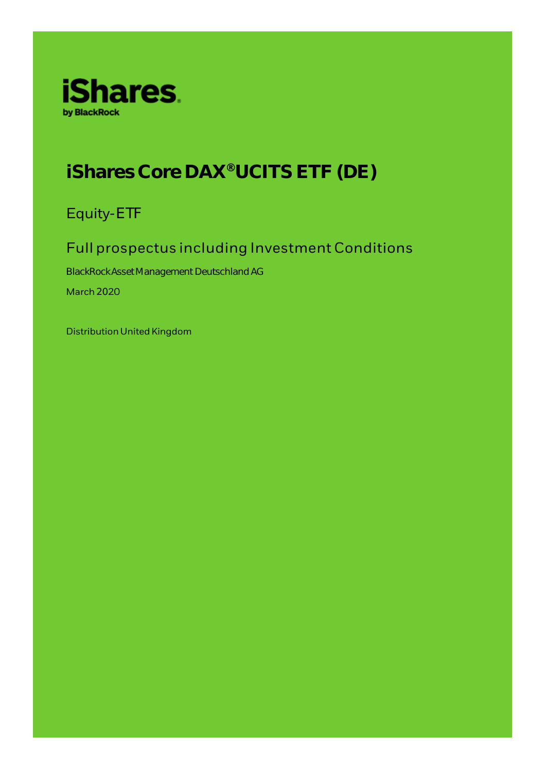

# **iShares Core DAX® UCITS ETF (DE)**

Equity-ETF

# Full prospectus including Investment Conditions

BlackRock Asset Management Deutschland AG March 2020

Distribution United Kingdom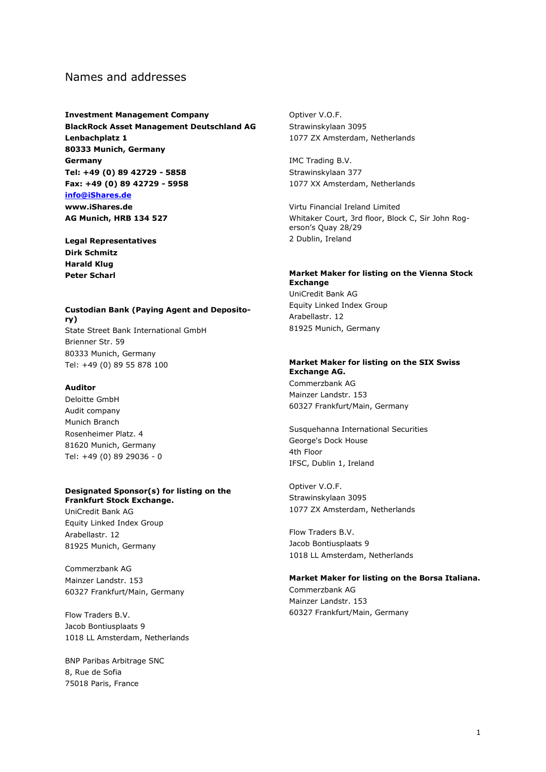# Names and addresses

**Investment Management Company BlackRock Asset Management Deutschland AG Lenbachplatz 1 80333 Munich, Germany Germany Tel: +49 (0) 89 42729 - 5858 Fax: +49 (0) 89 42729 - 5958 [info@iShares.de](../../05e_DTP/2_from_DTP/DE/info@iShares.de) www.iShares.de AG Munich, HRB 134 527**

**Legal Representatives Dirk Schmitz Harald Klug Peter Scharl**

### **Custodian Bank (Paying Agent and Depository)** State Street Bank International GmbH Brienner Str. 59 80333 Munich, Germany Tel: +49 (0) 89 55 878 100

#### **Auditor**

Deloitte GmbH Audit company Munich Branch Rosenheimer Platz. 4 81620 Munich, Germany Tel: +49 (0) 89 29036 - 0

#### **Designated Sponsor(s) for listing on the Frankfurt Stock Exchange.**

UniCredit Bank AG Equity Linked Index Group Arabellastr. 12 81925 Munich, Germany

Commerzbank AG Mainzer Landstr. 153 60327 Frankfurt/Main, Germany

Flow Traders B.V. Jacob Bontiusplaats 9 1018 LL Amsterdam, Netherlands

BNP Paribas Arbitrage SNC 8, Rue de Sofia 75018 Paris, France

Optiver V.O.F. Strawinskylaan 3095 1077 ZX Amsterdam, Netherlands

IMC Trading B.V. Strawinskylaan 377 1077 XX Amsterdam, Netherlands

Virtu Financial Ireland Limited Whitaker Court, 3rd floor, Block C, Sir John Rogerson's Quay 28/29 2 Dublin, Ireland

### **Market Maker for listing on the Vienna Stock Exchange**

UniCredit Bank AG Equity Linked Index Group Arabellastr. 12 81925 Munich, Germany

#### **Market Maker for listing on the SIX Swiss Exchange AG.**

Commerzbank AG Mainzer Landstr. 153 60327 Frankfurt/Main, Germany

Susquehanna International Securities George's Dock House 4th Floor IFSC, Dublin 1, Ireland

Optiver V.O.F. Strawinskylaan 3095 1077 ZX Amsterdam, Netherlands

Flow Traders B.V. Jacob Bontiusplaats 9 1018 LL Amsterdam, Netherlands

### **Market Maker for listing on the Borsa Italiana.**

Commerzbank AG Mainzer Landstr. 153 60327 Frankfurt/Main, Germany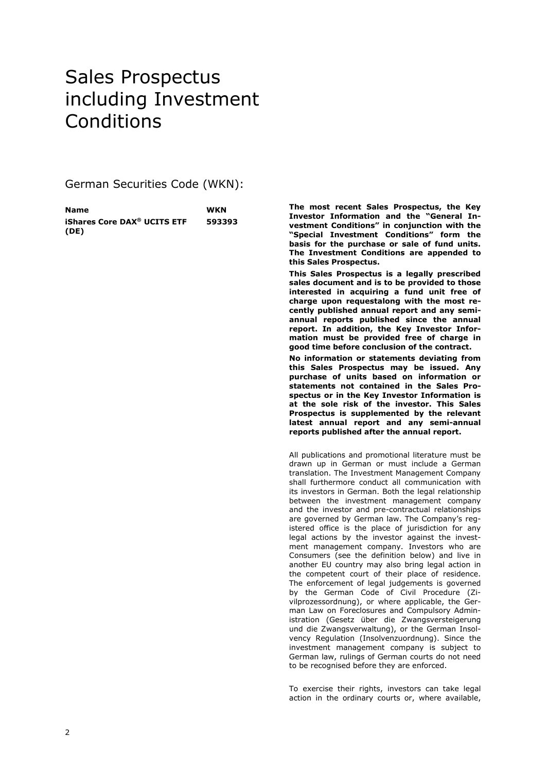# Sales Prospectus including Investment **Conditions**

German Securities Code (WKN):

| Name                                          | <b>WKN</b> |
|-----------------------------------------------|------------|
| <b>iShares Core DAX<sup>®</sup> UCITS ETF</b> | 593393     |
| (DE)                                          |            |

**The most recent Sales Prospectus, the Key Investor Information and the "General Investment Conditions" in conjunction with the "Special Investment Conditions" form the basis for the purchase or sale of fund units. The Investment Conditions are appended to this Sales Prospectus.**

**This Sales Prospectus is a legally prescribed sales document and is to be provided to those interested in acquiring a fund unit free of charge upon requestalong with the most recently published annual report and any semiannual reports published since the annual report. In addition, the Key Investor Information must be provided free of charge in good time before conclusion of the contract.**

**No information or statements deviating from this Sales Prospectus may be issued. Any purchase of units based on information or statements not contained in the Sales Prospectus or in the Key Investor Information is at the sole risk of the investor. This Sales Prospectus is supplemented by the relevant latest annual report and any semi-annual reports published after the annual report.**

All publications and promotional literature must be drawn up in German or must include a German translation. The Investment Management Company shall furthermore conduct all communication with its investors in German. Both the legal relationship between the investment management company and the investor and pre-contractual relationships are governed by German law. The Company's registered office is the place of jurisdiction for any legal actions by the investor against the investment management company. Investors who are Consumers (see the definition below) and live in another EU country may also bring legal action in the competent court of their place of residence. The enforcement of legal judgements is governed by the German Code of Civil Procedure (Zivilprozessordnung), or where applicable, the German Law on Foreclosures and Compulsory Administration (Gesetz über die Zwangsversteigerung und die Zwangsverwaltung), or the German Insolvency Regulation (Insolvenzuordnung). Since the investment management company is subject to German law, rulings of German courts do not need to be recognised before they are enforced.

To exercise their rights, investors can take legal action in the ordinary courts or, where available,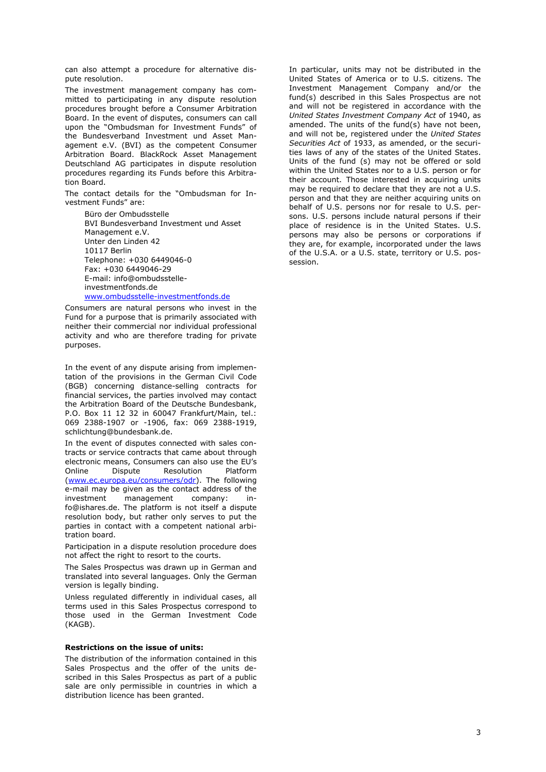can also attempt a procedure for alternative dispute resolution.

The investment management company has committed to participating in any dispute resolution procedures brought before a Consumer Arbitration Board. In the event of disputes, consumers can call upon the "Ombudsman for Investment Funds" of the Bundesverband Investment und Asset Management e.V. (BVI) as the competent Consumer Arbitration Board. BlackRock Asset Management Deutschland AG participates in dispute resolution procedures regarding its Funds before this Arbitration Board.

The contact details for the "Ombudsman for Investment Funds" are:

> Büro der Ombudsstelle BVI Bundesverband Investment und Asset Management e.V. Unter den Linden 42 10117 Berlin Telephone: +030 6449046-0 Fax: +030 6449046-29 E-mail: info@ombudsstelleinvestmentfonds.de [www.ombudsstelle-investmentfonds.de](http://www.ombudsstelle-investmentfonds.de/)

Consumers are natural persons who invest in the Fund for a purpose that is primarily associated with neither their commercial nor individual professional activity and who are therefore trading for private purposes.

In the event of any dispute arising from implementation of the provisions in the German Civil Code (BGB) concerning distance-selling contracts for financial services, the parties involved may contact the Arbitration Board of the Deutsche Bundesbank, P.O. Box 11 12 32 in 60047 Frankfurt/Main, tel.: 069 2388-1907 or -1906, fax: 069 2388-1919, schlichtung@bundesbank.de.

In the event of disputes connected with sales contracts or service contracts that came about through electronic means, Consumers can also use the EU's Online Dispute Resolution Platform [\(www.ec.europa.eu/consumers/odr\)](http://www.ec.europa.eu/consumers/odr). The following e-mail may be given as the contact address of the investment management company: info@ishares.de. The platform is not itself a dispute resolution body, but rather only serves to put the parties in contact with a competent national arbitration board.

Participation in a dispute resolution procedure does not affect the right to resort to the courts.

The Sales Prospectus was drawn up in German and translated into several languages. Only the German version is legally binding.

Unless regulated differently in individual cases, all terms used in this Sales Prospectus correspond to those used in the German Investment Code (KAGB).

#### **Restrictions on the issue of units:**

The distribution of the information contained in this Sales Prospectus and the offer of the units described in this Sales Prospectus as part of a public sale are only permissible in countries in which a distribution licence has been granted.

In particular, units may not be distributed in the United States of America or to U.S. citizens. The Investment Management Company and/or the fund(s) described in this Sales Prospectus are not and will not be registered in accordance with the *United States Investment Company Act* of 1940, as amended. The units of the fund(s) have not been, and will not be, registered under the *United States Securities Act* of 1933, as amended, or the securities laws of any of the states of the United States. Units of the fund (s) may not be offered or sold within the United States nor to a U.S. person or for their account. Those interested in acquiring units may be required to declare that they are not a U.S. person and that they are neither acquiring units on behalf of U.S. persons nor for resale to U.S. persons. U.S. persons include natural persons if their place of residence is in the United States. U.S. persons may also be persons or corporations if they are, for example, incorporated under the laws of the U.S.A. or a U.S. state, territory or U.S. possession.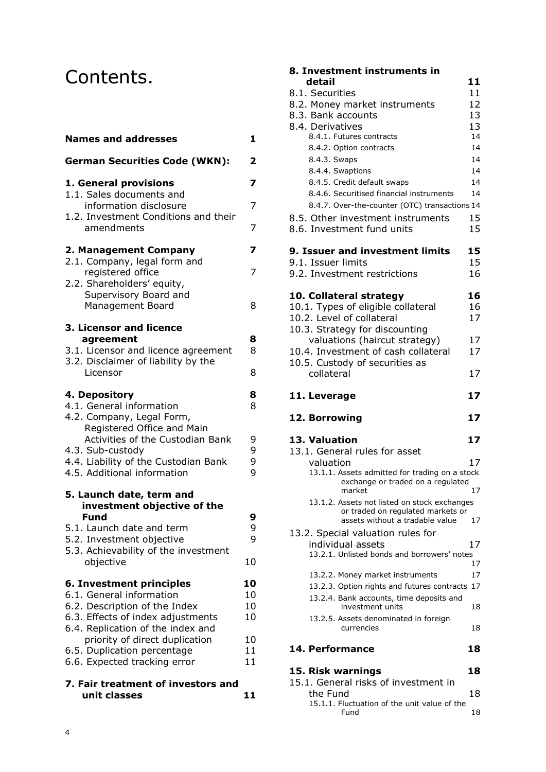# Contents.

| <b>Names and addresses</b>                                             | 1              |
|------------------------------------------------------------------------|----------------|
| <b>German Securities Code (WKN):</b>                                   | 2              |
| 1. General provisions<br>1.1. Sales documents and                      | 7              |
| information disclosure<br>1.2. Investment Conditions and their         | 7              |
| amendments                                                             | $\overline{7}$ |
| 2. Management Company<br>2.1. Company, legal form and                  | 7              |
| registered office<br>2.2. Shareholders' equity,                        | 7              |
| Supervisory Board and                                                  |                |
| Management Board                                                       | 8              |
| 3. Licensor and licence<br>agreement                                   | 8              |
| 3.1. Licensor and licence agreement                                    | 8              |
| 3.2. Disclaimer of liability by the<br>Licensor                        |                |
|                                                                        | 8              |
| 4. Depository<br>4.1. General information                              | 8<br>8         |
| 4.2. Company, Legal Form,                                              |                |
| Registered Office and Main                                             |                |
| Activities of the Custodian Bank                                       | 9              |
| 4.3. Sub-custody                                                       | 9              |
| 4.4. Liability of the Custodian Bank<br>4.5. Additional information    | 9<br>9         |
|                                                                        |                |
| 5. Launch date, term and<br>investment objective of the                |                |
| <b>Fund</b>                                                            | 9              |
| 5.1. Launch date and term                                              | 9              |
| 5.2. Investment objective<br>5.3. Achievability of the investment      | 9              |
| objective                                                              | 10             |
| 6. Investment principles                                               | 10             |
| 6.1. General information                                               | 10             |
| 6.2. Description of the Index                                          | 10             |
| 6.3. Effects of index adjustments<br>6.4. Replication of the index and | 10             |
| priority of direct duplication                                         | 10             |
| 6.5. Duplication percentage                                            | 11             |
| 6.6. Expected tracking error                                           | 11             |
| 7. Fair treatment of investors and                                     |                |
| unit classes                                                           | 11             |

# **8. Investment instruments in**

| detail                             |                                                | 11  |
|------------------------------------|------------------------------------------------|-----|
| 8.1. Securities                    |                                                | 11  |
| 8.2. Money market instruments      |                                                | 12  |
| 8.3. Bank accounts                 |                                                | 13  |
| 8.4. Derivatives                   |                                                | 13  |
| 8.4.1. Futures contracts           |                                                | 14  |
| 8.4.2. Option contracts            |                                                | 14  |
| 8.4.3. Swaps                       |                                                | 14  |
| 8.4.4. Swaptions                   |                                                | 14  |
| 8.4.5. Credit default swaps        |                                                | 14  |
|                                    | 8.4.6. Securitised financial instruments       | 14  |
|                                    | 8.4.7. Over-the-counter (OTC) transactions 14  |     |
|                                    |                                                |     |
|                                    | 8.5. Other investment instruments              | 15  |
| 8.6. Investment fund units         |                                                | 15  |
|                                    | 9. Issuer and investment limits                | 15  |
| 9.1. Issuer limits                 |                                                | 15  |
|                                    |                                                |     |
| 9.2. Investment restrictions       |                                                | 16  |
| 10. Collateral strategy            |                                                | 16  |
|                                    |                                                | 16  |
| 10.1. Types of eligible collateral |                                                |     |
| 10.2. Level of collateral          |                                                | 17  |
| 10.3. Strategy for discounting     |                                                |     |
|                                    | valuations (haircut strategy)                  | 17  |
|                                    | 10.4. Investment of cash collateral            | 17  |
| 10.5. Custody of securities as     |                                                |     |
| collateral                         |                                                | 17  |
|                                    |                                                |     |
| 11. Leverage                       |                                                | 17  |
|                                    |                                                | 17  |
| 12. Borrowing                      |                                                |     |
| 13. Valuation                      |                                                | 17  |
| 13.1. General rules for asset      |                                                |     |
| valuation                          |                                                | 17  |
|                                    | 13.1.1. Assets admitted for trading on a stock |     |
|                                    | exchange or traded on a regulated              |     |
| market                             |                                                | 17  |
|                                    | 13.1.2. Assets not listed on stock exchanges   |     |
|                                    | or traded on regulated markets or              |     |
|                                    | assets without a tradable value                | 17  |
| 13.2. Special valuation rules for  |                                                |     |
| individual assets                  |                                                | 17  |
|                                    | 13.2.1. Unlisted bonds and borrowers' notes    |     |
|                                    |                                                | 17  |
|                                    | 13.2.2. Money market instruments               | 17  |
|                                    | 13.2.3. Option rights and futures contracts    | 17  |
|                                    | 13.2.4. Bank accounts, time deposits and       |     |
|                                    | investment units                               | 18  |
| currencies                         | 13.2.5. Assets denominated in foreign          | 18  |
|                                    |                                                |     |
| 14. Performance                    |                                                | 18  |
| 15 Rick warnings                   |                                                | 1 R |

| 19. NISA WALIIIIYS                           | ∸≏ |
|----------------------------------------------|----|
| 15.1. General risks of investment in         |    |
| the Fund                                     | 18 |
| 15.1.1. Fluctuation of the unit value of the |    |
| Fund                                         | 18 |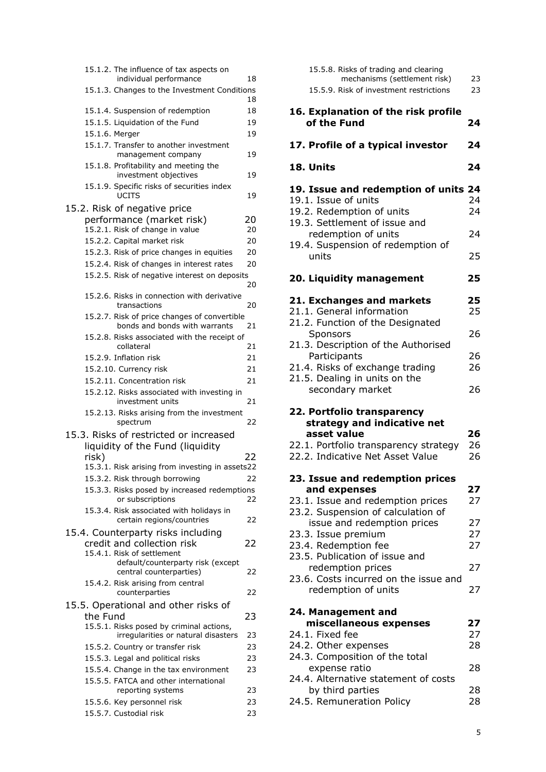| 15.1.2. The influence of tax aspects on                                       |    |
|-------------------------------------------------------------------------------|----|
| individual performance                                                        | 18 |
| 15.1.3. Changes to the Investment Conditions                                  | 18 |
| 15.1.4. Suspension of redemption                                              | 18 |
| 15.1.5. Liquidation of the Fund                                               | 19 |
| 15.1.6. Merger                                                                | 19 |
| 15.1.7. Transfer to another investment                                        |    |
| management company                                                            | 19 |
| 15.1.8. Profitability and meeting the                                         |    |
| investment objectives                                                         | 19 |
| 15.1.9. Specific risks of securities index<br><b>UCITS</b>                    | 19 |
| 15.2. Risk of negative price                                                  |    |
| performance (market risk)                                                     | 20 |
| 15.2.1. Risk of change in value                                               | 20 |
| 15.2.2. Capital market risk                                                   | 20 |
| 15.2.3. Risk of price changes in equities                                     | 20 |
| 15.2.4. Risk of changes in interest rates                                     | 20 |
| 15.2.5. Risk of negative interest on deposits                                 |    |
|                                                                               | 20 |
| 15.2.6. Risks in connection with derivative                                   |    |
| transactions                                                                  | 20 |
| 15.2.7. Risk of price changes of convertible<br>bonds and bonds with warrants | 21 |
| 15.2.8. Risks associated with the receipt of                                  |    |
| collateral                                                                    | 21 |
| 15.2.9. Inflation risk                                                        | 21 |
| 15.2.10. Currency risk                                                        | 21 |
| 15.2.11. Concentration risk                                                   | 21 |
| 15.2.12. Risks associated with investing in<br>investment units               | 21 |
| 15.2.13. Risks arising from the investment<br>spectrum                        | 22 |
| 15.3. Risks of restricted or increased                                        |    |
| liquidity of the Fund (liquidity                                              |    |
| risk)                                                                         | 22 |
| 15.3.1. Risk arising from investing in assets22                               |    |
| 15.3.2. Risk through borrowing                                                | 22 |
| 15.3.3. Risks posed by increased redemptions                                  |    |
| or subscriptions                                                              | 22 |
| 15.3.4. Risk associated with holidays in                                      |    |
| certain regions/countries                                                     | 22 |
| 15.4. Counterparty risks including                                            |    |
| credit and collection risk                                                    | 22 |
| 15.4.1. Risk of settlement                                                    |    |
| default/counterparty risk (except<br>central counterparties)                  | 22 |
| 15.4.2. Risk arising from central                                             |    |
| counterparties                                                                | 22 |
| 15.5. Operational and other risks of                                          |    |
| the Fund                                                                      | 23 |
| 15.5.1. Risks posed by criminal actions,                                      |    |
| irregularities or natural disasters                                           | 23 |
| 15.5.2. Country or transfer risk                                              | 23 |
| 15.5.3. Legal and political risks                                             | 23 |
| 15.5.4. Change in the tax environment                                         | 23 |
| 15.5.5. FATCA and other international                                         |    |
| reporting systems                                                             | 23 |
| 15.5.6. Key personnel risk                                                    | 23 |
| 15.5.7. Custodial risk                                                        | 23 |

| 15.5.8. Risks of trading and clearing<br>mechanisms (settlement risk)<br>15.5.9. Risk of investment restrictions                                                                       | 23<br>23       |
|----------------------------------------------------------------------------------------------------------------------------------------------------------------------------------------|----------------|
| 16. Explanation of the risk profile<br>of the Fund                                                                                                                                     | 24             |
| 17. Profile of a typical investor                                                                                                                                                      | 24             |
| 18. Units                                                                                                                                                                              | 24             |
| 19. Issue and redemption of units 24<br>19.1. Issue of units<br>19.2. Redemption of units<br>19.3. Settlement of issue and<br>redemption of units<br>19.4. Suspension of redemption of | 24<br>24<br>24 |
| units                                                                                                                                                                                  | 25             |
| 20. Liquidity management                                                                                                                                                               | 25             |
| 21. Exchanges and markets<br>21.1. General information<br>21.2. Function of the Designated                                                                                             | 25<br>25       |
| Sponsors<br>21.3. Description of the Authorised                                                                                                                                        | 26             |
| Participants<br>21.4. Risks of exchange trading<br>21.5. Dealing in units on the                                                                                                       | 26<br>26       |
| secondary market                                                                                                                                                                       | 26             |
| 22. Portfolio transparency<br>strategy and indicative net<br>asset value<br>22.1. Portfolio transparency strategy                                                                      | 26<br>26       |
| 22.2. Indicative Net Asset Value                                                                                                                                                       | 26             |
| 23. Issue and redemption prices<br>and expenses<br>23.1. Issue and redemption prices<br>23.2. Suspension of calculation of                                                             | 27<br>27       |
| issue and redemption prices<br>23.3. Issue premium<br>23.4. Redemption fee                                                                                                             | 27<br>27<br>27 |
| 23.5. Publication of issue and<br>redemption prices<br>23.6. Costs incurred on the issue and                                                                                           | 27             |
| redemption of units<br>24. Management and                                                                                                                                              | 27             |
| miscellaneous expenses<br>24.1. Fixed fee                                                                                                                                              | 27<br>27       |
| 24.2. Other expenses<br>24.3. Composition of the total                                                                                                                                 | 28             |
| expense ratio<br>24.4. Alternative statement of costs<br>by third parties                                                                                                              | 28<br>28       |

24.5. Remuneration Policy 28

5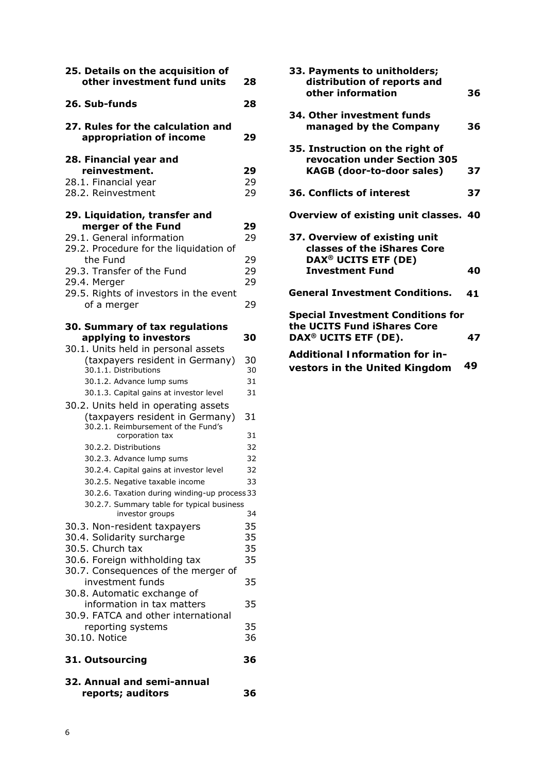| 25. Details on the acquisition of<br>other investment fund units                                                                                                                                                               | 28                         |
|--------------------------------------------------------------------------------------------------------------------------------------------------------------------------------------------------------------------------------|----------------------------|
| 26. Sub-funds                                                                                                                                                                                                                  | 28                         |
| 27. Rules for the calculation and<br>appropriation of income                                                                                                                                                                   | 29                         |
| 28. Financial year and<br>reinvestment.<br>28.1. Financial year<br>28.2. Reinvestment                                                                                                                                          | 29<br>29<br>29             |
| 29. Liquidation, transfer and<br>merger of the Fund<br>29.1. General information<br>29.2. Procedure for the liquidation of<br>the Fund<br>29.3. Transfer of the Fund<br>29.4. Merger<br>29.5. Rights of investors in the event | 29<br>29<br>29<br>29<br>29 |
| of a merger<br>30. Summary of tax regulations<br>applying to investors                                                                                                                                                         | 29<br>30                   |
| 30.1. Units held in personal assets<br>(taxpayers resident in Germany)<br>30.1.1. Distributions<br>30.1.2. Advance lump sums<br>30.1.3. Capital gains at investor level                                                        | 30<br>30<br>31<br>31       |
| 30.2. Units held in operating assets<br>(taxpayers resident in Germany)<br>30.2.1. Reimbursement of the Fund's<br>corporation tax<br>30.2.2. Distributions                                                                     | 31<br>31<br>32             |
| 30.2.3. Advance lump sums<br>30.2.4. Capital gains at investor level<br>30.2.5. Negative taxable income<br>30.2.6. Taxation during winding-up process 33                                                                       | 32<br>32<br>33             |
| 30.2.7. Summary table for typical business<br>investor groups<br>30.3. Non-resident taxpayers<br>30.4. Solidarity surcharge<br>30.5. Church tax<br>30.6. Foreign withholding tax                                               | 34<br>35<br>35<br>35<br>35 |
| 30.7. Consequences of the merger of<br>investment funds<br>30.8. Automatic exchange of<br>information in tax matters                                                                                                           | 35<br>35                   |
| 30.9. FATCA and other international<br>reporting systems<br>30.10. Notice                                                                                                                                                      | 35<br>36                   |
| 31. Outsourcing                                                                                                                                                                                                                | 36                         |
| 32. Annual and semi-annual<br>reports; auditors                                                                                                                                                                                | 36                         |

| 33. Payments to unitholders;<br>distribution of reports and<br>other information                                          | 36 |
|---------------------------------------------------------------------------------------------------------------------------|----|
| 34. Other investment funds<br>managed by the Company                                                                      | 36 |
| 35. Instruction on the right of<br>revocation under Section 305<br><b>KAGB (door-to-door sales)</b>                       | 37 |
| 36. Conflicts of interest                                                                                                 | 37 |
| Overview of existing unit classes. 40                                                                                     |    |
| 37. Overview of existing unit<br>classes of the iShares Core<br>DAX <sup>®</sup> UCITS ETF (DE)<br><b>Investment Fund</b> | 40 |
| <b>General Investment Conditions.</b>                                                                                     | 41 |
| <b>Special Investment Conditions for</b><br>the UCITS Fund iShares Core<br>DAX <sup>®</sup> UCITS ETF (DE).               | 47 |
| Additional Information for in-<br>vestors in the United Kingdom                                                           | 49 |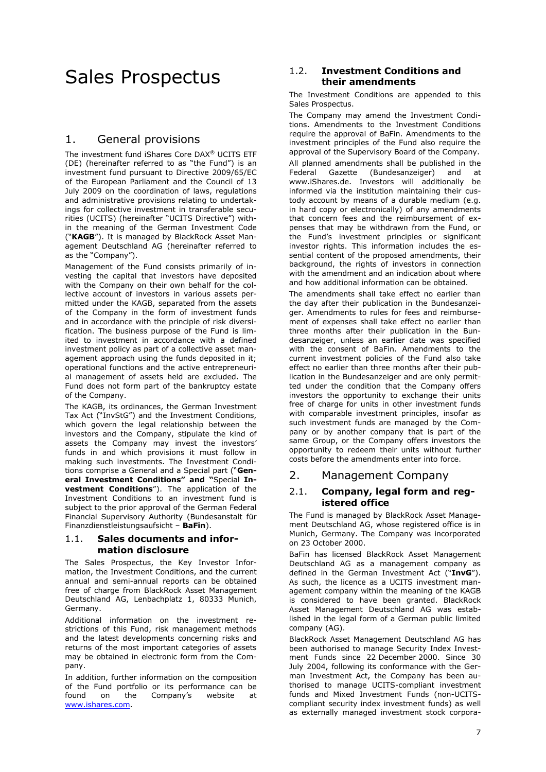# Sales Prospectus

## 1. General provisions

The investment fund iShares Core DAX® UCITS ETF (DE) (hereinafter referred to as "the Fund") is an investment fund pursuant to Directive 2009/65/EC of the European Parliament and the Council of 13 July 2009 on the coordination of laws, regulations and administrative provisions relating to undertakings for collective investment in transferable securities (UCITS) (hereinafter "UCITS Directive") within the meaning of the German Investment Code ("**KAGB**"). It is managed by BlackRock Asset Management Deutschland AG (hereinafter referred to as the "Company").

Management of the Fund consists primarily of investing the capital that investors have deposited with the Company on their own behalf for the collective account of investors in various assets permitted under the KAGB, separated from the assets of the Company in the form of investment funds and in accordance with the principle of risk diversification. The business purpose of the Fund is limited to investment in accordance with a defined investment policy as part of a collective asset management approach using the funds deposited in it; operational functions and the active entrepreneurial management of assets held are excluded. The Fund does not form part of the bankruptcy estate of the Company.

The KAGB, its ordinances, the German Investment Tax Act ("InvStG") and the Investment Conditions, which govern the legal relationship between the investors and the Company, stipulate the kind of assets the Company may invest the investors' funds in and which provisions it must follow in making such investments. The Investment Conditions comprise a General and a Special part ("**General Investment Conditions" and "**Special **Investment Conditions**"). The application of the Investment Conditions to an investment fund is subject to the prior approval of the German Federal Financial Supervisory Authority (Bundesanstalt für Finanzdienstleistungsaufsicht – **BaFin**).

### <span id="page-7-0"></span>1.1. **Sales documents and information disclosure**

The Sales Prospectus, the Key Investor Information, the Investment Conditions, and the current annual and semi-annual reports can be obtained free of charge from BlackRock Asset Management Deutschland AG, Lenbachplatz 1, 80333 Munich, Germany.

Additional information on the investment restrictions of this Fund, risk management methods and the latest developments concerning risks and returns of the most important categories of assets may be obtained in electronic form from the Company.

In addition, further information on the composition of the Fund portfolio or its performance can be found on the Company's website at [www.ishares.com.](http://www.ishares.com/)

### 1.2. **Investment Conditions and their amendments**

The Investment Conditions are appended to this Sales Prospectus.

The Company may amend the Investment Conditions. Amendments to the Investment Conditions require the approval of BaFin. Amendments to the investment principles of the Fund also require the approval of the Supervisory Board of the Company. All planned amendments shall be published in the Federal Gazette (Bundesanzeiger) and at www.iShares.de. Investors will additionally be informed via the institution maintaining their custody account by means of a durable medium (e.g. in hard copy or electronically) of any amendments that concern fees and the reimbursement of expenses that may be withdrawn from the Fund, or the Fund's investment principles or significant investor rights. This information includes the essential content of the proposed amendments, their background, the rights of investors in connection with the amendment and an indication about where and how additional information can be obtained.

The amendments shall take effect no earlier than the day after their publication in the Bundesanzeiger. Amendments to rules for fees and reimbursement of expenses shall take effect no earlier than three months after their publication in the Bundesanzeiger, unless an earlier date was specified with the consent of BaFin. Amendments to the current investment policies of the Fund also take effect no earlier than three months after their publication in the Bundesanzeiger and are only permitted under the condition that the Company offers investors the opportunity to exchange their units free of charge for units in other investment funds with comparable investment principles, insofar as such investment funds are managed by the Company or by another company that is part of the same Group, or the Company offers investors the opportunity to redeem their units without further costs before the amendments enter into force.

# 2. Management Company

### 2.1. **Company, legal form and registered office**

The Fund is managed by BlackRock Asset Management Deutschland AG, whose registered office is in Munich, Germany. The Company was incorporated on 23 October 2000.

BaFin has licensed BlackRock Asset Management Deutschland AG as a management company as defined in the German Investment Act ("**InvG**"). As such, the licence as a UCITS investment management company within the meaning of the KAGB is considered to have been granted. BlackRock Asset Management Deutschland AG was established in the legal form of a German public limited company (AG).

BlackRock Asset Management Deutschland AG has been authorised to manage Security Index Investment Funds since 22 December 2000. Since 30 July 2004, following its conformance with the German Investment Act, the Company has been authorised to manage UCITS-compliant investment funds and Mixed Investment Funds (non-UCITScompliant security index investment funds) as well as externally managed investment stock corpora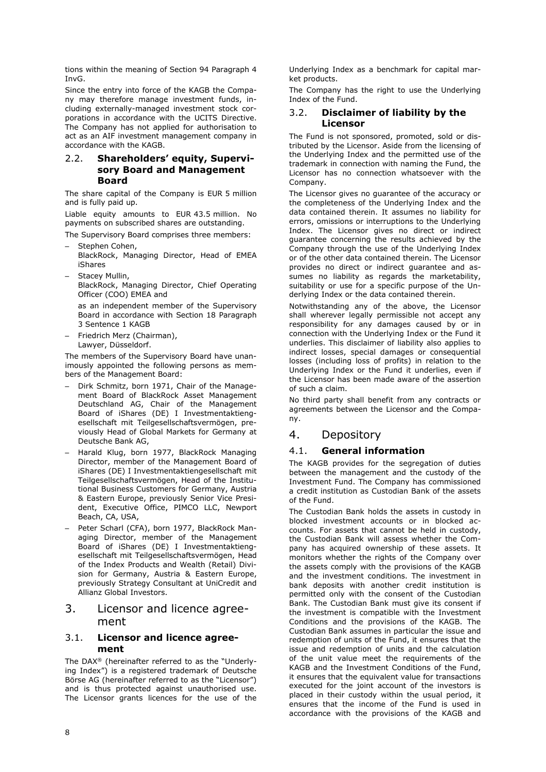tions within the meaning of Section 94 Paragraph 4 InvG.

Since the entry into force of the KAGB the Company may therefore manage investment funds, including externally-managed investment stock corporations in accordance with the UCITS Directive. The Company has not applied for authorisation to act as an AIF investment management company in accordance with the KAGB.

### 2.2. **Shareholders' equity, Supervisory Board and Management Board**

The share capital of the Company is EUR 5 million and is fully paid up.

Liable equity amounts to EUR 43.5 million. No payments on subscribed shares are outstanding.

The Supervisory Board comprises three members:

- Stephen Cohen, BlackRock, Managing Director, Head of EMEA iShares
- Stacey Mullin, BlackRock, Managing Director, Chief Operating Officer (COO) EMEA and

as an independent member of the Supervisory Board in accordance with Section 18 Paragraph 3 Sentence 1 KAGB

– Friedrich Merz (Chairman), Lawyer, Düsseldorf.

The members of the Supervisory Board have unanimously appointed the following persons as members of the Management Board:

- Dirk Schmitz, born 1971, Chair of the Management Board of BlackRock Asset Management Deutschland AG, Chair of the Management Board of iShares (DE) I Investmentaktiengesellschaft mit Teilgesellschaftsvermögen, previously Head of Global Markets for Germany at Deutsche Bank AG,
- Harald Klug, born 1977, BlackRock Managing Director, member of the Management Board of iShares (DE) I Investmentaktiengesellschaft mit Teilgesellschaftsvermögen, Head of the Institutional Business Customers for Germany, Austria & Eastern Europe, previously Senior Vice President, Executive Office, PIMCO LLC, Newport Beach, CA, USA,
- Peter Scharl (CFA), born 1977, BlackRock Managing Director, member of the Management Board of iShares (DE) I Investmentaktiengesellschaft mit Teilgesellschaftsvermögen, Head of the Index Products and Wealth (Retail) Division for Germany, Austria & Eastern Europe, previously Strategy Consultant at UniCredit and Allianz Global Investors.

### 3. Licensor and licence agreement

### 3.1. **Licensor and licence agreement**

The DAX® (hereinafter referred to as the "Underlying Index") is a registered trademark of Deutsche Börse AG (hereinafter referred to as the "Licensor") and is thus protected against unauthorised use. The Licensor grants licences for the use of the

Underlying Index as a benchmark for capital market products.

The Company has the right to use the Underlying Index of the Fund.

### 3.2. **Disclaimer of liability by the Licensor**

The Fund is not sponsored, promoted, sold or distributed by the Licensor. Aside from the licensing of the Underlying Index and the permitted use of the trademark in connection with naming the Fund, the Licensor has no connection whatsoever with the Company.

The Licensor gives no guarantee of the accuracy or the completeness of the Underlying Index and the data contained therein. It assumes no liability for errors, omissions or interruptions to the Underlying Index. The Licensor gives no direct or indirect guarantee concerning the results achieved by the Company through the use of the Underlying Index or of the other data contained therein. The Licensor provides no direct or indirect guarantee and assumes no liability as regards the marketability, suitability or use for a specific purpose of the Underlying Index or the data contained therein.

Notwithstanding any of the above, the Licensor shall wherever legally permissible not accept any responsibility for any damages caused by or in connection with the Underlying Index or the Fund it underlies. This disclaimer of liability also applies to indirect losses, special damages or consequential losses (including loss of profits) in relation to the Underlying Index or the Fund it underlies, even if the Licensor has been made aware of the assertion of such a claim.

No third party shall benefit from any contracts or agreements between the Licensor and the Company.

### 4. Depository

### 4.1. **General information**

The KAGB provides for the segregation of duties between the management and the custody of the Investment Fund. The Company has commissioned a credit institution as Custodian Bank of the assets of the Fund.

The Custodian Bank holds the assets in custody in blocked investment accounts or in blocked accounts. For assets that cannot be held in custody, the Custodian Bank will assess whether the Company has acquired ownership of these assets. It monitors whether the rights of the Company over the assets comply with the provisions of the KAGB and the investment conditions. The investment in bank deposits with another credit institution is permitted only with the consent of the Custodian Bank. The Custodian Bank must give its consent if the investment is compatible with the Investment Conditions and the provisions of the KAGB. The Custodian Bank assumes in particular the issue and redemption of units of the Fund, it ensures that the issue and redemption of units and the calculation of the unit value meet the requirements of the KAGB and the Investment Conditions of the Fund, it ensures that the equivalent value for transactions executed for the joint account of the investors is placed in their custody within the usual period, it ensures that the income of the Fund is used in accordance with the provisions of the KAGB and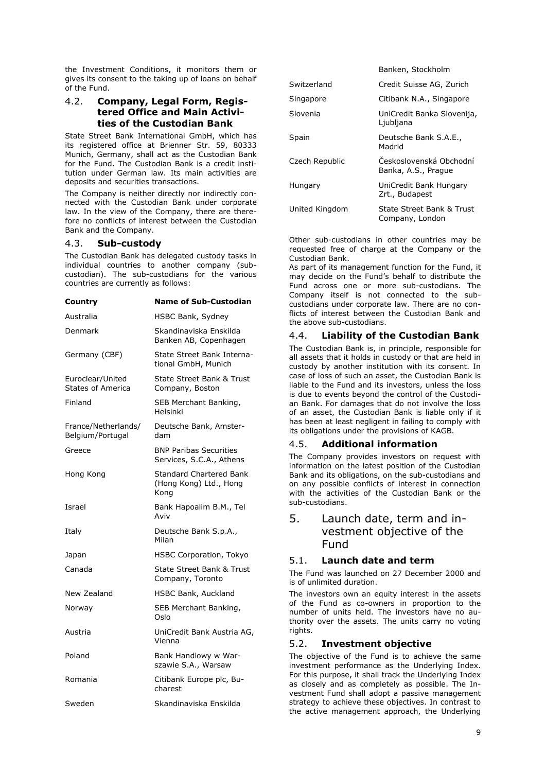the Investment Conditions, it monitors them or gives its consent to the taking up of loans on behalf of the Fund.

### 4.2. **Company, Legal Form, Registered Office and Main Activities of the Custodian Bank**

State Street Bank International GmbH, which has its registered office at Brienner Str. 59, 80333 Munich, Germany, shall act as the Custodian Bank for the Fund. The Custodian Bank is a credit institution under German law. Its main activities are deposits and securities transactions.

The Company is neither directly nor indirectly connected with the Custodian Bank under corporate law. In the view of the Company, there are therefore no conflicts of interest between the Custodian Bank and the Company.

### 4.3. **Sub-custody**

The Custodian Bank has delegated custody tasks in individual countries to another company (subcustodian). The sub-custodians for the various countries are currently as follows:

**Country Name of Sub-Custodian**

| counu y                                 |                                                                  |
|-----------------------------------------|------------------------------------------------------------------|
| Australia                               | HSBC Bank, Sydney                                                |
| Denmark                                 | Skandinaviska Enskilda<br>Banken AB, Copenhagen                  |
| Germany (CBF)                           | State Street Bank Interna-<br>tional GmbH, Munich                |
| Euroclear/United<br>States of America   | State Street Bank & Trust<br>Company, Boston                     |
| Finland                                 | SEB Merchant Banking,<br>Helsinki                                |
| France/Netherlands/<br>Belgium/Portugal | Deutsche Bank, Amster-<br>dam                                    |
| Greece                                  | <b>BNP Paribas Securities</b><br>Services, S.C.A., Athens        |
| Hong Kong                               | <b>Standard Chartered Bank</b><br>(Hong Kong) Ltd., Hong<br>Kong |
| Israel                                  | Bank Hapoalim B.M., Tel<br>Aviv                                  |
| Italy                                   | Deutsche Bank S.p.A.,<br>Milan                                   |
| Japan                                   | <b>HSBC Corporation, Tokyo</b>                                   |
| Canada                                  | State Street Bank & Trust<br>Company, Toronto                    |
| New Zealand                             | <b>HSBC Bank, Auckland</b>                                       |
| Norway                                  | SEB Merchant Banking,<br>Oslo                                    |
| Austria                                 | UniCredit Bank Austria AG,<br>Vienna                             |
| Poland                                  | Bank Handlowy w War-<br>szawie S.A., Warsaw                      |
| Romania                                 | Citibank Europe plc, Bu-<br>charest                              |
| Sweden                                  | Skandinaviska Enskilda                                           |

|                | Banken, Stockholm                              |
|----------------|------------------------------------------------|
| Switzerland    | Credit Suisse AG, Zurich                       |
| Singapore      | Citibank N.A., Singapore                       |
| Slovenia       | UniCredit Banka Slovenija,<br>Ljubljana        |
| Spain          | Deutsche Bank S.A.E.,<br>Madrid                |
| Czech Republic | Československá Obchodní<br>Banka, A.S., Prague |
| Hungary        | UniCredit Bank Hungary<br>Zrt., Budapest       |
| United Kingdom | State Street Bank & Trust<br>Company, London   |

Other sub-custodians in other countries may be requested free of charge at the Company or the Custodian Bank.

As part of its management function for the Fund, it may decide on the Fund's behalf to distribute the Fund across one or more sub-custodians. The Company itself is not connected to the subcustodians under corporate law. There are no conflicts of interest between the Custodian Bank and the above sub-custodians.

### 4.4. **Liability of the Custodian Bank**

The Custodian Bank is, in principle, responsible for all assets that it holds in custody or that are held in custody by another institution with its consent. In case of loss of such an asset, the Custodian Bank is liable to the Fund and its investors, unless the loss is due to events beyond the control of the Custodian Bank. For damages that do not involve the loss of an asset, the Custodian Bank is liable only if it has been at least negligent in failing to comply with its obligations under the provisions of KAGB.

### 4.5. **Additional information**

The Company provides investors on request with information on the latest position of the Custodian Bank and its obligations, on the sub-custodians and on any possible conflicts of interest in connection with the activities of the Custodian Bank or the sub-custodians.

## 5. Launch date, term and investment objective of the Fund

### 5.1. **Launch date and term**

The Fund was launched on 27 December 2000 and is of unlimited duration.

The investors own an equity interest in the assets of the Fund as co-owners in proportion to the number of units held. The investors have no authority over the assets. The units carry no voting rights.

### 5.2. **Investment objective**

The objective of the Fund is to achieve the same investment performance as the Underlying Index. For this purpose, it shall track the Underlying Index as closely and as completely as possible. The Investment Fund shall adopt a passive management strategy to achieve these objectives. In contrast to the active management approach, the Underlying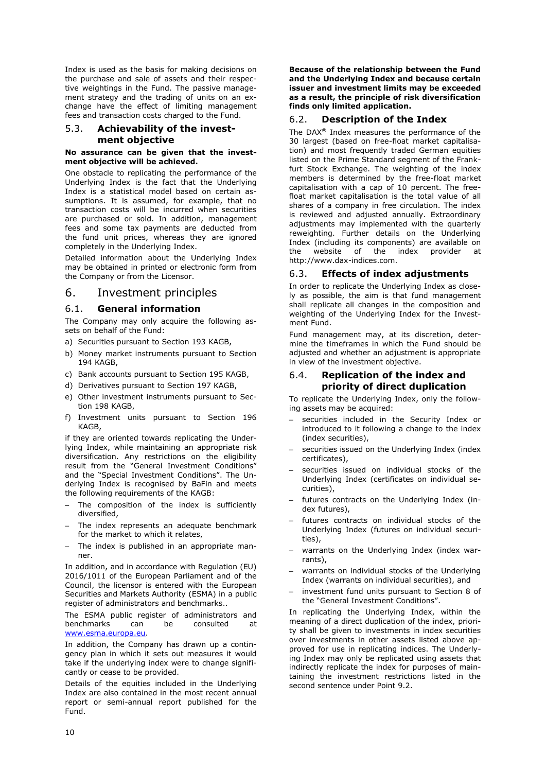Index is used as the basis for making decisions on the purchase and sale of assets and their respective weightings in the Fund. The passive management strategy and the trading of units on an exchange have the effect of limiting management fees and transaction costs charged to the Fund.

### 5.3. **Achievability of the investment objective**

#### **No assurance can be given that the investment objective will be achieved.**

One obstacle to replicating the performance of the Underlying Index is the fact that the Underlying Index is a statistical model based on certain assumptions. It is assumed, for example, that no transaction costs will be incurred when securities are purchased or sold. In addition, management fees and some tax payments are deducted from the fund unit prices, whereas they are ignored completely in the Underlying Index.

Detailed information about the Underlying Index may be obtained in printed or electronic form from the Company or from the Licensor.

### 6. Investment principles

### 6.1. **General information**

The Company may only acquire the following assets on behalf of the Fund:

- a) Securities pursuant to Section 193 KAGB,
- b) Money market instruments pursuant to Section 194 KAGB,
- c) Bank accounts pursuant to Section 195 KAGB,
- d) Derivatives pursuant to Section 197 KAGB,
- e) Other investment instruments pursuant to Section 198 KAGB,
- f) Investment units pursuant to Section 196 KAGB,

if they are oriented towards replicating the Underlying Index, while maintaining an appropriate risk diversification. Any restrictions on the eligibility result from the "General Investment Conditions" and the "Special Investment Conditions". The Underlying Index is recognised by BaFin and meets the following requirements of the KAGB:

- The composition of the index is sufficiently diversified,
- The index represents an adequate benchmark for the market to which it relates,
- The index is published in an appropriate manner.

In addition, and in accordance with Regulation (EU) 2016/1011 of the European Parliament and of the Council, the licensor is entered with the European Securities and Markets Authority (ESMA) in a public register of administrators and benchmarks..

The ESMA public register of administrators and benchmarks can be consulted at [www.esma.europa.eu.](http://www.esma.europa.eu/)

In addition, the Company has drawn up a contingency plan in which it sets out measures it would take if the underlying index were to change significantly or cease to be provided.

Details of the equities included in the Underlying Index are also contained in the most recent annual report or semi-annual report published for the Fund.

**Because of the relationship between the Fund and the Underlying Index and because certain issuer and investment limits may be exceeded as a result, the principle of risk diversification finds only limited application.**

### 6.2. **Description of the Index**

The DAX® Index measures the performance of the 30 largest (based on free-float market capitalisation) and most frequently traded German equities listed on the Prime Standard segment of the Frankfurt Stock Exchange. The weighting of the index members is determined by the free-float market capitalisation with a cap of 10 percent. The freefloat market capitalisation is the total value of all shares of a company in free circulation. The index is reviewed and adjusted annually. Extraordinary adjustments may implemented with the quarterly reweighting. Further details on the Underlying Index (including its components) are available on the website of the index provider at http://www.dax-indices.com.

### 6.3. **Effects of index adjustments**

In order to replicate the Underlying Index as closely as possible, the aim is that fund management shall replicate all changes in the composition and weighting of the Underlying Index for the Investment Fund.

Fund management may, at its discretion, determine the timeframes in which the Fund should be adjusted and whether an adjustment is appropriate in view of the investment objective.

### <span id="page-10-1"></span><span id="page-10-0"></span>6.4. **Replication of the index and priority of direct duplication**

To replicate the Underlying Index, only the following assets may be acquired:

- securities included in the Security Index or introduced to it following a change to the index (index securities),
- securities issued on the Underlying Index (index certificates),
- securities issued on individual stocks of the Underlying Index (certificates on individual securities),
- futures contracts on the Underlying Index (index futures),
- futures contracts on individual stocks of the Underlying Index (futures on individual securities),
- warrants on the Underlying Index (index warrants),
- warrants on individual stocks of the Underlying Index (warrants on individual securities), and
- investment fund units pursuant to Section 8 of the "General Investment Conditions".

In replicating the Underlying Index, within the meaning of a direct duplication of the index, priority shall be given to investments in index securities over investments in other assets listed above approved for use in replicating indices. The Underlying Index may only be replicated using assets that indirectly replicate the index for purposes of maintaining the investment restrictions listed in the second sentence under Point [9.2.](#page-16-0)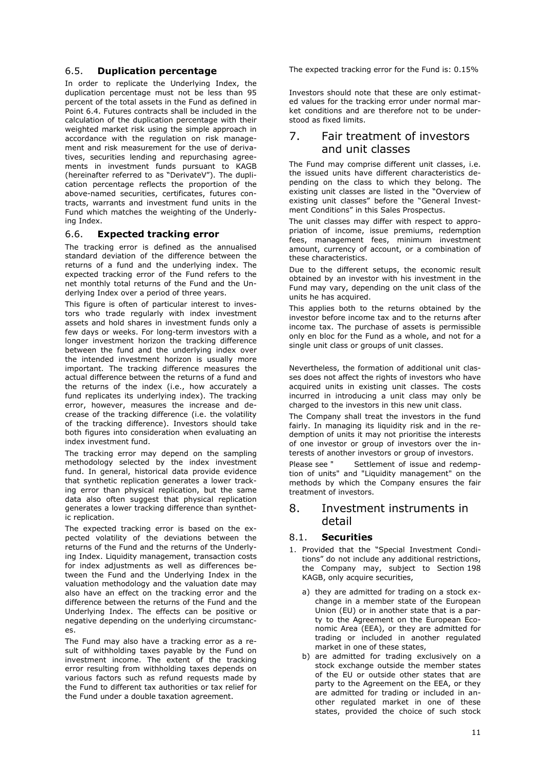### 6.5. **Duplication percentage**

In order to replicate the Underlying Index, the duplication percentage must not be less than 95 percent of the total assets in the Fund as defined in Point [6.4.](#page-10-0) Futures contracts shall be included in the calculation of the duplication percentage with their weighted market risk using the simple approach in accordance with the regulation on risk management and risk measurement for the use of derivatives, securities lending and repurchasing agreements in investment funds pursuant to KAGB (hereinafter referred to as "DerivateV"). The duplication percentage reflects the proportion of the above-named securities, certificates, futures contracts, warrants and investment fund units in the Fund which matches the weighting of the Underlying Index.

### 6.6. **Expected tracking error**

The tracking error is defined as the annualised standard deviation of the difference between the returns of a fund and the underlying index. The expected tracking error of the Fund refers to the net monthly total returns of the Fund and the Underlying Index over a period of three years.

This figure is often of particular interest to investors who trade regularly with index investment assets and hold shares in investment funds only a few days or weeks. For long-term investors with a longer investment horizon the tracking difference between the fund and the underlying index over the intended investment horizon is usually more important. The tracking difference measures the actual difference between the returns of a fund and the returns of the index (i.e., how accurately a fund replicates its underlying index). The tracking error, however, measures the increase and decrease of the tracking difference (i.e. the volatility of the tracking difference). Investors should take both figures into consideration when evaluating an index investment fund.

The tracking error may depend on the sampling methodology selected by the index investment fund. In general, historical data provide evidence that synthetic replication generates a lower tracking error than physical replication, but the same data also often suggest that physical replication generates a lower tracking difference than synthetic replication.

The expected tracking error is based on the expected volatility of the deviations between the returns of the Fund and the returns of the Underlying Index. Liquidity management, transaction costs for index adjustments as well as differences between the Fund and the Underlying Index in the valuation methodology and the valuation date may also have an effect on the tracking error and the difference between the returns of the Fund and the Underlying Index. The effects can be positive or negative depending on the underlying circumstances.

The Fund may also have a tracking error as a result of withholding taxes payable by the Fund on investment income. The extent of the tracking error resulting from withholding taxes depends on various factors such as refund requests made by the Fund to different tax authorities or tax relief for the Fund under a double taxation agreement.

The expected tracking error for the Fund is: 0.15%

Investors should note that these are only estimated values for the tracking error under normal market conditions and are therefore not to be understood as fixed limits.

# 7. Fair treatment of investors and unit classes

The Fund may comprise different unit classes, i.e. the issued units have different characteristics depending on the class to which they belong. The existing unit classes are listed in the "Overview of existing unit classes" before the "General Investment Conditions" in this Sales Prospectus.

The unit classes may differ with respect to appropriation of income, issue premiums, redemption fees, management fees, minimum investment amount, currency of account, or a combination of these characteristics.

Due to the different setups, the economic result obtained by an investor with his investment in the Fund may vary, depending on the unit class of the units he has acquired.

This applies both to the returns obtained by the investor before income tax and to the returns after income tax. The purchase of assets is permissible only en bloc for the Fund as a whole, and not for a single unit class or groups of unit classes.

Nevertheless, the formation of additional unit classes does not affect the rights of investors who have acquired units in existing unit classes. The costs incurred in introducing a unit class may only be charged to the investors in this new unit class.

The Company shall treat the investors in the fund fairly. In managing its liquidity risk and in the redemption of units it may not prioritise the interests of one investor or group of investors over the interests of another investors or group of investors.

Please see " [Settlement of issue and redemp](#page-24-0)[tion of units"](#page-24-0) and ["Liquidity management"](#page-25-0) on the methods by which the Company ensures the fair treatment of investors.

### 8. Investment instruments in detail

### 8.1. **Securities**

- 1. Provided that the "Special Investment Conditions" do not include any additional restrictions, the Company may, subject to Section 198 KAGB, only acquire securities,
	- a) they are admitted for trading on a stock exchange in a member state of the European Union (EU) or in another state that is a party to the Agreement on the European Economic Area (EEA), or they are admitted for trading or included in another regulated market in one of these states,
	- b) are admitted for trading exclusively on a stock exchange outside the member states of the EU or outside other states that are party to the Agreement on the EEA, or they are admitted for trading or included in another regulated market in one of these states, provided the choice of such stock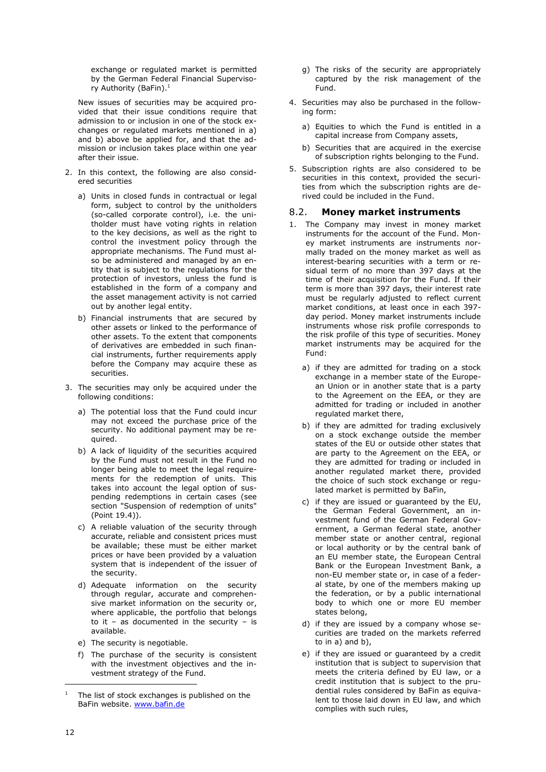exchange or regulated market is permitted by the German Federal Financial Supervisory Authority (BaFin).<sup>1</sup>

New issues of securities may be acquired provided that their issue conditions require that admission to or inclusion in one of the stock exchanges or regulated markets mentioned in a) and b) above be applied for, and that the admission or inclusion takes place within one year after their issue.

- 2. In this context, the following are also considered securities
	- a) Units in closed funds in contractual or legal form, subject to control by the unitholders (so-called corporate control), i.e. the unitholder must have voting rights in relation to the key decisions, as well as the right to control the investment policy through the appropriate mechanisms. The Fund must also be administered and managed by an entity that is subject to the regulations for the protection of investors, unless the fund is established in the form of a company and the asset management activity is not carried out by another legal entity.
	- b) Financial instruments that are secured by other assets or linked to the performance of other assets. To the extent that components of derivatives are embedded in such financial instruments, further requirements apply before the Company may acquire these as securities.
- 3. The securities may only be acquired under the following conditions:
	- a) The potential loss that the Fund could incur may not exceed the purchase price of the security. No additional payment may be required.
	- b) A lack of liquidity of the securities acquired by the Fund must not result in the Fund no longer being able to meet the legal requirements for the redemption of units. This takes into account the legal option of suspending redemptions in certain cases (see section ["Suspension of redemption of units"](#page-25-1) (Point [19.4\)](#page-25-1)).
	- c) A reliable valuation of the security through accurate, reliable and consistent prices must be available; these must be either market prices or have been provided by a valuation system that is independent of the issuer of the security.
	- d) Adequate information on the security through regular, accurate and comprehensive market information on the security or, where applicable, the portfolio that belongs to it – as documented in the security – is available.
	- e) The security is negotiable.
	- f) The purchase of the security is consistent with the investment objectives and the investment strategy of the Fund.
- g) The risks of the security are appropriately captured by the risk management of the Fund.
- 4. Securities may also be purchased in the following form:
	- a) Equities to which the Fund is entitled in a capital increase from Company assets,
	- b) Securities that are acquired in the exercise of subscription rights belonging to the Fund.
- 5. Subscription rights are also considered to be securities in this context, provided the securities from which the subscription rights are derived could be included in the Fund.

### 8.2. **Money market instruments**

- 1. The Company may invest in money market instruments for the account of the Fund. Money market instruments are instruments normally traded on the money market as well as interest-bearing securities with a term or residual term of no more than 397 days at the time of their acquisition for the Fund. If their term is more than 397 days, their interest rate must be regularly adjusted to reflect current market conditions, at least once in each 397 day period. Money market instruments include instruments whose risk profile corresponds to the risk profile of this type of securities. Money market instruments may be acquired for the Fund:
	- a) if they are admitted for trading on a stock exchange in a member state of the European Union or in another state that is a party to the Agreement on the EEA, or they are admitted for trading or included in another regulated market there,
	- b) if they are admitted for trading exclusively on a stock exchange outside the member states of the EU or outside other states that are party to the Agreement on the EEA, or they are admitted for trading or included in another regulated market there, provided the choice of such stock exchange or regulated market is permitted by BaFin,
	- c) if they are issued or guaranteed by the EU, the German Federal Government, an investment fund of the German Federal Government, a German federal state, another member state or another central, regional or local authority or by the central bank of an EU member state, the European Central Bank or the European Investment Bank, a non-EU member state or, in case of a federal state, by one of the members making up the federation, or by a public international body to which one or more EU member states belong,
	- d) if they are issued by a company whose securities are traded on the markets referred to in a) and b),
	- e) if they are issued or guaranteed by a credit institution that is subject to supervision that meets the criteria defined by EU law, or a credit institution that is subject to the prudential rules considered by BaFin as equivalent to those laid down in EU law, and which complies with such rules,

The list of stock exchanges is published on the BaFin website. [www.bafin.de](http://www.bafin.de/)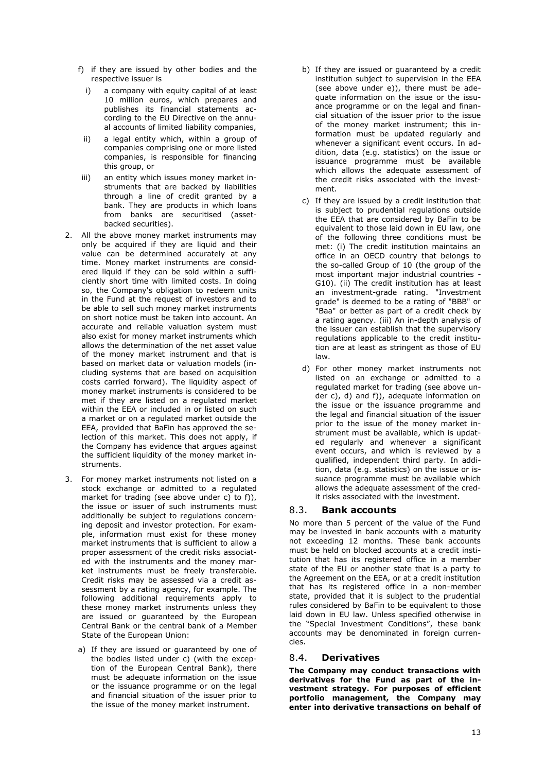- f) if they are issued by other bodies and the respective issuer is
	- i) a company with equity capital of at least 10 million euros, which prepares and publishes its financial statements according to the EU Directive on the annual accounts of limited liability companies,
- ii) a legal entity which, within a group of companies comprising one or more listed companies, is responsible for financing this group, or
- iii) an entity which issues money market instruments that are backed by liabilities through a line of credit granted by a bank. They are products in which loans from banks are securitised (assetbacked securities).
- 2. All the above money market instruments may only be acquired if they are liquid and their value can be determined accurately at any time. Money market instruments are considered liquid if they can be sold within a sufficiently short time with limited costs. In doing so, the Company's obligation to redeem units in the Fund at the request of investors and to be able to sell such money market instruments on short notice must be taken into account. An accurate and reliable valuation system must also exist for money market instruments which allows the determination of the net asset value of the money market instrument and that is based on market data or valuation models (including systems that are based on acquisition costs carried forward). The liquidity aspect of money market instruments is considered to be met if they are listed on a regulated market within the EEA or included in or listed on such a market or on a regulated market outside the EEA, provided that BaFin has approved the selection of this market. This does not apply, if the Company has evidence that argues against the sufficient liquidity of the money market instruments.
- 3. For money market instruments not listed on a stock exchange or admitted to a regulated market for trading (see above under c) to f)), the issue or issuer of such instruments must additionally be subject to regulations concerning deposit and investor protection. For example, information must exist for these money market instruments that is sufficient to allow a proper assessment of the credit risks associated with the instruments and the money market instruments must be freely transferable. Credit risks may be assessed via a credit assessment by a rating agency, for example. The following additional requirements apply to these money market instruments unless they are issued or guaranteed by the European Central Bank or the central bank of a Member State of the European Union:
	- a) If they are issued or guaranteed by one of the bodies listed under c) (with the exception of the European Central Bank), there must be adequate information on the issue or the issuance programme or on the legal and financial situation of the issuer prior to the issue of the money market instrument.
- b) If they are issued or guaranteed by a credit institution subject to supervision in the EEA (see above under e)), there must be adequate information on the issue or the issuance programme or on the legal and financial situation of the issuer prior to the issue of the money market instrument; this information must be updated regularly and whenever a significant event occurs. In addition, data (e.g. statistics) on the issue or issuance programme must be available which allows the adequate assessment of the credit risks associated with the investment.
- c) If they are issued by a credit institution that is subject to prudential regulations outside the EEA that are considered by BaFin to be equivalent to those laid down in EU law, one of the following three conditions must be met: (i) The credit institution maintains an office in an OECD country that belongs to the so-called Group of 10 (the group of the most important major industrial countries - G10). (ii) The credit institution has at least an investment-grade rating. "Investment grade" is deemed to be a rating of "BBB" or "Baa" or better as part of a credit check by a rating agency. (iii) An in-depth analysis of the issuer can establish that the supervisory regulations applicable to the credit institution are at least as stringent as those of EU law.
- d) For other money market instruments not listed on an exchange or admitted to a regulated market for trading (see above under c), d) and f)), adequate information on the issue or the issuance programme and the legal and financial situation of the issuer prior to the issue of the money market instrument must be available, which is updated regularly and whenever a significant event occurs, and which is reviewed by a qualified, independent third party. In addition, data (e.g. statistics) on the issue or issuance programme must be available which allows the adequate assessment of the credit risks associated with the investment.

### 8.3. **Bank accounts**

No more than 5 percent of the value of the Fund may be invested in bank accounts with a maturity not exceeding 12 months. These bank accounts must be held on blocked accounts at a credit institution that has its registered office in a member state of the EU or another state that is a party to the Agreement on the EEA, or at a credit institution that has its registered office in a non-member state, provided that it is subject to the prudential rules considered by BaFin to be equivalent to those laid down in EU law. Unless specified otherwise in the "Special Investment Conditions", these bank accounts may be denominated in foreign currencies.

### <span id="page-13-0"></span>8.4. **Derivatives**

**The Company may conduct transactions with derivatives for the Fund as part of the investment strategy. For purposes of efficient portfolio management, the Company may enter into derivative transactions on behalf of**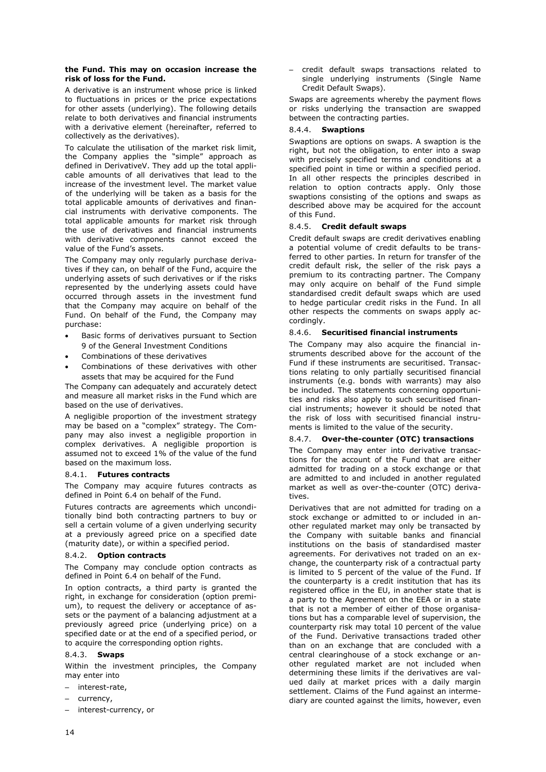#### **the Fund. This may on occasion increase the risk of loss for the Fund.**

A derivative is an instrument whose price is linked to fluctuations in prices or the price expectations for other assets (underlying). The following details relate to both derivatives and financial instruments with a derivative element (hereinafter, referred to collectively as the derivatives).

To calculate the utilisation of the market risk limit, the Company applies the "simple" approach as defined in DerivativeV. They add up the total applicable amounts of all derivatives that lead to the increase of the investment level. The market value of the underlying will be taken as a basis for the total applicable amounts of derivatives and financial instruments with derivative components. The total applicable amounts for market risk through the use of derivatives and financial instruments with derivative components cannot exceed the value of the Fund's assets.

The Company may only regularly purchase derivatives if they can, on behalf of the Fund, acquire the underlying assets of such derivatives or if the risks represented by the underlying assets could have occurred through assets in the investment fund that the Company may acquire on behalf of the Fund. On behalf of the Fund, the Company may purchase:

- Basic forms of derivatives pursuant to Section 9 of the General Investment Conditions
- Combinations of these derivatives
- Combinations of these derivatives with other assets that may be acquired for the Fund

The Company can adequately and accurately detect and measure all market risks in the Fund which are based on the use of derivatives.

A negligible proportion of the investment strategy may be based on a "complex" strategy. The Company may also invest a negligible proportion in complex derivatives. A negligible proportion is assumed not to exceed 1% of the value of the fund based on the maximum loss.

#### 8.4.1. **Futures contracts**

The Company may acquire futures contracts as defined in Point [6.4](#page-10-1) on behalf of the Fund.

Futures contracts are agreements which unconditionally bind both contracting partners to buy or sell a certain volume of a given underlying security at a previously agreed price on a specified date (maturity date), or within a specified period.

#### 8.4.2. **Option contracts**

The Company may conclude option contracts as defined in Point [6.4](#page-10-1) on behalf of the Fund.

In option contracts, a third party is granted the right, in exchange for consideration (option premium), to request the delivery or acceptance of assets or the payment of a balancing adjustment at a previously agreed price (underlying price) on a specified date or at the end of a specified period, or to acquire the corresponding option rights.

#### 8.4.3. **Swaps**

Within the investment principles, the Company may enter into

- interest-rate,
- currency,
- interest-currency, or

– credit default swaps transactions related to single underlying instruments (Single Name Credit Default Swaps).

Swaps are agreements whereby the payment flows or risks underlying the transaction are swapped between the contracting parties.

#### 8.4.4. **Swaptions**

Swaptions are options on swaps. A swaption is the right, but not the obligation, to enter into a swap with precisely specified terms and conditions at a specified point in time or within a specified period. In all other respects the principles described in relation to option contracts apply. Only those swaptions consisting of the options and swaps as described above may be acquired for the account of this Fund.

#### 8.4.5. **Credit default swaps**

Credit default swaps are credit derivatives enabling a potential volume of credit defaults to be transferred to other parties. In return for transfer of the credit default risk, the seller of the risk pays a premium to its contracting partner. The Company may only acquire on behalf of the Fund simple standardised credit default swaps which are used to hedge particular credit risks in the Fund. In all other respects the comments on swaps apply accordingly.

#### 8.4.6. **Securitised financial instruments**

The Company may also acquire the financial instruments described above for the account of the Fund if these instruments are securitised. Transactions relating to only partially securitised financial instruments (e.g. bonds with warrants) may also be included. The statements concerning opportunities and risks also apply to such securitised financial instruments; however it should be noted that the risk of loss with securitised financial instruments is limited to the value of the security.

#### 8.4.7. **Over-the-counter (OTC) transactions**

The Company may enter into derivative transactions for the account of the Fund that are either admitted for trading on a stock exchange or that are admitted to and included in another regulated market as well as over-the-counter (OTC) derivatives.

Derivatives that are not admitted for trading on a stock exchange or admitted to or included in another regulated market may only be transacted by the Company with suitable banks and financial institutions on the basis of standardised master agreements. For derivatives not traded on an exchange, the counterparty risk of a contractual party is limited to 5 percent of the value of the Fund. If the counterparty is a credit institution that has its registered office in the EU, in another state that is a party to the Agreement on the EEA or in a state that is not a member of either of those organisations but has a comparable level of supervision, the counterparty risk may total 10 percent of the value of the Fund. Derivative transactions traded other than on an exchange that are concluded with a central clearinghouse of a stock exchange or another regulated market are not included when determining these limits if the derivatives are valued daily at market prices with a daily margin settlement. Claims of the Fund against an intermediary are counted against the limits, however, even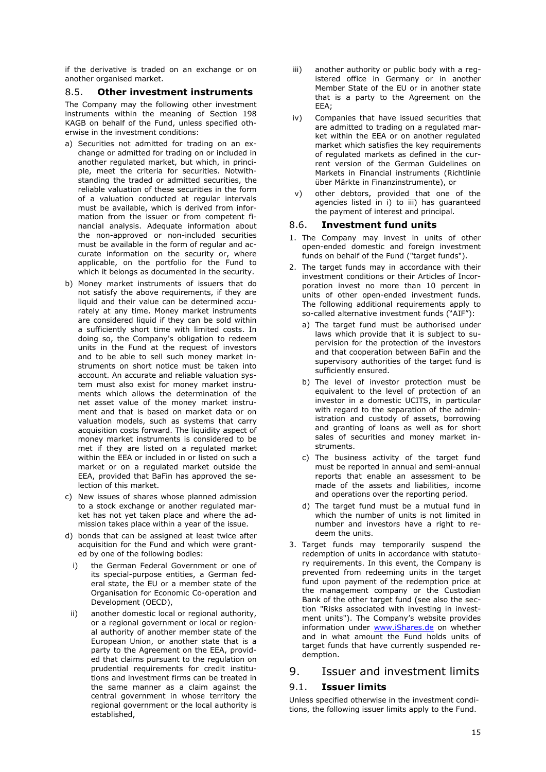if the derivative is traded on an exchange or on another organised market.

#### <span id="page-15-1"></span>8.5. **Other investment instruments**

The Company may the following other investment instruments within the meaning of Section 198 KAGB on behalf of the Fund, unless specified otherwise in the investment conditions:

- a) Securities not admitted for trading on an exchange or admitted for trading on or included in another regulated market, but which, in principle, meet the criteria for securities. Notwithstanding the traded or admitted securities, the reliable valuation of these securities in the form of a valuation conducted at regular intervals must be available, which is derived from information from the issuer or from competent financial analysis. Adequate information about the non-approved or non-included securities must be available in the form of regular and accurate information on the security or, where applicable, on the portfolio for the Fund to which it belongs as documented in the security.
- b) Money market instruments of issuers that do not satisfy the above requirements, if they are liquid and their value can be determined accurately at any time. Money market instruments are considered liquid if they can be sold within a sufficiently short time with limited costs. In doing so, the Company's obligation to redeem units in the Fund at the request of investors and to be able to sell such money market instruments on short notice must be taken into account. An accurate and reliable valuation system must also exist for money market instruments which allows the determination of the net asset value of the money market instrument and that is based on market data or on valuation models, such as systems that carry acquisition costs forward. The liquidity aspect of money market instruments is considered to be met if they are listed on a regulated market within the EEA or included in or listed on such a market or on a regulated market outside the EEA, provided that BaFin has approved the selection of this market.
- c) New issues of shares whose planned admission to a stock exchange or another regulated market has not yet taken place and where the admission takes place within a year of the issue.
- d) bonds that can be assigned at least twice after acquisition for the Fund and which were granted by one of the following bodies:
	- the German Federal Government or one of its special-purpose entities, a German federal state, the EU or a member state of the Organisation for Economic Co-operation and Development (OECD),
- ii) another domestic local or regional authority, or a regional government or local or regional authority of another member state of the European Union, or another state that is a party to the Agreement on the EEA, provided that claims pursuant to the regulation on prudential requirements for credit institutions and investment firms can be treated in the same manner as a claim against the central government in whose territory the regional government or the local authority is established,
- iii) another authority or public body with a registered office in Germany or in another Member State of the EU or in another state that is a party to the Agreement on the EEA;
- iv) Companies that have issued securities that are admitted to trading on a regulated market within the EEA or on another regulated market which satisfies the key requirements of regulated markets as defined in the current version of the German Guidelines on Markets in Financial instruments (Richtlinie über Märkte in Finanzinstrumente), or
- v) other debtors, provided that one of the agencies listed in i) to iii) has guaranteed the payment of interest and principal.

#### <span id="page-15-0"></span>8.6. **Investment fund units**

- 1. The Company may invest in units of other open-ended domestic and foreign investment funds on behalf of the Fund ("target funds").
- 2. The target funds may in accordance with their investment conditions or their Articles of Incorporation invest no more than 10 percent in units of other open-ended investment funds. The following additional requirements apply to so-called alternative investment funds ("AIF"):
	- a) The target fund must be authorised under laws which provide that it is subject to supervision for the protection of the investors and that cooperation between BaFin and the supervisory authorities of the target fund is sufficiently ensured.
	- b) The level of investor protection must be equivalent to the level of protection of an investor in a domestic UCITS, in particular with regard to the separation of the administration and custody of assets, borrowing and granting of loans as well as for short sales of securities and money market instruments.
	- c) The business activity of the target fund must be reported in annual and semi-annual reports that enable an assessment to be made of the assets and liabilities, income and operations over the reporting period.
	- d) The target fund must be a mutual fund in which the number of units is not limited in number and investors have a right to redeem the units.
- 3. Target funds may temporarily suspend the redemption of units in accordance with statutory requirements. In this event, the Company is prevented from redeeming units in the target fund upon payment of the redemption price at the management company or the Custodian Bank of the other target fund (see also the section ["Risks associated with investing in invest](#page-21-0)[ment units"](#page-21-0)). The Company's website provides information under [www.iShares.de](http://de.ishares.com/de/rc/) on whether and in what amount the Fund holds units of target funds that have currently suspended redemption.

### 9. Issuer and investment limits

### 9.1. **Issuer limits**

Unless specified otherwise in the investment conditions, the following issuer limits apply to the Fund.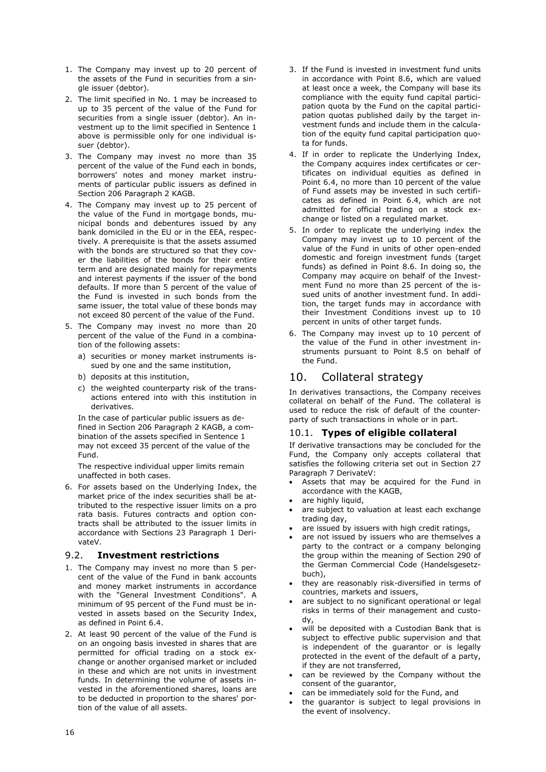- 1. The Company may invest up to 20 percent of the assets of the Fund in securities from a single issuer (debtor).
- 2. The limit specified in No. 1 may be increased to up to 35 percent of the value of the Fund for securities from a single issuer (debtor). An investment up to the limit specified in Sentence 1 above is permissible only for one individual issuer (debtor).
- 3. The Company may invest no more than 35 percent of the value of the Fund each in bonds, borrowers' notes and money market instruments of particular public issuers as defined in Section 206 Paragraph 2 KAGB.
- 4. The Company may invest up to 25 percent of the value of the Fund in mortgage bonds, municipal bonds and debentures issued by any bank domiciled in the EU or in the EEA, respectively. A prerequisite is that the assets assumed with the bonds are structured so that they cover the liabilities of the bonds for their entire term and are designated mainly for repayments and interest payments if the issuer of the bond defaults. If more than 5 percent of the value of the Fund is invested in such bonds from the same issuer, the total value of these bonds may not exceed 80 percent of the value of the Fund.
- 5. The Company may invest no more than 20 percent of the value of the Fund in a combination of the following assets:
	- a) securities or money market instruments issued by one and the same institution,
	- b) deposits at this institution,
	- c) the weighted counterparty risk of the transactions entered into with this institution in derivatives.

In the case of particular public issuers as defined in Section 206 Paragraph 2 KAGB, a combination of the assets specified in Sentence 1 may not exceed 35 percent of the value of the Fund.

The respective individual upper limits remain unaffected in both cases.

6. For assets based on the Underlying Index, the market price of the index securities shall be attributed to the respective issuer limits on a pro rata basis. Futures contracts and option contracts shall be attributed to the issuer limits in accordance with Sections 23 Paragraph 1 DerivateV.

### <span id="page-16-0"></span>9.2. **Investment restrictions**

- 1. The Company may invest no more than 5 percent of the value of the Fund in bank accounts and money market instruments in accordance with the "General Investment Conditions". A minimum of 95 percent of the Fund must be invested in assets based on the Security Index, as defined in Point [6.4.](#page-10-1)
- 2. At least 90 percent of the value of the Fund is on an ongoing basis invested in shares that are permitted for official trading on a stock exchange or another organised market or included in these and which are not units in investment funds. In determining the volume of assets invested in the aforementioned shares, loans are to be deducted in proportion to the shares' portion of the value of all assets.
- 3. If the Fund is invested in investment fund units in accordance with Point [8.6,](#page-15-0) which are valued at least once a week, the Company will base its compliance with the equity fund capital participation quota by the Fund on the capital participation quotas published daily by the target investment funds and include them in the calculation of the equity fund capital participation quota for funds.
- 4. If in order to replicate the Underlying Index, the Company acquires index certificates or certificates on individual equities as defined in Point [6.4,](#page-10-1) no more than 10 percent of the value of Fund assets may be invested in such certificates as defined in Point [6.4,](#page-10-1) which are not admitted for official trading on a stock exchange or listed on a regulated market.
- 5. In order to replicate the underlying index the Company may invest up to 10 percent of the value of the Fund in units of other open-ended domestic and foreign investment funds (target funds) as defined in Point [8.6.](#page-15-0) In doing so, the Company may acquire on behalf of the Investment Fund no more than 25 percent of the issued units of another investment fund. In addition, the target funds may in accordance with their Investment Conditions invest up to 10 percent in units of other target funds.
- 6. The Company may invest up to 10 percent of the value of the Fund in other investment instruments pursuant to Point [8.5](#page-15-1) on behalf of the Fund.

# 10. Collateral strategy

In derivatives transactions, the Company receives collateral on behalf of the Fund. The collateral is used to reduce the risk of default of the counterparty of such transactions in whole or in part.

### 10.1. **Types of eligible collateral**

If derivative transactions may be concluded for the Fund, the Company only accepts collateral that satisfies the following criteria set out in Section 27 Paragraph 7 DerivateV:

- Assets that may be acquired for the Fund in accordance with the KAGB,
- are highly liquid,
- are subject to valuation at least each exchange trading day,
- are issued by issuers with high credit ratings,
- are not issued by issuers who are themselves a party to the contract or a company belonging the group within the meaning of Section 290 of the German Commercial Code (Handelsgesetzbuch),
- they are reasonably risk-diversified in terms of countries, markets and issuers,
- are subject to no significant operational or legal risks in terms of their management and custody,
- will be deposited with a Custodian Bank that is subject to effective public supervision and that is independent of the guarantor or is legally protected in the event of the default of a party, if they are not transferred,
- can be reviewed by the Company without the consent of the guarantor,
- can be immediately sold for the Fund, and
- the guarantor is subject to legal provisions in the event of insolvency.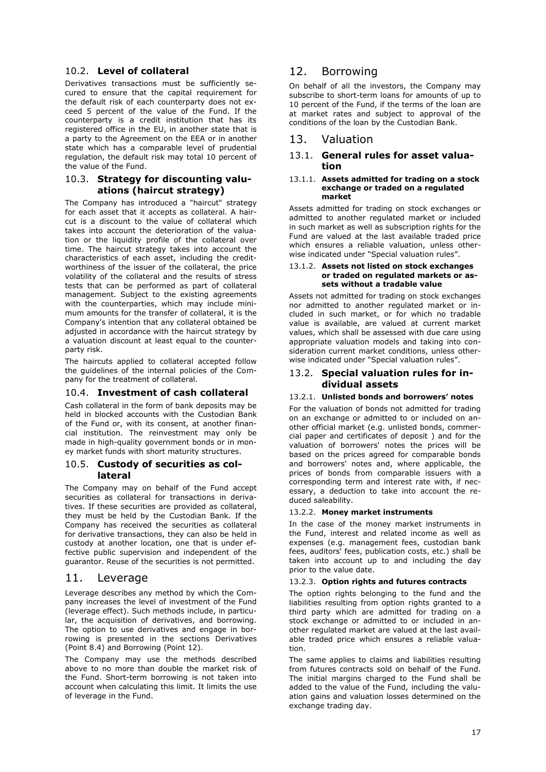### 10.2. **Level of collateral**

Derivatives transactions must be sufficiently secured to ensure that the capital requirement for the default risk of each counterparty does not exceed 5 percent of the value of the Fund. If the counterparty is a credit institution that has its registered office in the EU, in another state that is a party to the Agreement on the EEA or in another state which has a comparable level of prudential regulation, the default risk may total 10 percent of the value of the Fund.

### 10.3. **Strategy for discounting valuations (haircut strategy)**

The Company has introduced a "haircut" strategy for each asset that it accepts as collateral. A haircut is a discount to the value of collateral which takes into account the deterioration of the valuation or the liquidity profile of the collateral over time. The haircut strategy takes into account the characteristics of each asset, including the creditworthiness of the issuer of the collateral, the price volatility of the collateral and the results of stress tests that can be performed as part of collateral management. Subject to the existing agreements with the counterparties, which may include minimum amounts for the transfer of collateral, it is the Company's intention that any collateral obtained be adjusted in accordance with the haircut strategy by a valuation discount at least equal to the counterparty risk.

The haircuts applied to collateral accepted follow the guidelines of the internal policies of the Company for the treatment of collateral.

### 10.4. **Investment of cash collateral**

Cash collateral in the form of bank deposits may be held in blocked accounts with the Custodian Bank of the Fund or, with its consent, at another financial institution. The reinvestment may only be made in high-quality government bonds or in money market funds with short maturity structures.

#### 10.5. **Custody of securities as collateral**

The Company may on behalf of the Fund accept securities as collateral for transactions in derivatives. If these securities are provided as collateral, they must be held by the Custodian Bank. If the Company has received the securities as collateral for derivative transactions, they can also be held in custody at another location, one that is under effective public supervision and independent of the guarantor. Reuse of the securities is not permitted.

### 11. Leverage

Leverage describes any method by which the Company increases the level of investment of the Fund (leverage effect). Such methods include, in particular, the acquisition of derivatives, and borrowing. The option to use derivatives and engage in borrowing is presented in the sections [Derivatives](#page-13-0) (Point [8.4\)](#page-13-0) and [Borrowing](#page-17-0) (Point [12\)](#page-17-0).

The Company may use the methods described above to no more than double the market risk of the Fund. Short-term borrowing is not taken into account when calculating this limit. It limits the use of leverage in the Fund.

# <span id="page-17-1"></span><span id="page-17-0"></span>12. Borrowing

On behalf of all the investors, the Company may subscribe to short-term loans for amounts of up to 10 percent of the Fund, if the terms of the loan are at market rates and subject to approval of the conditions of the loan by the Custodian Bank.

### 13. Valuation

### 13.1. **General rules for asset valuation**

#### 13.1.1. **Assets admitted for trading on a stock exchange or traded on a regulated market**

Assets admitted for trading on stock exchanges or admitted to another regulated market or included in such market as well as subscription rights for the Fund are valued at the last available traded price which ensures a reliable valuation, unless otherwise indicated under "Special valuation rules".

#### 13.1.2. **Assets not listed on stock exchanges or traded on regulated markets or assets without a tradable value**

Assets not admitted for trading on stock exchanges nor admitted to another regulated market or included in such market, or for which no tradable value is available, are valued at current market values, which shall be assessed with due care using appropriate valuation models and taking into consideration current market conditions, unless otherwise indicated under "Special valuation rules".

### 13.2. **Special valuation rules for individual assets**

### 13.2.1. **Unlisted bonds and borrowers' notes**

For the valuation of bonds not admitted for trading on an exchange or admitted to or included on another official market (e.g. unlisted bonds, commercial paper and certificates of deposit ) and for the valuation of borrowers' notes the prices will be based on the prices agreed for comparable bonds and borrowers' notes and, where applicable, the prices of bonds from comparable issuers with a corresponding term and interest rate with, if necessary, a deduction to take into account the reduced saleability.

#### 13.2.2. **Money market instruments**

In the case of the money market instruments in the Fund, interest and related income as well as expenses (e.g. management fees, custodian bank fees, auditors' fees, publication costs, etc.) shall be taken into account up to and including the day prior to the value date.

#### 13.2.3. **Option rights and futures contracts**

The option rights belonging to the fund and the liabilities resulting from option rights granted to a third party which are admitted for trading on a stock exchange or admitted to or included in another regulated market are valued at the last available traded price which ensures a reliable valuation.

The same applies to claims and liabilities resulting from futures contracts sold on behalf of the Fund. The initial margins charged to the Fund shall be added to the value of the Fund, including the valuation gains and valuation losses determined on the exchange trading day.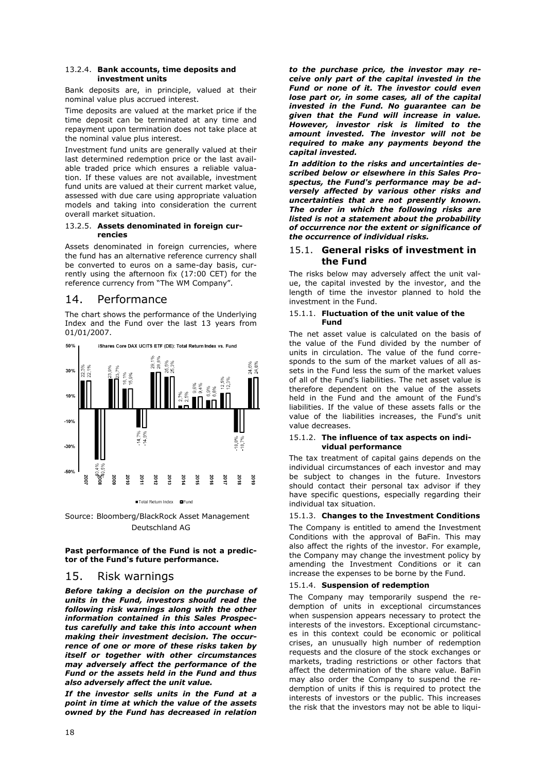#### 13.2.4. **Bank accounts, time deposits and investment units**

Bank deposits are, in principle, valued at their nominal value plus accrued interest.

Time deposits are valued at the market price if the time deposit can be terminated at any time and repayment upon termination does not take place at the nominal value plus interest.

Investment fund units are generally valued at their last determined redemption price or the last available traded price which ensures a reliable valuation. If these values are not available, investment fund units are valued at their current market value, assessed with due care using appropriate valuation models and taking into consideration the current overall market situation.

#### 13.2.5. **Assets denominated in foreign currencies**

Assets denominated in foreign currencies, where the fund has an alternative reference currency shall be converted to euros on a same-day basis, currently using the afternoon fix (17:00 CET) for the reference currency from "The WM Company".

# 14. Performance

The chart shows the performance of the Underlying Index and the Fund over the last 13 years from 01/01/2007.



Source: Bloomberg/BlackRock Asset Management Deutschland AG

#### **Past performance of the Fund is not a predictor of the Fund's future performance.**

### 15. Risk warnings

*Before taking a decision on the purchase of units in the Fund, investors should read the following risk warnings along with the other information contained in this Sales Prospectus carefully and take this into account when making their investment decision. The occurrence of one or more of these risks taken by itself or together with other circumstances may adversely affect the performance of the Fund or the assets held in the Fund and thus also adversely affect the unit value.* 

*If the investor sells units in the Fund at a point in time at which the value of the assets owned by the Fund has decreased in relation* 

*to the purchase price, the investor may receive only part of the capital invested in the Fund or none of it. The investor could even lose part or, in some cases, all of the capital invested in the Fund. No guarantee can be given that the Fund will increase in value. However, investor risk is limited to the amount invested. The investor will not be required to make any payments beyond the capital invested.* 

*In addition to the risks and uncertainties described below or elsewhere in this Sales Prospectus, the Fund's performance may be adversely affected by various other risks and uncertainties that are not presently known. The order in which the following risks are listed is not a statement about the probability of occurrence nor the extent or significance of the occurrence of individual risks.*

#### 15.1. **General risks of investment in the Fund**

The risks below may adversely affect the unit value, the capital invested by the investor, and the length of time the investor planned to hold the investment in the Fund.

#### 15.1.1. **Fluctuation of the unit value of the Fund**

The net asset value is calculated on the basis of the value of the Fund divided by the number of units in circulation. The value of the fund corresponds to the sum of the market values of all assets in the Fund less the sum of the market values of all of the Fund's liabilities. The net asset value is therefore dependent on the value of the assets held in the Fund and the amount of the Fund's liabilities. If the value of these assets falls or the value of the liabilities increases, the Fund's unit value decreases.

#### 15.1.2. **The influence of tax aspects on individual performance**

The tax treatment of capital gains depends on the individual circumstances of each investor and may be subject to changes in the future. Investors should contact their personal tax advisor if they have specific questions, especially regarding their individual tax situation.

### 15.1.3. **Changes to the Investment Conditions**

The Company is entitled to amend the Investment Conditions with the approval of BaFin. This may also affect the rights of the investor. For example, the Company may change the investment policy by amending the Investment Conditions or it can increase the expenses to be borne by the Fund.

#### 15.1.4. **Suspension of redemption**

The Company may temporarily suspend the redemption of units in exceptional circumstances when suspension appears necessary to protect the interests of the investors. Exceptional circumstances in this context could be economic or political crises, an unusually high number of redemption requests and the closure of the stock exchanges or markets, trading restrictions or other factors that affect the determination of the share value. BaFin may also order the Company to suspend the redemption of units if this is required to protect the interests of investors or the public. This increases the risk that the investors may not be able to liqui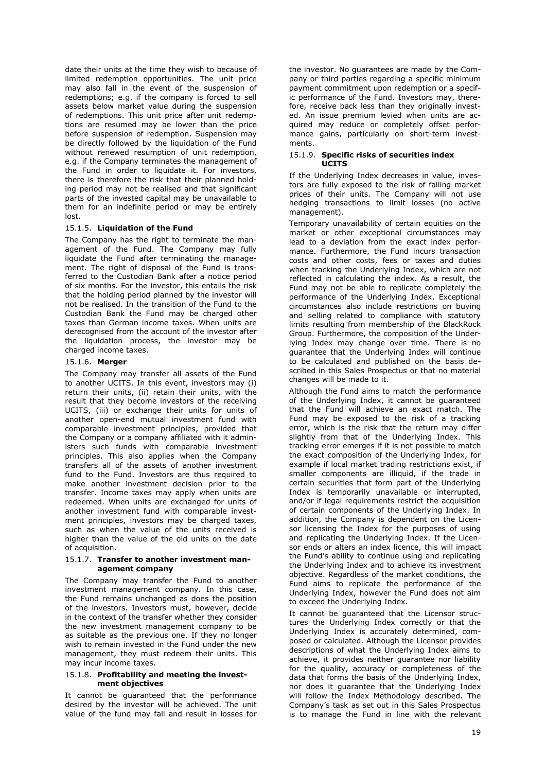date their units at the time they wish to because of limited redemption opportunities. The unit price may also fall in the event of the suspension of redemptions; e.g. if the company is forced to sell assets below market value during the suspension of redemptions. This unit price after unit redemptions are resumed may be lower than the price before suspension of redemption. Suspension may be directly followed by the liquidation of the Fund without renewed resumption of unit redemption, e.g. if the Company terminates the management of the Fund in order to liquidate it. For investors, there is therefore the risk that their planned holding period may not be realised and that significant parts of the invested capital may be unavailable to them for an indefinite period or may be entirely lost.

#### 15.1.5. **Liquidation of the Fund**

The Company has the right to terminate the management of the Fund. The Company may fully liquidate the Fund after terminating the management. The right of disposal of the Fund is transferred to the Custodian Bank after a notice period of six months. For the investor, this entails the risk that the holding period planned by the investor will not be realised. In the transition of the Fund to the Custodian Bank the Fund may be charged other taxes than German income taxes. When units are derecognised from the account of the investor after the liquidation process, the investor may be charged income taxes.

#### 15.1.6. **Merger**

The Company may transfer all assets of the Fund to another UCITS. In this event, investors may (i) return their units, (ii) retain their units, with the result that they become investors of the receiving UCITS, (iii) or exchange their units for units of another open-end mutual investment fund with comparable investment principles, provided that the Company or a company affiliated with it administers such funds with comparable investment principles. This also applies when the Company transfers all of the assets of another investment fund to the Fund. Investors are thus required to make another investment decision prior to the transfer. Income taxes may apply when units are redeemed. When units are exchanged for units of another investment fund with comparable investment principles, investors may be charged taxes, such as when the value of the units received is higher than the value of the old units on the date of acquisition.

#### 15.1.7. **Transfer to another investment management company**

The Company may transfer the Fund to another investment management company. In this case, the Fund remains unchanged as does the position of the investors. Investors must, however, decide in the context of the transfer whether they consider the new investment management company to be as suitable as the previous one. If they no longer wish to remain invested in the Fund under the new management, they must redeem their units. This may incur income taxes.

#### 15.1.8. **Profitability and meeting the investment objectives**

It cannot be guaranteed that the performance desired by the investor will be achieved. The unit value of the fund may fall and result in losses for

the investor. No guarantees are made by the Company or third parties regarding a specific minimum payment commitment upon redemption or a specific performance of the Fund. Investors may, therefore, receive back less than they originally invested. An issue premium levied when units are acquired may reduce or completely offset performance gains, particularly on short-term investments.

#### 15.1.9. **Specific risks of securities index UCITS**

If the Underlying Index decreases in value, investors are fully exposed to the risk of falling market prices of their units. The Company will not use hedging transactions to limit losses (no active management).

Temporary unavailability of certain equities on the market or other exceptional circumstances may lead to a deviation from the exact index performance. Furthermore, the Fund incurs transaction costs and other costs, fees or taxes and duties when tracking the Underlying Index, which are not reflected in calculating the index. As a result, the Fund may not be able to replicate completely the performance of the Underlying Index. Exceptional circumstances also include restrictions on buying and selling related to compliance with statutory limits resulting from membership of the BlackRock Group. Furthermore, the composition of the Underlying Index may change over time. There is no guarantee that the Underlying Index will continue to be calculated and published on the basis described in this Sales Prospectus or that no material changes will be made to it.

Although the Fund aims to match the performance of the Underlying Index, it cannot be guaranteed that the Fund will achieve an exact match. The Fund may be exposed to the risk of a tracking error, which is the risk that the return may differ slightly from that of the Underlying Index. This tracking error emerges if it is not possible to match the exact composition of the Underlying Index, for example if local market trading restrictions exist, if smaller components are illiquid, if the trade in certain securities that form part of the Underlying Index is temporarily unavailable or interrupted, and/or if legal requirements restrict the acquisition of certain components of the Underlying Index. In addition, the Company is dependent on the Licensor licensing the Index for the purposes of using and replicating the Underlying Index. If the Licensor ends or alters an index licence, this will impact the Fund's ability to continue using and replicating the Underlying Index and to achieve its investment objective. Regardless of the market conditions, the Fund aims to replicate the performance of the Underlying Index, however the Fund does not aim to exceed the Underlying Index.

It cannot be guaranteed that the Licensor structures the Underlying Index correctly or that the Underlying Index is accurately determined, composed or calculated. Although the Licensor provides descriptions of what the Underlying Index aims to achieve, it provides neither guarantee nor liability for the quality, accuracy or completeness of the data that forms the basis of the Underlying Index, nor does it guarantee that the Underlying Index will follow the Index Methodology described. The Company's task as set out in this Sales Prospectus is to manage the Fund in line with the relevant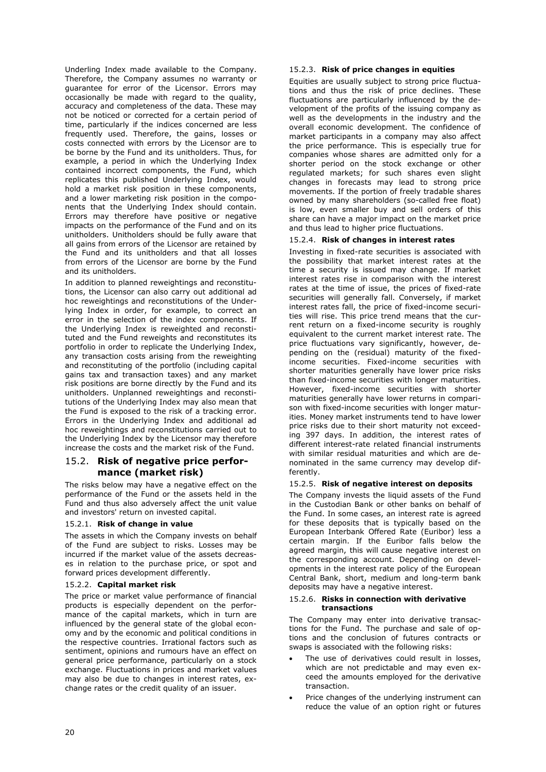Underling Index made available to the Company. Therefore, the Company assumes no warranty or guarantee for error of the Licensor. Errors may occasionally be made with regard to the quality, accuracy and completeness of the data. These may not be noticed or corrected for a certain period of time, particularly if the indices concerned are less frequently used. Therefore, the gains, losses or costs connected with errors by the Licensor are to be borne by the Fund and its unitholders. Thus, for example, a period in which the Underlying Index contained incorrect components, the Fund, which replicates this published Underlying Index, would hold a market risk position in these components, and a lower marketing risk position in the components that the Underlying Index should contain. Errors may therefore have positive or negative impacts on the performance of the Fund and on its unitholders. Unitholders should be fully aware that all gains from errors of the Licensor are retained by the Fund and its unitholders and that all losses from errors of the Licensor are borne by the Fund and its unitholders.

In addition to planned reweightings and reconstitutions, the Licensor can also carry out additional ad hoc reweightings and reconstitutions of the Underlying Index in order, for example, to correct an error in the selection of the index components. If the Underlying Index is reweighted and reconstituted and the Fund reweights and reconstitutes its portfolio in order to replicate the Underlying Index, any transaction costs arising from the reweighting and reconstituting of the portfolio (including capital gains tax and transaction taxes) and any market risk positions are borne directly by the Fund and its unitholders. Unplanned reweightings and reconstitutions of the Underlying Index may also mean that the Fund is exposed to the risk of a tracking error. Errors in the Underlying Index and additional ad hoc reweightings and reconstitutions carried out to the Underlying Index by the Licensor may therefore increase the costs and the market risk of the Fund.

### 15.2. **Risk of negative price performance (market risk)**

The risks below may have a negative effect on the performance of the Fund or the assets held in the Fund and thus also adversely affect the unit value and investors' return on invested capital.

#### 15.2.1. **Risk of change in value**

The assets in which the Company invests on behalf of the Fund are subject to risks. Losses may be incurred if the market value of the assets decreases in relation to the purchase price, or spot and forward prices development differently.

#### 15.2.2. **Capital market risk**

The price or market value performance of financial products is especially dependent on the performance of the capital markets, which in turn are influenced by the general state of the global economy and by the economic and political conditions in the respective countries. Irrational factors such as sentiment, opinions and rumours have an effect on general price performance, particularly on a stock exchange. Fluctuations in prices and market values may also be due to changes in interest rates, exchange rates or the credit quality of an issuer.

#### 15.2.3. **Risk of price changes in equities**

Equities are usually subject to strong price fluctuations and thus the risk of price declines. These fluctuations are particularly influenced by the development of the profits of the issuing company as well as the developments in the industry and the overall economic development. The confidence of market participants in a company may also affect the price performance. This is especially true for companies whose shares are admitted only for a shorter period on the stock exchange or other regulated markets; for such shares even slight changes in forecasts may lead to strong price movements. If the portion of freely tradable shares owned by many shareholders (so-called free float) is low, even smaller buy and sell orders of this share can have a major impact on the market price and thus lead to higher price fluctuations.

#### 15.2.4. **Risk of changes in interest rates**

Investing in fixed-rate securities is associated with the possibility that market interest rates at the time a security is issued may change. If market interest rates rise in comparison with the interest rates at the time of issue, the prices of fixed-rate securities will generally fall. Conversely, if market interest rates fall, the price of fixed-income securities will rise. This price trend means that the current return on a fixed-income security is roughly equivalent to the current market interest rate. The price fluctuations vary significantly, however, depending on the (residual) maturity of the fixedincome securities. Fixed-income securities with shorter maturities generally have lower price risks than fixed-income securities with longer maturities. However, fixed-income securities with shorter maturities generally have lower returns in comparison with fixed-income securities with longer maturities. Money market instruments tend to have lower price risks due to their short maturity not exceeding 397 days. In addition, the interest rates of different interest-rate related financial instruments with similar residual maturities and which are denominated in the same currency may develop differently.

#### 15.2.5. **Risk of negative interest on deposits**

The Company invests the liquid assets of the Fund in the Custodian Bank or other banks on behalf of the Fund. In some cases, an interest rate is agreed for these deposits that is typically based on the European Interbank Offered Rate (Euribor) less a certain margin. If the Euribor falls below the agreed margin, this will cause negative interest on the corresponding account. Depending on developments in the interest rate policy of the European Central Bank, short, medium and long-term bank deposits may have a negative interest.

#### 15.2.6. **Risks in connection with derivative transactions**

The Company may enter into derivative transactions for the Fund. The purchase and sale of options and the conclusion of futures contracts or swaps is associated with the following risks:

- The use of derivatives could result in losses. which are not predictable and may even exceed the amounts employed for the derivative transaction.
- Price changes of the underlying instrument can reduce the value of an option right or futures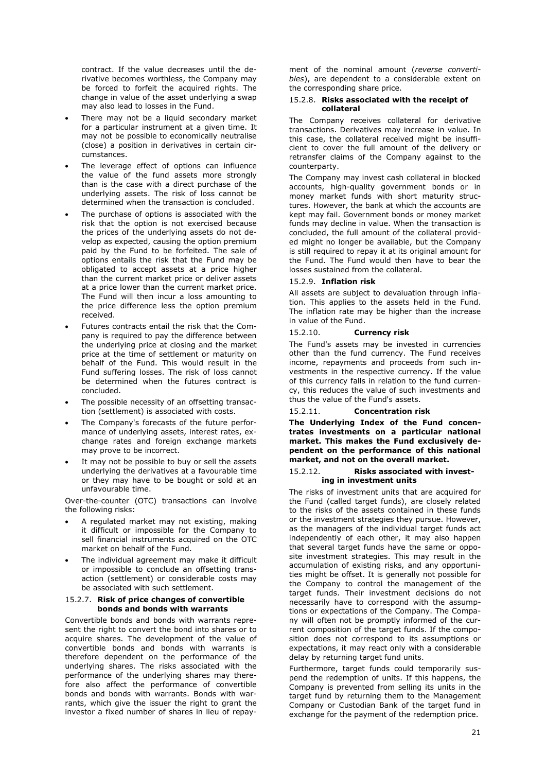contract. If the value decreases until the derivative becomes worthless, the Company may be forced to forfeit the acquired rights. The change in value of the asset underlying a swap may also lead to losses in the Fund.

- There may not be a liquid secondary market for a particular instrument at a given time. It may not be possible to economically neutralise (close) a position in derivatives in certain circumstances.
- The leverage effect of options can influence the value of the fund assets more strongly than is the case with a direct purchase of the underlying assets. The risk of loss cannot be determined when the transaction is concluded.
- The purchase of options is associated with the risk that the option is not exercised because the prices of the underlying assets do not develop as expected, causing the option premium paid by the Fund to be forfeited. The sale of options entails the risk that the Fund may be obligated to accept assets at a price higher than the current market price or deliver assets at a price lower than the current market price. The Fund will then incur a loss amounting to the price difference less the option premium received.
- Futures contracts entail the risk that the Company is required to pay the difference between the underlying price at closing and the market price at the time of settlement or maturity on behalf of the Fund. This would result in the Fund suffering losses. The risk of loss cannot be determined when the futures contract is concluded.
- The possible necessity of an offsetting transaction (settlement) is associated with costs.
- The Company's forecasts of the future performance of underlying assets, interest rates, exchange rates and foreign exchange markets may prove to be incorrect.
- It may not be possible to buy or sell the assets underlying the derivatives at a favourable time or they may have to be bought or sold at an unfavourable time.

Over-the-counter (OTC) transactions can involve the following risks:

- A regulated market may not existing, making it difficult or impossible for the Company to sell financial instruments acquired on the OTC market on behalf of the Fund.
- The individual agreement may make it difficult or impossible to conclude an offsetting transaction (settlement) or considerable costs may be associated with such settlement.

#### 15.2.7. **Risk of price changes of convertible bonds and bonds with warrants**

Convertible bonds and bonds with warrants represent the right to convert the bond into shares or to acquire shares. The development of the value of convertible bonds and bonds with warrants is therefore dependent on the performance of the underlying shares. The risks associated with the performance of the underlying shares may therefore also affect the performance of convertible bonds and bonds with warrants. Bonds with warrants, which give the issuer the right to grant the investor a fixed number of shares in lieu of repayment of the nominal amount (*reverse convertibles*), are dependent to a considerable extent on the corresponding share price.

#### 15.2.8. **Risks associated with the receipt of collateral**

The Company receives collateral for derivative transactions. Derivatives may increase in value. In this case, the collateral received might be insufficient to cover the full amount of the delivery or retransfer claims of the Company against to the counterparty.

The Company may invest cash collateral in blocked accounts, high-quality government bonds or in money market funds with short maturity structures. However, the bank at which the accounts are kept may fail. Government bonds or money market funds may decline in value. When the transaction is concluded, the full amount of the collateral provided might no longer be available, but the Company is still required to repay it at its original amount for the Fund. The Fund would then have to bear the losses sustained from the collateral.

#### 15.2.9. **Inflation risk**

All assets are subject to devaluation through inflation. This applies to the assets held in the Fund. The inflation rate may be higher than the increase in value of the Fund.

#### 15.2.10. **Currency risk**

The Fund's assets may be invested in currencies other than the fund currency. The Fund receives income, repayments and proceeds from such investments in the respective currency. If the value of this currency falls in relation to the fund currency, this reduces the value of such investments and thus the value of the Fund's assets.

#### 15.2.11. **Concentration risk**

**The Underlying Index of the Fund concentrates investments on a particular national market. This makes the Fund exclusively dependent on the performance of this national market, and not on the overall market.**

#### <span id="page-21-0"></span>15.2.12. **Risks associated with investing in investment units**

The risks of investment units that are acquired for the Fund (called target funds), are closely related to the risks of the assets contained in these funds or the investment strategies they pursue. However, as the managers of the individual target funds act independently of each other, it may also happen that several target funds have the same or opposite investment strategies. This may result in the accumulation of existing risks, and any opportunities might be offset. It is generally not possible for the Company to control the management of the target funds. Their investment decisions do not necessarily have to correspond with the assumptions or expectations of the Company. The Company will often not be promptly informed of the current composition of the target funds. If the composition does not correspond to its assumptions or expectations, it may react only with a considerable delay by returning target fund units.

Furthermore, target funds could temporarily suspend the redemption of units. If this happens, the Company is prevented from selling its units in the target fund by returning them to the Management Company or Custodian Bank of the target fund in exchange for the payment of the redemption price.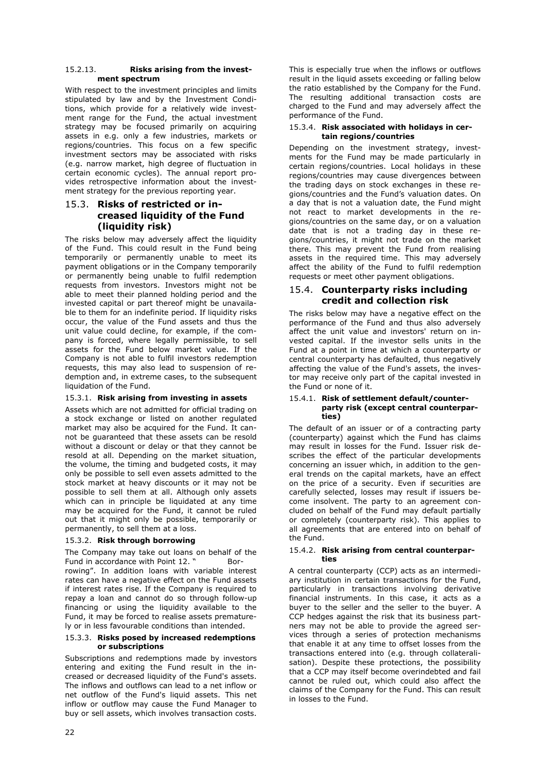#### 15.2.13. **Risks arising from the investment spectrum**

With respect to the investment principles and limits stipulated by law and by the Investment Conditions, which provide for a relatively wide investment range for the Fund, the actual investment strategy may be focused primarily on acquiring assets in e.g. only a few industries, markets or regions/countries. This focus on a few specific investment sectors may be associated with risks (e.g. narrow market, high degree of fluctuation in certain economic cycles). The annual report provides retrospective information about the investment strategy for the previous reporting year.

### 15.3. **Risks of restricted or increased liquidity of the Fund (liquidity risk)**

The risks below may adversely affect the liquidity of the Fund. This could result in the Fund being temporarily or permanently unable to meet its payment obligations or in the Company temporarily or permanently being unable to fulfil redemption requests from investors. Investors might not be able to meet their planned holding period and the invested capital or part thereof might be unavailable to them for an indefinite period. If liquidity risks occur, the value of the Fund assets and thus the unit value could decline, for example, if the company is forced, where legally permissible, to sell assets for the Fund below market value. If the Company is not able to fulfil investors redemption requests, this may also lead to suspension of redemption and, in extreme cases, to the subsequent liquidation of the Fund.

### 15.3.1. **Risk arising from investing in assets**

Assets which are not admitted for official trading on a stock exchange or listed on another regulated market may also be acquired for the Fund. It cannot be guaranteed that these assets can be resold without a discount or delay or that they cannot be resold at all. Depending on the market situation, the volume, the timing and budgeted costs, it may only be possible to sell even assets admitted to the stock market at heavy discounts or it may not be possible to sell them at all. Although only assets which can in principle be liquidated at any time may be acquired for the Fund, it cannot be ruled out that it might only be possible, temporarily or permanently, to sell them at a loss.

#### 15.3.2. **Risk through borrowing**

The Company may take out loans on behalf of the Fund in accordance with Point [12](#page-17-1). " [Bor](#page-17-1)[rowing](#page-17-1)". In addition loans with variable interest rates can have a negative effect on the Fund assets if interest rates rise. If the Company is required to repay a loan and cannot do so through follow-up financing or using the liquidity available to the Fund, it may be forced to realise assets prematurely or in less favourable conditions than intended.

#### 15.3.3. **Risks posed by increased redemptions or subscriptions**

Subscriptions and redemptions made by investors entering and exiting the Fund result in the increased or decreased liquidity of the Fund's assets. The inflows and outflows can lead to a net inflow or net outflow of the Fund's liquid assets. This net inflow or outflow may cause the Fund Manager to buy or sell assets, which involves transaction costs.

This is especially true when the inflows or outflows result in the liquid assets exceeding or falling below the ratio established by the Company for the Fund. The resulting additional transaction costs are charged to the Fund and may adversely affect the performance of the Fund.

#### 15.3.4. **Risk associated with holidays in certain regions/countries**

Depending on the investment strategy, investments for the Fund may be made particularly in certain regions/countries. Local holidays in these regions/countries may cause divergences between the trading days on stock exchanges in these regions/countries and the Fund's valuation dates. On a day that is not a valuation date, the Fund might not react to market developments in the regions/countries on the same day, or on a valuation date that is not a trading day in these regions/countries, it might not trade on the market there. This may prevent the Fund from realising assets in the required time. This may adversely affect the ability of the Fund to fulfil redemption requests or meet other payment obligations.

### 15.4. **Counterparty risks including credit and collection risk**

The risks below may have a negative effect on the performance of the Fund and thus also adversely affect the unit value and investors' return on invested capital. If the investor sells units in the Fund at a point in time at which a counterparty or central counterparty has defaulted, thus negatively affecting the value of the Fund's assets, the investor may receive only part of the capital invested in the Fund or none of it.

#### 15.4.1. **Risk of settlement default/counterparty risk (except central counterparties)**

The default of an issuer or of a contracting party (counterparty) against which the Fund has claims may result in losses for the Fund. Issuer risk describes the effect of the particular developments concerning an issuer which, in addition to the general trends on the capital markets, have an effect on the price of a security. Even if securities are carefully selected, losses may result if issuers become insolvent. The party to an agreement concluded on behalf of the Fund may default partially or completely (counterparty risk). This applies to all agreements that are entered into on behalf of the Fund.

#### 15.4.2. **Risk arising from central counterparties**

A central counterparty (CCP) acts as an intermediary institution in certain transactions for the Fund, particularly in transactions involving derivative financial instruments. In this case, it acts as a buyer to the seller and the seller to the buyer. A CCP hedges against the risk that its business partners may not be able to provide the agreed services through a series of protection mechanisms that enable it at any time to offset losses from the transactions entered into (e.g. through collateralisation). Despite these protections, the possibility that a CCP may itself become overindebted and fail cannot be ruled out, which could also affect the claims of the Company for the Fund. This can result in losses to the Fund.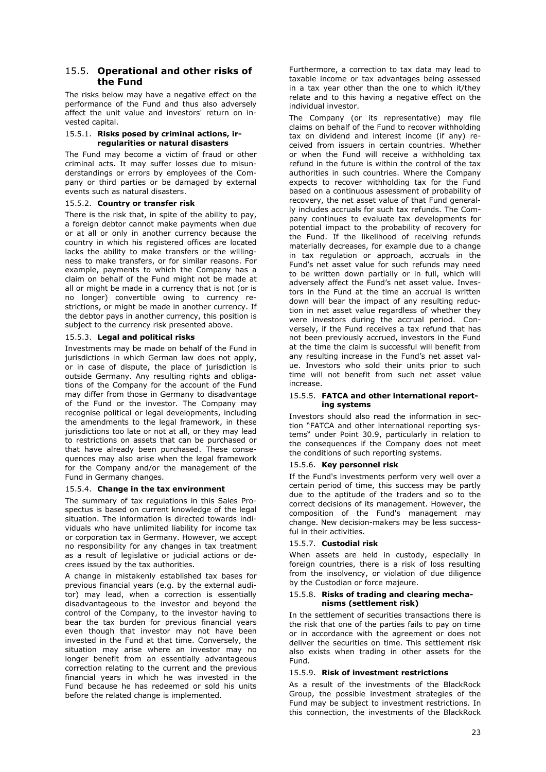### 15.5. **Operational and other risks of the Fund**

The risks below may have a negative effect on the performance of the Fund and thus also adversely affect the unit value and investors' return on invested capital.

#### 15.5.1. **Risks posed by criminal actions, irregularities or natural disasters**

The Fund may become a victim of fraud or other criminal acts. It may suffer losses due to misunderstandings or errors by employees of the Company or third parties or be damaged by external events such as natural disasters.

#### 15.5.2. **Country or transfer risk**

There is the risk that, in spite of the ability to pay, a foreign debtor cannot make payments when due or at all or only in another currency because the country in which his registered offices are located lacks the ability to make transfers or the willingness to make transfers, or for similar reasons. For example, payments to which the Company has a claim on behalf of the Fund might not be made at all or might be made in a currency that is not (or is no longer) convertible owing to currency restrictions, or might be made in another currency. If the debtor pays in another currency, this position is subject to the currency risk presented above.

#### 15.5.3. **Legal and political risks**

Investments may be made on behalf of the Fund in jurisdictions in which German law does not apply, or in case of dispute, the place of jurisdiction is outside Germany. Any resulting rights and obligations of the Company for the account of the Fund may differ from those in Germany to disadvantage of the Fund or the investor. The Company may recognise political or legal developments, including the amendments to the legal framework, in these jurisdictions too late or not at all, or they may lead to restrictions on assets that can be purchased or that have already been purchased. These consequences may also arise when the legal framework for the Company and/or the management of the Fund in Germany changes.

#### 15.5.4. **Change in the tax environment**

The summary of tax regulations in this Sales Prospectus is based on current knowledge of the legal situation. The information is directed towards individuals who have unlimited liability for income tax or corporation tax in Germany. However, we accept no responsibility for any changes in tax treatment as a result of legislative or judicial actions or decrees issued by the tax authorities.

A change in mistakenly established tax bases for previous financial years (e.g. by the external auditor) may lead, when a correction is essentially disadvantageous to the investor and beyond the control of the Company, to the investor having to bear the tax burden for previous financial years even though that investor may not have been invested in the Fund at that time. Conversely, the situation may arise where an investor may no longer benefit from an essentially advantageous correction relating to the current and the previous financial years in which he was invested in the Fund because he has redeemed or sold his units before the related change is implemented.

Furthermore, a correction to tax data may lead to taxable income or tax advantages being assessed in a tax year other than the one to which it/they relate and to this having a negative effect on the individual investor.

The Company (or its representative) may file claims on behalf of the Fund to recover withholding tax on dividend and interest income (if any) received from issuers in certain countries. Whether or when the Fund will receive a withholding tax refund in the future is within the control of the tax authorities in such countries. Where the Company expects to recover withholding tax for the Fund based on a continuous assessment of probability of recovery, the net asset value of that Fund generally includes accruals for such tax refunds. The Company continues to evaluate tax developments for potential impact to the probability of recovery for the Fund. If the likelihood of receiving refunds materially decreases, for example due to a change in tax regulation or approach, accruals in the Fund's net asset value for such refunds may need to be written down partially or in full, which will adversely affect the Fund's net asset value. Investors in the Fund at the time an accrual is written down will bear the impact of any resulting reduction in net asset value regardless of whether they were investors during the accrual period. Conversely, if the Fund receives a tax refund that has not been previously accrued, investors in the Fund at the time the claim is successful will benefit from any resulting increase in the Fund's net asset value. Investors who sold their units prior to such time will not benefit from such net asset value increase.

#### 15.5.5. **FATCA and other international reporting systems**

Investors should also read the information in section "[FATCA and other international reporting sys](#page-35-0)[tems](#page-35-0)" under Point [30.9,](#page-35-0) particularly in relation to the consequences if the Company does not meet the conditions of such reporting systems.

#### 15.5.6. **Key personnel risk**

If the Fund's investments perform very well over a certain period of time, this success may be partly due to the aptitude of the traders and so to the correct decisions of its management. However, the composition of the Fund's management may change. New decision-makers may be less successful in their activities.

#### 15.5.7. **Custodial risk**

When assets are held in custody, especially in foreign countries, there is a risk of loss resulting from the insolvency, or violation of due diligence by the Custodian or force majeure.

#### 15.5.8. **Risks of trading and clearing mechanisms (settlement risk)**

In the settlement of securities transactions there is the risk that one of the parties fails to pay on time or in accordance with the agreement or does not deliver the securities on time. This settlement risk also exists when trading in other assets for the Fund.

#### 15.5.9. **Risk of investment restrictions**

As a result of the investments of the BlackRock Group, the possible investment strategies of the Fund may be subject to investment restrictions. In this connection, the investments of the BlackRock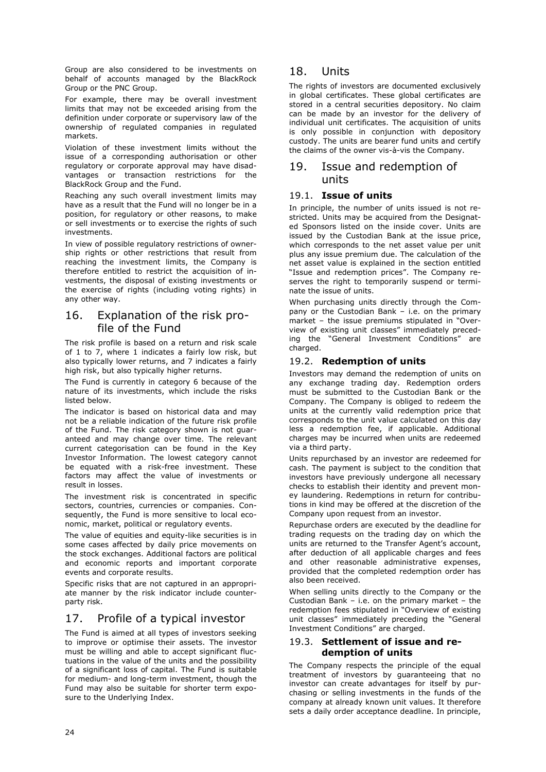Group are also considered to be investments on behalf of accounts managed by the BlackRock Group or the PNC Group.

For example, there may be overall investment limits that may not be exceeded arising from the definition under corporate or supervisory law of the ownership of regulated companies in regulated markets.

Violation of these investment limits without the issue of a corresponding authorisation or other regulatory or corporate approval may have disadvantages or transaction restrictions for the BlackRock Group and the Fund.

Reaching any such overall investment limits may have as a result that the Fund will no longer be in a position, for regulatory or other reasons, to make or sell investments or to exercise the rights of such investments.

In view of possible regulatory restrictions of ownership rights or other restrictions that result from reaching the investment limits, the Company is therefore entitled to restrict the acquisition of investments, the disposal of existing investments or the exercise of rights (including voting rights) in any other way.

# 16. Explanation of the risk profile of the Fund

The risk profile is based on a return and risk scale of 1 to 7, where 1 indicates a fairly low risk, but also typically lower returns, and 7 indicates a fairly high risk, but also typically higher returns.

The Fund is currently in category 6 because of the nature of its investments, which include the risks listed below.

The indicator is based on historical data and may not be a reliable indication of the future risk profile of the Fund. The risk category shown is not guaranteed and may change over time. The relevant current categorisation can be found in the Key Investor Information. The lowest category cannot be equated with a risk-free investment. These factors may affect the value of investments or result in losses.

The investment risk is concentrated in specific sectors, countries, currencies or companies. Consequently, the Fund is more sensitive to local economic, market, political or regulatory events.

The value of equities and equity-like securities is in some cases affected by daily price movements on the stock exchanges. Additional factors are political and economic reports and important corporate events and corporate results.

Specific risks that are not captured in an appropriate manner by the risk indicator include counterparty risk.

# 17. Profile of a typical investor

The Fund is aimed at all types of investors seeking to improve or optimise their assets. The investor must be willing and able to accept significant fluctuations in the value of the units and the possibility of a significant loss of capital. The Fund is suitable for medium- and long-term investment, though the Fund may also be suitable for shorter term exposure to the Underlying Index.

# 18. Units

The rights of investors are documented exclusively in global certificates. These global certificates are stored in a central securities depository. No claim can be made by an investor for the delivery of individual unit certificates. The acquisition of units is only possible in conjunction with depository custody. The units are bearer fund units and certify the claims of the owner vis-à-vis the Company.

# 19. Issue and redemption of units

### 19.1. **Issue of units**

In principle, the number of units issued is not restricted. Units may be acquired from the Designated Sponsors listed on the inside cover. Units are issued by the Custodian Bank at the issue price, which corresponds to the net asset value per unit plus any issue premium due. The calculation of the net asset value is explained in the section entitled "[Issue and redemption prices](#page-27-0)". The Company reserves the right to temporarily suspend or terminate the issue of units.

When purchasing units directly through the Company or the Custodian Bank – i.e. on the primary market – the issue premiums stipulated in "Overview of existing unit classes" immediately preceding the "General Investment Conditions" are charged.

### <span id="page-24-1"></span>19.2. **Redemption of units**

Investors may demand the redemption of units on any exchange trading day. Redemption orders must be submitted to the Custodian Bank or the Company. The Company is obliged to redeem the units at the currently valid redemption price that corresponds to the unit value calculated on this day less a redemption fee, if applicable. Additional charges may be incurred when units are redeemed via a third party.

Units repurchased by an investor are redeemed for cash. The payment is subject to the condition that investors have previously undergone all necessary checks to establish their identity and prevent money laundering. Redemptions in return for contributions in kind may be offered at the discretion of the Company upon request from an investor.

Repurchase orders are executed by the deadline for trading requests on the trading day on which the units are returned to the Transfer Agent's account, after deduction of all applicable charges and fees and other reasonable administrative expenses, provided that the completed redemption order has also been received.

When selling units directly to the Company or the Custodian Bank – i.e. on the primary market – the redemption fees stipulated in "Overview of existing unit classes" immediately preceding the "General Investment Conditions" are charged.

### <span id="page-24-0"></span>19.3. **Settlement of issue and redemption of units**

The Company respects the principle of the equal treatment of investors by guaranteeing that no investor can create advantages for itself by purchasing or selling investments in the funds of the company at already known unit values. It therefore sets a daily order acceptance deadline. In principle,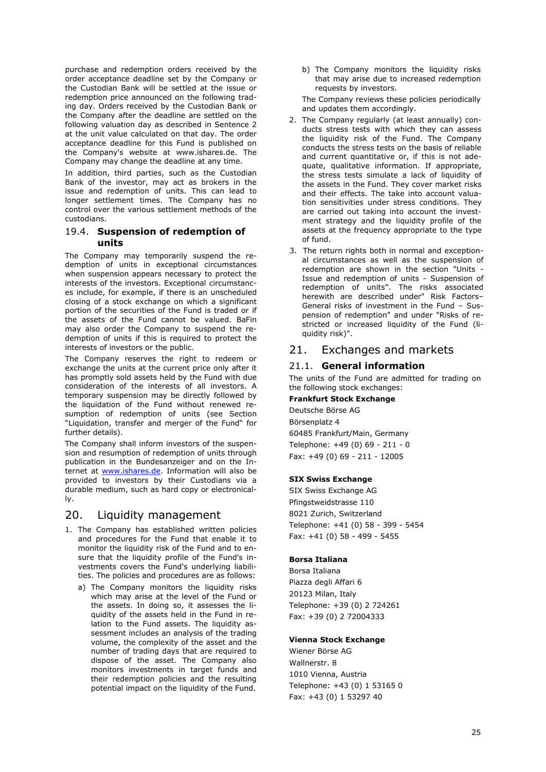purchase and redemption orders received by the order acceptance deadline set by the Company or the Custodian Bank will be settled at the issue or redemption price announced on the following trading day. Orders received by the Custodian Bank or the Company after the deadline are settled on the following valuation day as described in Sentence 2 at the unit value calculated on that day. The order acceptance deadline for this Fund is published on the Company's website at www.ishares.de. The Company may change the deadline at any time.

In addition, third parties, such as the Custodian Bank of the investor, may act as brokers in the issue and redemption of units. This can lead to longer settlement times. The Company has no control over the various settlement methods of the custodians.

### <span id="page-25-2"></span><span id="page-25-1"></span>19.4. **Suspension of redemption of units**

The Company may temporarily suspend the redemption of units in exceptional circumstances when suspension appears necessary to protect the interests of the investors. Exceptional circumstances include, for example, if there is an unscheduled closing of a stock exchange on which a significant portion of the securities of the Fund is traded or if the assets of the Fund cannot be valued. BaFin may also order the Company to suspend the redemption of units if this is required to protect the interests of investors or the public.

The Company reserves the right to redeem or exchange the units at the current price only after it has promptly sold assets held by the Fund with due consideration of the interests of all investors. A temporary suspension may be directly followed by the liquidation of the Fund without renewed resumption of redemption of units (see Section "[Liquidation, transfer and merger of the Fund](#page-29-0)" for further details).

The Company shall inform investors of the suspension and resumption of redemption of units through publication in the Bundesanzeiger and on the Internet at [www.ishares.de.](http://de.ishares.com/de/rc/) Information will also be provided to investors by their Custodians via a durable medium, such as hard copy or electronically.

### <span id="page-25-0"></span>20. Liquidity management

- 1. The Company has established written policies and procedures for the Fund that enable it to monitor the liquidity risk of the Fund and to ensure that the liquidity profile of the Fund's investments covers the Fund's underlying liabilities. The policies and procedures are as follows:
	- a) The Company monitors the liquidity risks which may arise at the level of the Fund or the assets. In doing so, it assesses the liquidity of the assets held in the Fund in relation to the Fund assets. The liquidity assessment includes an analysis of the trading volume, the complexity of the asset and the number of trading days that are required to dispose of the asset. The Company also monitors investments in target funds and their redemption policies and the resulting potential impact on the liquidity of the Fund.

b) The Company monitors the liquidity risks that may arise due to increased redemption requests by investors.

The Company reviews these policies periodically and updates them accordingly.

- 2. The Company regularly (at least annually) conducts stress tests with which they can assess the liquidity risk of the Fund. The Company conducts the stress tests on the basis of reliable and current quantitative or, if this is not adequate, qualitative information. If appropriate, the stress tests simulate a lack of liquidity of the assets in the Fund. They cover market risks and their effects. The take into account valuation sensitivities under stress conditions. They are carried out taking into account the investment strategy and the liquidity profile of the assets at the frequency appropriate to the type of fund.
- 3. The return rights both in normal and exceptional circumstances as well as the suspension of redemption are shown in the section "Units - Issue and redemption of units - Suspension of redemption of units". The risks associated herewith are described under" Risk Factors– General risks of investment in the Fund – Suspension of redemption" and under "Risks of restricted or increased liquidity of the Fund (liquidity risk)".

# 21. Exchanges and markets

### 21.1. **General information**

The units of the Fund are admitted for trading on the following stock exchanges:

### **Frankfurt Stock Exchange**

Deutsche Börse AG Börsenplatz 4 60485 Frankfurt/Main, Germany Telephone: +49 (0) 69 - 211 - 0 Fax: +49 (0) 69 - 211 - 12005

### **SIX Swiss Exchange**

SIX Swiss Exchange AG Pfingstweidstrasse 110 8021 Zurich, Switzerland Telephone: +41 (0) 58 - 399 - 5454 Fax: +41 (0) 58 - 499 - 5455

### **Borsa Italiana**

Borsa Italiana Piazza degli Affari 6 20123 Milan, Italy Telephone: +39 (0) 2 724261 Fax: +39 (0) 2 72004333

### **Vienna Stock Exchange**

Wiener Börse AG Wallnerstr. 8 1010 Vienna, Austria Telephone: +43 (0) 1 53165 0 Fax: +43 (0) 1 53297 40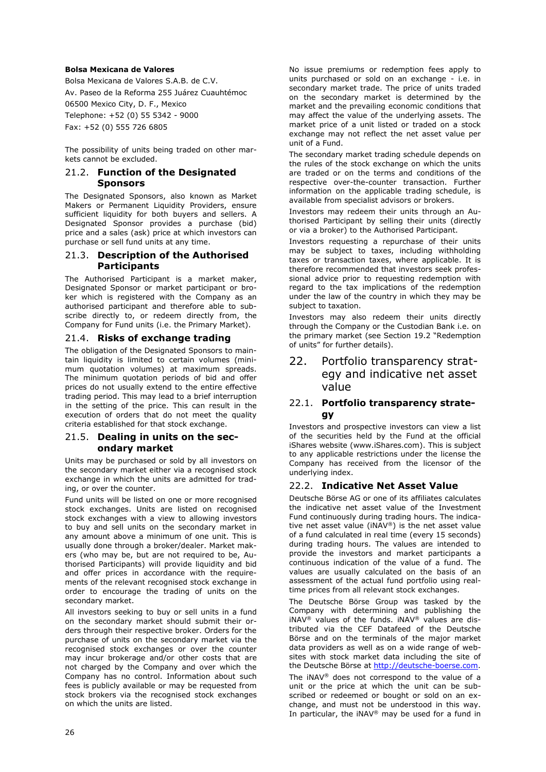#### **Bolsa Mexicana de Valores**

Bolsa Mexicana de Valores S.A.B. de C.V. Av. Paseo de la Reforma 255 Juárez Cuauhtémoc 06500 Mexico City, D. F., Mexico Telephone: +52 (0) 55 5342 - 9000 Fax: +52 (0) 555 726 6805

The possibility of units being traded on other markets cannot be excluded.

### 21.2. **Function of the Designated Sponsors**

The Designated Sponsors, also known as Market Makers or Permanent Liquidity Providers, ensure sufficient liquidity for both buyers and sellers. A Designated Sponsor provides a purchase (bid) price and a sales (ask) price at which investors can purchase or sell fund units at any time.

### 21.3. **Description of the Authorised Participants**

The Authorised Participant is a market maker, Designated Sponsor or market participant or broker which is registered with the Company as an authorised participant and therefore able to subscribe directly to, or redeem directly from, the Company for Fund units (i.e. the Primary Market).

### 21.4. **Risks of exchange trading**

The obligation of the Designated Sponsors to maintain liquidity is limited to certain volumes (minimum quotation volumes) at maximum spreads. The minimum quotation periods of bid and offer prices do not usually extend to the entire effective trading period. This may lead to a brief interruption in the setting of the price. This can result in the execution of orders that do not meet the quality criteria established for that stock exchange.

### 21.5. **Dealing in units on the secondary market**

Units may be purchased or sold by all investors on the secondary market either via a recognised stock exchange in which the units are admitted for trading, or over the counter.

Fund units will be listed on one or more recognised stock exchanges. Units are listed on recognised stock exchanges with a view to allowing investors to buy and sell units on the secondary market in any amount above a minimum of one unit. This is usually done through a broker/dealer. Market makers (who may be, but are not required to be, Authorised Participants) will provide liquidity and bid and offer prices in accordance with the requirements of the relevant recognised stock exchange in order to encourage the trading of units on the secondary market.

All investors seeking to buy or sell units in a fund on the secondary market should submit their orders through their respective broker. Orders for the purchase of units on the secondary market via the recognised stock exchanges or over the counter may incur brokerage and/or other costs that are not charged by the Company and over which the Company has no control. Information about such fees is publicly available or may be requested from stock brokers via the recognised stock exchanges on which the units are listed.

No issue premiums or redemption fees apply to units purchased or sold on an exchange - i.e. in secondary market trade. The price of units traded on the secondary market is determined by the market and the prevailing economic conditions that may affect the value of the underlying assets. The market price of a unit listed or traded on a stock exchange may not reflect the net asset value per unit of a Fund.

The secondary market trading schedule depends on the rules of the stock exchange on which the units are traded or on the terms and conditions of the respective over-the-counter transaction. Further information on the applicable trading schedule, is available from specialist advisors or brokers.

Investors may redeem their units through an Authorised Participant by selling their units (directly or via a broker) to the Authorised Participant.

Investors requesting a repurchase of their units may be subject to taxes, including withholding taxes or transaction taxes, where applicable. It is therefore recommended that investors seek professional advice prior to requesting redemption with regard to the tax implications of the redemption under the law of the country in which they may be subject to taxation.

Investors may also redeem their units directly through the Company or the Custodian Bank i.e. on the primary market (see Section [19.2](#page-24-1) "[Redemption](#page-24-1)  [of units](#page-24-1)" for further details).

# 22. Portfolio transparency strategy and indicative net asset value

### 22.1. **Portfolio transparency strategy**

Investors and prospective investors can view a list of the securities held by the Fund at the official iShares website [\(www.iShares.com\)](http://www.ishares.com/). This is subject to any applicable restrictions under the license the Company has received from the licensor of the underlying index.

### 22.2. **Indicative Net Asset Value**

Deutsche Börse AG or one of its affiliates calculates the indicative net asset value of the Investment Fund continuously during trading hours. The indicative net asset value (iNAV®) is the net asset value of a fund calculated in real time (every 15 seconds) during trading hours. The values are intended to provide the investors and market participants a continuous indication of the value of a fund. The values are usually calculated on the basis of an assessment of the actual fund portfolio using realtime prices from all relevant stock exchanges.

The Deutsche Börse Group was tasked by the Company with determining and publishing the iNAV® values of the funds. iNAV® values are distributed via the CEF Datafeed of the Deutsche Börse and on the terminals of the major market data providers as well as on a wide range of websites with stock market data including the site of the Deutsche Börse at [http://deutsche-boerse.com.](http://deutsche-boerse.com/) The iNAV® does not correspond to the value of a unit or the price at which the unit can be subscribed or redeemed or bought or sold on an exchange, and must not be understood in this way. In particular, the iNAV<sup>®</sup> may be used for a fund in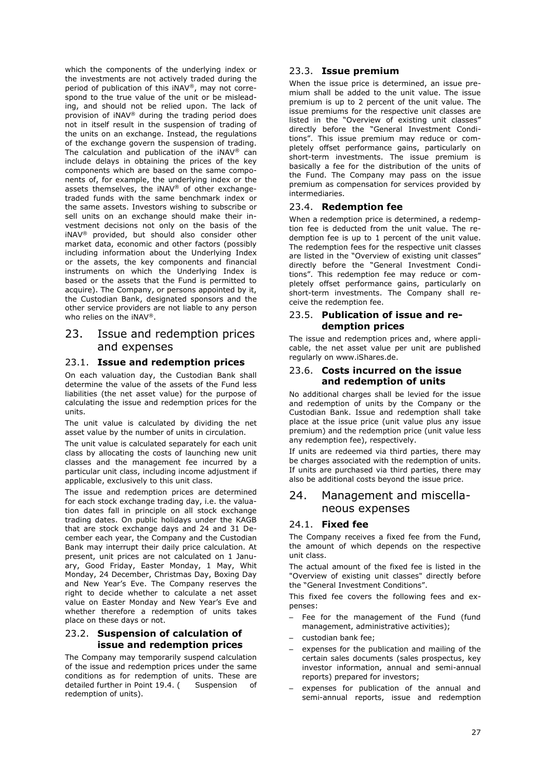which the components of the underlying index or the investments are not actively traded during the period of publication of this iNAV®, may not correspond to the true value of the unit or be misleading, and should not be relied upon. The lack of provision of iNAV® during the trading period does not in itself result in the suspension of trading of the units on an exchange. Instead, the regulations of the exchange govern the suspension of trading. The calculation and publication of the iNAV® can include delays in obtaining the prices of the key components which are based on the same components of, for example, the underlying index or the assets themselves, the iNAV® of other exchangetraded funds with the same benchmark index or the same assets. Investors wishing to subscribe or sell units on an exchange should make their investment decisions not only on the basis of the iNAV® provided, but should also consider other market data, economic and other factors (possibly including information about the Underlying Index or the assets, the key components and financial instruments on which the Underlying Index is based or the assets that the Fund is permitted to acquire). The Company, or persons appointed by it, the Custodian Bank, designated sponsors and the other service providers are not liable to any person who relies on the iNAV®.

## 23. Issue and redemption prices and expenses

### <span id="page-27-0"></span>23.1. **Issue and redemption prices**

On each valuation day, the Custodian Bank shall determine the value of the assets of the Fund less liabilities (the net asset value) for the purpose of calculating the issue and redemption prices for the units.

The unit value is calculated by dividing the net asset value by the number of units in circulation.

The unit value is calculated separately for each unit class by allocating the costs of launching new unit classes and the management fee incurred by a particular unit class, including income adjustment if applicable, exclusively to this unit class.

The issue and redemption prices are determined for each stock exchange trading day, i.e. the valuation dates fall in principle on all stock exchange trading dates. On public holidays under the KAGB that are stock exchange days and 24 and 31 December each year, the Company and the Custodian Bank may interrupt their daily price calculation. At present, unit prices are not calculated on 1 January, Good Friday, Easter Monday, 1 May, Whit Monday, 24 December, Christmas Day, Boxing Day and New Year's Eve. The Company reserves the right to decide whether to calculate a net asset value on Easter Monday and New Year's Eve and whether therefore a redemption of units takes place on these days or not.

### 23.2. **Suspension of calculation of issue and redemption prices**

The Company may temporarily suspend calculation of the issue and redemption prices under the same conditions as for redemption of units. These are detailed further in Point [19.4.](#page-25-2) ( Suspension of [redemption of units\)](#page-25-2).

### 23.3. **Issue premium**

When the issue price is determined, an issue premium shall be added to the unit value. The issue premium is up to 2 percent of the unit value. The issue premiums for the respective unit classes are listed in the "Overview of existing unit classes" directly before the "General Investment Conditions". This issue premium may reduce or completely offset performance gains, particularly on short-term investments. The issue premium is basically a fee for the distribution of the units of the Fund. The Company may pass on the issue premium as compensation for services provided by intermediaries.

### 23.4. **Redemption fee**

When a redemption price is determined, a redemption fee is deducted from the unit value. The redemption fee is up to 1 percent of the unit value. The redemption fees for the respective unit classes are listed in the "Overview of existing unit classes" directly before the "General Investment Conditions". This redemption fee may reduce or completely offset performance gains, particularly on short-term investments. The Company shall receive the redemption fee.

### 23.5. **Publication of issue and redemption prices**

The issue and redemption prices and, where applicable, the net asset value per unit are published regularly on www.iShares.de.

### 23.6. **Costs incurred on the issue and redemption of units**

No additional charges shall be levied for the issue and redemption of units by the Company or the Custodian Bank. Issue and redemption shall take place at the issue price (unit value plus any issue premium) and the redemption price (unit value less any redemption fee), respectively.

If units are redeemed via third parties, there may be charges associated with the redemption of units. If units are purchased via third parties, there may also be additional costs beyond the issue price.

# 24. Management and miscellaneous expenses

### <span id="page-27-2"></span><span id="page-27-1"></span>24.1. **Fixed fee**

The Company receives a fixed fee from the Fund, the amount of which depends on the respective unit class.

The actual amount of the fixed fee is listed in the "Overview of existing unit classes" directly before the "General Investment Conditions".

This fixed fee covers the following fees and expenses:

- Fee for the management of the Fund (fund management, administrative activities);
- custodian bank fee;
- expenses for the publication and mailing of the certain sales documents (sales prospectus, key investor information, annual and semi-annual reports) prepared for investors;
- expenses for publication of the annual and semi-annual reports, issue and redemption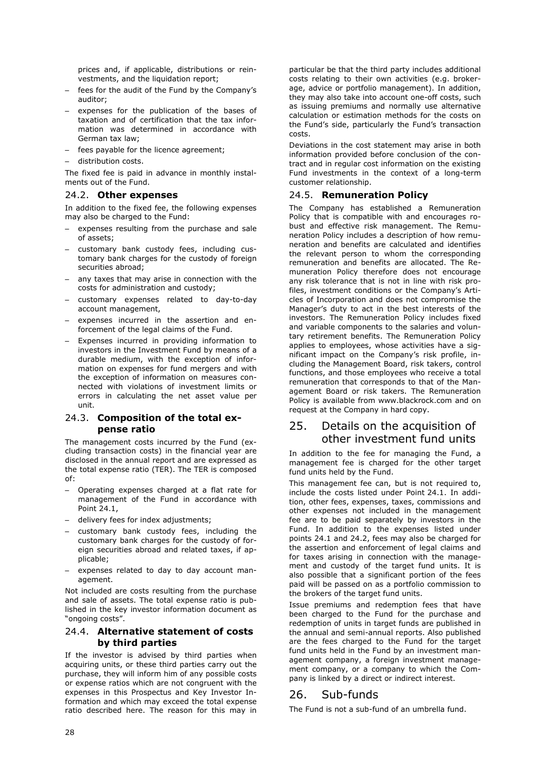prices and, if applicable, distributions or reinvestments, and the liquidation report;

- fees for the audit of the Fund by the Company's auditor;
- expenses for the publication of the bases of taxation and of certification that the tax information was determined in accordance with German tax law;
- fees payable for the licence agreement;
- distribution costs.

The fixed fee is paid in advance in monthly instalments out of the Fund.

#### <span id="page-28-0"></span>24.2. **Other expenses**

In addition to the fixed fee, the following expenses may also be charged to the Fund:

- expenses resulting from the purchase and sale of assets;
- customary bank custody fees, including customary bank charges for the custody of foreign securities abroad;
- any taxes that may arise in connection with the costs for administration and custody;
- customary expenses related to day-to-day account management,
- expenses incurred in the assertion and enforcement of the legal claims of the Fund.
- Expenses incurred in providing information to investors in the Investment Fund by means of a durable medium, with the exception of information on expenses for fund mergers and with the exception of information on measures connected with violations of investment limits or errors in calculating the net asset value per unit.

### 24.3. **Composition of the total expense ratio**

The management costs incurred by the Fund (excluding transaction costs) in the financial year are disclosed in the annual report and are expressed as the total expense ratio (TER). The TER is composed of:

- Operating expenses charged at a flat rate for management of the Fund in accordance with Point [24.1,](#page-27-1)
- delivery fees for index adjustments;
- customary bank custody fees, including the customary bank charges for the custody of foreign securities abroad and related taxes, if applicable;
- expenses related to day to day account management.

Not included are costs resulting from the purchase and sale of assets. The total expense ratio is published in the key investor information document as "ongoing costs".

### 24.4. **Alternative statement of costs by third parties**

If the investor is advised by third parties when acquiring units, or these third parties carry out the purchase, they will inform him of any possible costs or expense ratios which are not congruent with the expenses in this Prospectus and Key Investor Information and which may exceed the total expense ratio described here. The reason for this may in

particular be that the third party includes additional costs relating to their own activities (e.g. brokerage, advice or portfolio management). In addition, they may also take into account one-off costs, such as issuing premiums and normally use alternative calculation or estimation methods for the costs on the Fund's side, particularly the Fund's transaction costs.

Deviations in the cost statement may arise in both information provided before conclusion of the contract and in regular cost information on the existing Fund investments in the context of a long-term customer relationship.

### 24.5. **Remuneration Policy**

The Company has established a Remuneration Policy that is compatible with and encourages robust and effective risk management. The Remuneration Policy includes a description of how remuneration and benefits are calculated and identifies the relevant person to whom the corresponding remuneration and benefits are allocated. The Remuneration Policy therefore does not encourage any risk tolerance that is not in line with risk profiles, investment conditions or the Company's Articles of Incorporation and does not compromise the Manager's duty to act in the best interests of the investors. The Remuneration Policy includes fixed and variable components to the salaries and voluntary retirement benefits. The Remuneration Policy applies to employees, whose activities have a significant impact on the Company's risk profile, including the Management Board, risk takers, control functions, and those employees who receive a total remuneration that corresponds to that of the Management Board or risk takers. The Remuneration Policy is available from www.blackrock.com and on request at the Company in hard copy.

# 25. Details on the acquisition of other investment fund units

In addition to the fee for managing the Fund, a management fee is charged for the other target fund units held by the Fund.

This management fee can, but is not required to, include the costs listed under Point [24.1.](#page-27-2) In addition, other fees, expenses, taxes, commissions and other expenses not included in the management fee are to be paid separately by investors in the Fund. In addition to the expenses listed under points [24.1](#page-27-2) and [24.2,](#page-28-0) fees may also be charged for the assertion and enforcement of legal claims and for taxes arising in connection with the management and custody of the target fund units. It is also possible that a significant portion of the fees paid will be passed on as a portfolio commission to the brokers of the target fund units.

Issue premiums and redemption fees that have been charged to the Fund for the purchase and redemption of units in target funds are published in the annual and semi-annual reports. Also published are the fees charged to the Fund for the target fund units held in the Fund by an investment management company, a foreign investment management company, or a company to which the Company is linked by a direct or indirect interest.

### 26. Sub-funds

The Fund is not a sub-fund of an umbrella fund.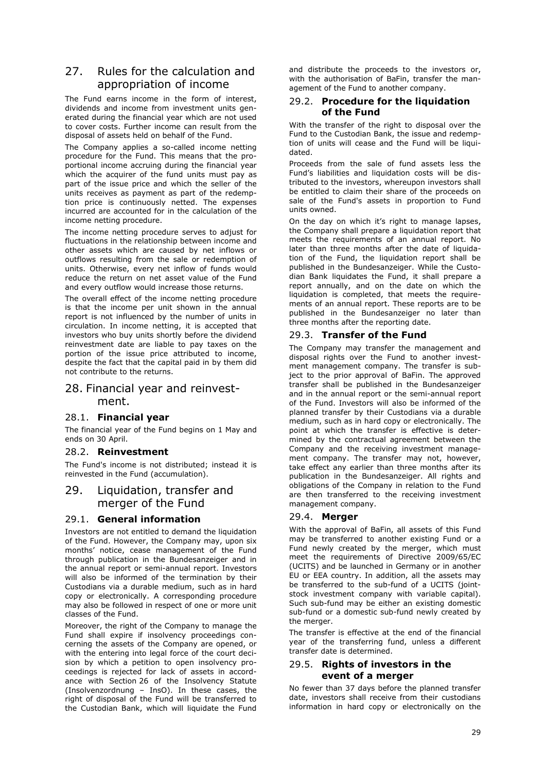# 27. Rules for the calculation and appropriation of income

The Fund earns income in the form of interest, dividends and income from investment units generated during the financial year which are not used to cover costs. Further income can result from the disposal of assets held on behalf of the Fund.

The Company applies a so-called income netting procedure for the Fund. This means that the proportional income accruing during the financial year which the acquirer of the fund units must pay as part of the issue price and which the seller of the units receives as payment as part of the redemption price is continuously netted. The expenses incurred are accounted for in the calculation of the income netting procedure.

The income netting procedure serves to adjust for fluctuations in the relationship between income and other assets which are caused by net inflows or outflows resulting from the sale or redemption of units. Otherwise, every net inflow of funds would reduce the return on net asset value of the Fund and every outflow would increase those returns.

The overall effect of the income netting procedure is that the income per unit shown in the annual report is not influenced by the number of units in circulation. In income netting, it is accepted that investors who buy units shortly before the dividend reinvestment date are liable to pay taxes on the portion of the issue price attributed to income, despite the fact that the capital paid in by them did not contribute to the returns.

### 28. Financial year and reinvestment.

### 28.1. **Financial year**

The financial year of the Fund begins on 1 May and ends on 30 April.

### 28.2. **Reinvestment**

The Fund's income is not distributed; instead it is reinvested in the Fund (accumulation).

# <span id="page-29-0"></span>29. Liquidation, transfer and merger of the Fund

### 29.1. **General information**

Investors are not entitled to demand the liquidation of the Fund. However, the Company may, upon six months' notice, cease management of the Fund through publication in the Bundesanzeiger and in the annual report or semi-annual report. Investors will also be informed of the termination by their Custodians via a durable medium, such as in hard copy or electronically. A corresponding procedure may also be followed in respect of one or more unit classes of the Fund.

Moreover, the right of the Company to manage the Fund shall expire if insolvency proceedings concerning the assets of the Company are opened, or with the entering into legal force of the court decision by which a petition to open insolvency proceedings is rejected for lack of assets in accordance with Section 26 of the Insolvency Statute (Insolvenzordnung – InsO). In these cases, the right of disposal of the Fund will be transferred to the Custodian Bank, which will liquidate the Fund

and distribute the proceeds to the investors or, with the authorisation of BaFin, transfer the management of the Fund to another company.

### 29.2. **Procedure for the liquidation of the Fund**

With the transfer of the right to disposal over the Fund to the Custodian Bank, the issue and redemption of units will cease and the Fund will be liquidated.

Proceeds from the sale of fund assets less the Fund's liabilities and liquidation costs will be distributed to the investors, whereupon investors shall be entitled to claim their share of the proceeds on sale of the Fund's assets in proportion to Fund units owned.

On the day on which it's right to manage lapses, the Company shall prepare a liquidation report that meets the requirements of an annual report. No later than three months after the date of liquidation of the Fund, the liquidation report shall be published in the Bundesanzeiger. While the Custodian Bank liquidates the Fund, it shall prepare a report annually, and on the date on which the liquidation is completed, that meets the requirements of an annual report. These reports are to be published in the Bundesanzeiger no later than three months after the reporting date.

### 29.3. **Transfer of the Fund**

The Company may transfer the management and disposal rights over the Fund to another investment management company. The transfer is subject to the prior approval of BaFin. The approved transfer shall be published in the Bundesanzeiger and in the annual report or the semi-annual report of the Fund. Investors will also be informed of the planned transfer by their Custodians via a durable medium, such as in hard copy or electronically. The point at which the transfer is effective is determined by the contractual agreement between the Company and the receiving investment management company. The transfer may not, however, take effect any earlier than three months after its publication in the Bundesanzeiger. All rights and obligations of the Company in relation to the Fund are then transferred to the receiving investment management company.

### 29.4. **Merger**

With the approval of BaFin, all assets of this Fund may be transferred to another existing Fund or a Fund newly created by the merger, which must meet the requirements of Directive 2009/65/EC (UCITS) and be launched in Germany or in another EU or EEA country. In addition, all the assets may be transferred to the sub-fund of a UCITS (jointstock investment company with variable capital). Such sub-fund may be either an existing domestic sub-fund or a domestic sub-fund newly created by the merger.

The transfer is effective at the end of the financial year of the transferring fund, unless a different transfer date is determined.

### 29.5. **Rights of investors in the event of a merger**

No fewer than 37 days before the planned transfer date, investors shall receive from their custodians information in hard copy or electronically on the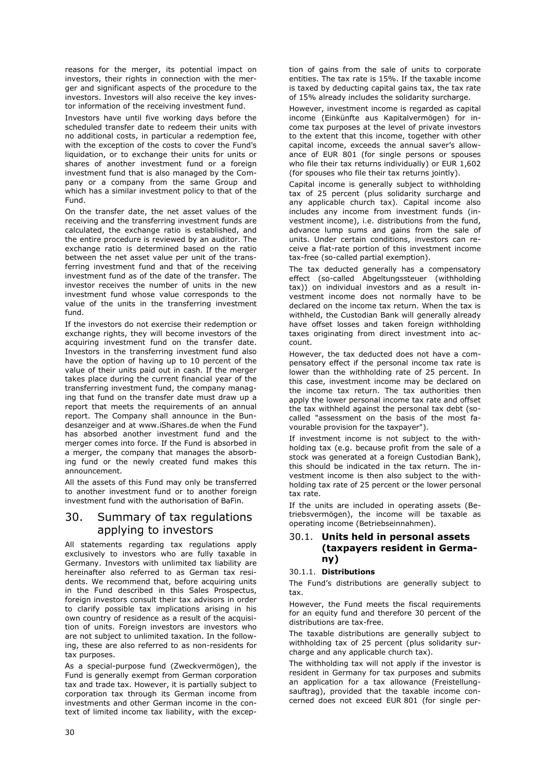reasons for the merger, its potential impact on investors, their rights in connection with the merger and significant aspects of the procedure to the investors. Investors will also receive the key investor information of the receiving investment fund.

Investors have until five working days before the scheduled transfer date to redeem their units with no additional costs, in particular a redemption fee, with the exception of the costs to cover the Fund's liquidation, or to exchange their units for units or shares of another investment fund or a foreign investment fund that is also managed by the Company or a company from the same Group and which has a similar investment policy to that of the Fund.

On the transfer date, the net asset values of the receiving and the transferring investment funds are calculated, the exchange ratio is established, and the entire procedure is reviewed by an auditor. The exchange ratio is determined based on the ratio between the net asset value per unit of the transferring investment fund and that of the receiving investment fund as of the date of the transfer. The investor receives the number of units in the new investment fund whose value corresponds to the value of the units in the transferring investment fund.

If the investors do not exercise their redemption or exchange rights, they will become investors of the acquiring investment fund on the transfer date. Investors in the transferring investment fund also have the option of having up to 10 percent of the value of their units paid out in cash. If the merger takes place during the current financial year of the transferring investment fund, the company managing that fund on the transfer date must draw up a report that meets the requirements of an annual report. The Company shall announce in the Bundesanzeiger and at www.iShares.de when the Fund has absorbed another investment fund and the merger comes into force. If the Fund is absorbed in a merger, the company that manages the absorbing fund or the newly created fund makes this announcement.

All the assets of this Fund may only be transferred to another investment fund or to another foreign investment fund with the authorisation of BaFin.

# 30. Summary of tax regulations applying to investors

All statements regarding tax regulations apply exclusively to investors who are fully taxable in Germany. Investors with unlimited tax liability are hereinafter also referred to as German tax residents. We recommend that, before acquiring units in the Fund described in this Sales Prospectus, foreign investors consult their tax advisors in order to clarify possible tax implications arising in his own country of residence as a result of the acquisition of units. Foreign investors are investors who are not subject to unlimited taxation. In the following, these are also referred to as non-residents for tax purposes.

As a special-purpose fund (Zweckvermögen), the Fund is generally exempt from German corporation tax and trade tax. However, it is partially subject to corporation tax through its German income from investments and other German income in the context of limited income tax liability, with the exception of gains from the sale of units to corporate entities. The tax rate is 15%. If the taxable income is taxed by deducting capital gains tax, the tax rate of 15% already includes the solidarity surcharge.

However, investment income is regarded as capital income (Einkünfte aus Kapitalvermögen) for income tax purposes at the level of private investors to the extent that this income, together with other capital income, exceeds the annual saver's allowance of EUR 801 (for single persons or spouses who file their tax returns individually) or EUR 1,602 (for spouses who file their tax returns jointly).

Capital income is generally subject to withholding tax of 25 percent (plus solidarity surcharge and any applicable church tax). Capital income also includes any income from investment funds (investment income), i.e. distributions from the fund, advance lump sums and gains from the sale of units. Under certain conditions, investors can receive a flat-rate portion of this investment income tax-free (so-called partial exemption).

The tax deducted generally has a compensatory effect (so-called Abgeltungssteuer (withholding tax)) on individual investors and as a result investment income does not normally have to be declared on the income tax return. When the tax is withheld, the Custodian Bank will generally already have offset losses and taken foreign withholding taxes originating from direct investment into account.

However, the tax deducted does not have a compensatory effect if the personal income tax rate is lower than the withholding rate of 25 percent. In this case, investment income may be declared on the income tax return. The tax authorities then apply the lower personal income tax rate and offset the tax withheld against the personal tax debt (socalled "assessment on the basis of the most favourable provision for the taxpayer").

If investment income is not subject to the withholding tax (e.g. because profit from the sale of a stock was generated at a foreign Custodian Bank), this should be indicated in the tax return. The investment income is then also subject to the withholding tax rate of 25 percent or the lower personal tax rate.

If the units are included in operating assets (Betriebsvermögen), the income will be taxable as operating income (Betriebseinnahmen).

### 30.1. **Units held in personal assets (taxpayers resident in Germany)**

#### 30.1.1. **Distributions**

The Fund's distributions are generally subject to tax.

However, the Fund meets the fiscal requirements for an equity fund and therefore 30 percent of the distributions are tax-free.

The taxable distributions are generally subject to withholding tax of 25 percent (plus solidarity surcharge and any applicable church tax).

The withholding tax will not apply if the investor is resident in Germany for tax purposes and submits an application for a tax allowance (Freistellungsauftrag), provided that the taxable income concerned does not exceed EUR 801 (for single per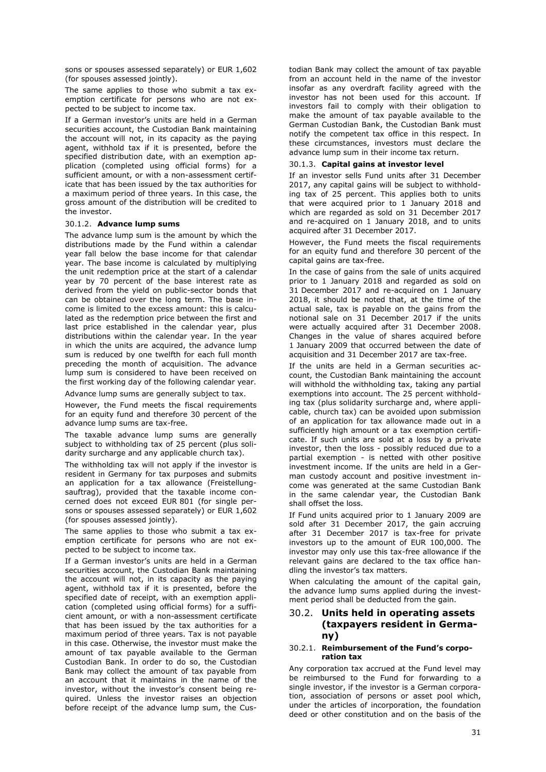sons or spouses assessed separately) or EUR 1,602 (for spouses assessed jointly).

The same applies to those who submit a tax exemption certificate for persons who are not expected to be subject to income tax.

If a German investor's units are held in a German securities account, the Custodian Bank maintaining the account will not, in its capacity as the paying agent, withhold tax if it is presented, before the specified distribution date, with an exemption application (completed using official forms) for a sufficient amount, or with a non-assessment certificate that has been issued by the tax authorities for a maximum period of three years. In this case, the gross amount of the distribution will be credited to the investor.

#### 30.1.2. **Advance lump sums**

The advance lump sum is the amount by which the distributions made by the Fund within a calendar year fall below the base income for that calendar year. The base income is calculated by multiplying the unit redemption price at the start of a calendar year by 70 percent of the base interest rate as derived from the yield on public-sector bonds that can be obtained over the long term. The base income is limited to the excess amount: this is calculated as the redemption price between the first and last price established in the calendar year, plus distributions within the calendar year. In the year in which the units are acquired, the advance lump sum is reduced by one twelfth for each full month preceding the month of acquisition. The advance lump sum is considered to have been received on the first working day of the following calendar year.

Advance lump sums are generally subject to tax.

However, the Fund meets the fiscal requirements for an equity fund and therefore 30 percent of the advance lump sums are tax-free.

The taxable advance lump sums are generally subject to withholding tax of 25 percent (plus solidarity surcharge and any applicable church tax).

The withholding tax will not apply if the investor is resident in Germany for tax purposes and submits an application for a tax allowance (Freistellungsauftrag), provided that the taxable income concerned does not exceed EUR 801 (for single persons or spouses assessed separately) or EUR 1,602 (for spouses assessed jointly).

The same applies to those who submit a tax exemption certificate for persons who are not expected to be subject to income tax.

If a German investor's units are held in a German securities account, the Custodian Bank maintaining the account will not, in its capacity as the paying agent, withhold tax if it is presented, before the specified date of receipt, with an exemption application (completed using official forms) for a sufficient amount, or with a non-assessment certificate that has been issued by the tax authorities for a maximum period of three years. Tax is not payable in this case. Otherwise, the investor must make the amount of tax payable available to the German Custodian Bank. In order to do so, the Custodian Bank may collect the amount of tax payable from an account that it maintains in the name of the investor, without the investor's consent being required. Unless the investor raises an objection before receipt of the advance lump sum, the Cus-

todian Bank may collect the amount of tax payable from an account held in the name of the investor insofar as any overdraft facility agreed with the investor has not been used for this account. If investors fail to comply with their obligation to make the amount of tax payable available to the German Custodian Bank, the Custodian Bank must notify the competent tax office in this respect. In these circumstances, investors must declare the advance lump sum in their income tax return.

#### 30.1.3. **Capital gains at investor level**

If an investor sells Fund units after 31 December 2017, any capital gains will be subject to withholding tax of 25 percent. This applies both to units that were acquired prior to 1 January 2018 and which are regarded as sold on 31 December 2017 and re-acquired on 1 January 2018, and to units acquired after 31 December 2017.

However, the Fund meets the fiscal requirements for an equity fund and therefore 30 percent of the capital gains are tax-free.

In the case of gains from the sale of units acquired prior to 1 January 2018 and regarded as sold on 31 December 2017 and re-acquired on 1 January 2018, it should be noted that, at the time of the actual sale, tax is payable on the gains from the notional sale on 31 December 2017 if the units were actually acquired after 31 December 2008. Changes in the value of shares acquired before 1 January 2009 that occurred between the date of acquisition and 31 December 2017 are tax-free.

If the units are held in a German securities account, the Custodian Bank maintaining the account will withhold the withholding tax, taking any partial exemptions into account. The 25 percent withholding tax (plus solidarity surcharge and, where applicable, church tax) can be avoided upon submission of an application for tax allowance made out in a sufficiently high amount or a tax exemption certificate. If such units are sold at a loss by a private investor, then the loss - possibly reduced due to a partial exemption - is netted with other positive investment income. If the units are held in a German custody account and positive investment income was generated at the same Custodian Bank in the same calendar year, the Custodian Bank shall offset the loss.

If Fund units acquired prior to 1 January 2009 are sold after 31 December 2017, the gain accruing after 31 December 2017 is tax-free for private investors up to the amount of EUR 100,000. The investor may only use this tax-free allowance if the relevant gains are declared to the tax office handling the investor's tax matters.

When calculating the amount of the capital gain, the advance lump sums applied during the investment period shall be deducted from the gain.

### 30.2. **Units held in operating assets (taxpayers resident in Germany)**

#### 30.2.1. **Reimbursement of the Fund's corporation tax**

Any corporation tax accrued at the Fund level may be reimbursed to the Fund for forwarding to a single investor, if the investor is a German corporation, association of persons or asset pool which, under the articles of incorporation, the foundation deed or other constitution and on the basis of the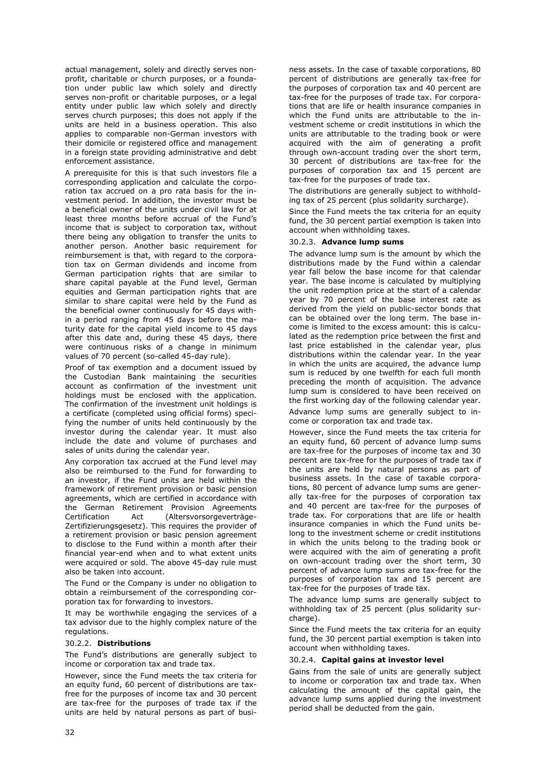actual management, solely and directly serves nonprofit, charitable or church purposes, or a foundation under public law which solely and directly serves non-profit or charitable purposes, or a legal entity under public law which solely and directly serves church purposes; this does not apply if the units are held in a business operation. This also applies to comparable non-German investors with their domicile or registered office and management in a foreign state providing administrative and debt enforcement assistance.

A prerequisite for this is that such investors file a corresponding application and calculate the corporation tax accrued on a pro rata basis for the investment period. In addition, the investor must be a beneficial owner of the units under civil law for at least three months before accrual of the Fund's income that is subject to corporation tax, without there being any obligation to transfer the units to another person. Another basic requirement for reimbursement is that, with regard to the corporation tax on German dividends and income from German participation rights that are similar to share capital payable at the Fund level, German equities and German participation rights that are similar to share capital were held by the Fund as the beneficial owner continuously for 45 days within a period ranging from 45 days before the maturity date for the capital yield income to 45 days after this date and, during these 45 days, there were continuous risks of a change in minimum values of 70 percent (so-called 45-day rule).

Proof of tax exemption and a document issued by the Custodian Bank maintaining the securities account as confirmation of the investment unit holdings must be enclosed with the application. The confirmation of the investment unit holdings is a certificate (completed using official forms) specifying the number of units held continuously by the investor during the calendar year. It must also include the date and volume of purchases and sales of units during the calendar year.

Any corporation tax accrued at the Fund level may also be reimbursed to the Fund for forwarding to an investor, if the Fund units are held within the framework of retirement provision or basic pension agreements, which are certified in accordance with the German Retirement Provision Agreements Certification Act (Altersvorsorgeverträge-Zertifizierungsgesetz). This requires the provider of a retirement provision or basic pension agreement to disclose to the Fund within a month after their financial year-end when and to what extent units were acquired or sold. The above 45-day rule must also be taken into account.

The Fund or the Company is under no obligation to obtain a reimbursement of the corresponding corporation tax for forwarding to investors.

It may be worthwhile engaging the services of a tax advisor due to the highly complex nature of the regulations.

#### 30.2.2. **Distributions**

The Fund's distributions are generally subject to income or corporation tax and trade tax.

However, since the Fund meets the tax criteria for an equity fund, 60 percent of distributions are taxfree for the purposes of income tax and 30 percent are tax-free for the purposes of trade tax if the units are held by natural persons as part of business assets. In the case of taxable corporations, 80 percent of distributions are generally tax-free for the purposes of corporation tax and 40 percent are tax-free for the purposes of trade tax. For corporations that are life or health insurance companies in which the Fund units are attributable to the investment scheme or credit institutions in which the units are attributable to the trading book or were acquired with the aim of generating a profit through own-account trading over the short term, 30 percent of distributions are tax-free for the purposes of corporation tax and 15 percent are tax-free for the purposes of trade tax.

The distributions are generally subject to withholding tax of 25 percent (plus solidarity surcharge).

Since the Fund meets the tax criteria for an equity fund, the 30 percent partial exemption is taken into account when withholding taxes.

#### 30.2.3. **Advance lump sums**

The advance lump sum is the amount by which the distributions made by the Fund within a calendar year fall below the base income for that calendar year. The base income is calculated by multiplying the unit redemption price at the start of a calendar year by 70 percent of the base interest rate as derived from the yield on public-sector bonds that can be obtained over the long term. The base income is limited to the excess amount: this is calculated as the redemption price between the first and last price established in the calendar year, plus distributions within the calendar year. In the year in which the units are acquired, the advance lump sum is reduced by one twelfth for each full month preceding the month of acquisition. The advance lump sum is considered to have been received on the first working day of the following calendar year. Advance lump sums are generally subject to income or corporation tax and trade tax.

However, since the Fund meets the tax criteria for an equity fund, 60 percent of advance lump sums are tax-free for the purposes of income tax and 30 percent are tax-free for the purposes of trade tax if the units are held by natural persons as part of business assets. In the case of taxable corporations, 80 percent of advance lump sums are generally tax-free for the purposes of corporation tax and 40 percent are tax-free for the purposes of trade tax. For corporations that are life or health insurance companies in which the Fund units belong to the investment scheme or credit institutions in which the units belong to the trading book or were acquired with the aim of generating a profit on own-account trading over the short term, 30 percent of advance lump sums are tax-free for the purposes of corporation tax and 15 percent are tax-free for the purposes of trade tax.

The advance lump sums are generally subject to withholding tax of 25 percent (plus solidarity surcharge).

Since the Fund meets the tax criteria for an equity fund, the 30 percent partial exemption is taken into account when withholding taxes.

#### 30.2.4. **Capital gains at investor level**

Gains from the sale of units are generally subject to income or corporation tax and trade tax. When calculating the amount of the capital gain, the advance lump sums applied during the investment period shall be deducted from the gain.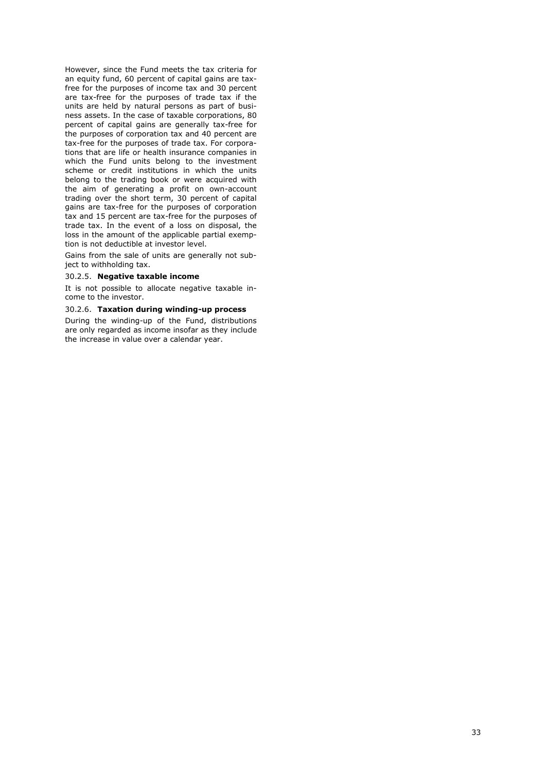However, since the Fund meets the tax criteria for an equity fund, 60 percent of capital gains are taxfree for the purposes of income tax and 30 percent are tax-free for the purposes of trade tax if the units are held by natural persons as part of business assets. In the case of taxable corporations, 80 percent of capital gains are generally tax-free for the purposes of corporation tax and 40 percent are tax-free for the purposes of trade tax. For corporations that are life or health insurance companies in which the Fund units belong to the investment scheme or credit institutions in which the units belong to the trading book or were acquired with the aim of generating a profit on own-account trading over the short term, 30 percent of capital gains are tax-free for the purposes of corporation tax and 15 percent are tax-free for the purposes of trade tax. In the event of a loss on disposal, the loss in the amount of the applicable partial exemption is not deductible at investor level.

Gains from the sale of units are generally not subject to withholding tax.

#### 30.2.5. **Negative taxable income**

It is not possible to allocate negative taxable income to the investor.

#### 30.2.6. **Taxation during winding-up process**

During the winding-up of the Fund, distributions are only regarded as income insofar as they include the increase in value over a calendar year.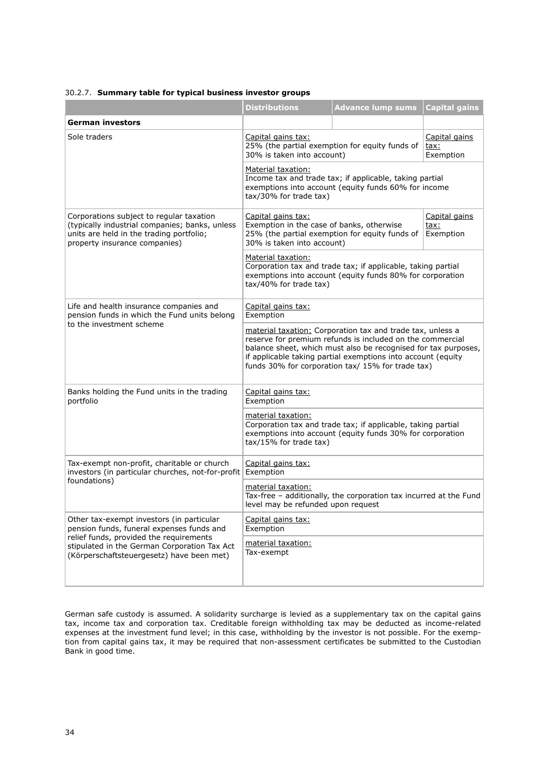#### 30.2.7. **Summary table for typical business investor groups**

|                                                                                                                                                                         | <b>Distributions</b>                                                                                                                                                                                                                                                                                           | <b>Advance lump sums</b>                                          | <b>Capital gains</b>               |
|-------------------------------------------------------------------------------------------------------------------------------------------------------------------------|----------------------------------------------------------------------------------------------------------------------------------------------------------------------------------------------------------------------------------------------------------------------------------------------------------------|-------------------------------------------------------------------|------------------------------------|
| German investors                                                                                                                                                        |                                                                                                                                                                                                                                                                                                                |                                                                   |                                    |
| Sole traders                                                                                                                                                            | Capital gains tax:<br>25% (the partial exemption for equity funds of<br>tax:<br>30% is taken into account)<br>Exemption                                                                                                                                                                                        |                                                                   | Capital gains                      |
|                                                                                                                                                                         | Material taxation:<br>Income tax and trade tax; if applicable, taking partial<br>exemptions into account (equity funds 60% for income<br>tax/30% for trade tax)                                                                                                                                                |                                                                   |                                    |
| Corporations subject to regular taxation<br>(typically industrial companies; banks, unless<br>units are held in the trading portfolio;<br>property insurance companies) | Capital gains tax:<br>Exemption in the case of banks, otherwise<br>30% is taken into account)                                                                                                                                                                                                                  | 25% (the partial exemption for equity funds of                    | Capital gains<br>tax:<br>Exemption |
|                                                                                                                                                                         | Material taxation:<br>Corporation tax and trade tax; if applicable, taking partial<br>exemptions into account (equity funds 80% for corporation<br>tax/40% for trade tax)                                                                                                                                      |                                                                   |                                    |
| Life and health insurance companies and<br>pension funds in which the Fund units belong                                                                                 | Capital gains tax:<br>Exemption                                                                                                                                                                                                                                                                                |                                                                   |                                    |
| to the investment scheme                                                                                                                                                | material taxation: Corporation tax and trade tax, unless a<br>reserve for premium refunds is included on the commercial<br>balance sheet, which must also be recognised for tax purposes,<br>if applicable taking partial exemptions into account (equity<br>funds 30% for corporation tax/ 15% for trade tax) |                                                                   |                                    |
| Banks holding the Fund units in the trading<br>portfolio                                                                                                                | Capital gains tax:<br>Exemption                                                                                                                                                                                                                                                                                |                                                                   |                                    |
|                                                                                                                                                                         | material taxation:<br>Corporation tax and trade tax; if applicable, taking partial<br>exemptions into account (equity funds 30% for corporation<br>tax/15% for trade tax)                                                                                                                                      |                                                                   |                                    |
| Tax-exempt non-profit, charitable or church<br>investors (in particular churches, not-for-profit Exemption<br>foundations)                                              | Capital gains tax:                                                                                                                                                                                                                                                                                             |                                                                   |                                    |
|                                                                                                                                                                         | material taxation:<br>level may be refunded upon request                                                                                                                                                                                                                                                       | Tax-free - additionally, the corporation tax incurred at the Fund |                                    |
| Other tax-exempt investors (in particular<br>pension funds, funeral expenses funds and                                                                                  | Capital gains tax:<br>Exemption                                                                                                                                                                                                                                                                                |                                                                   |                                    |
| relief funds, provided the requirements<br>stipulated in the German Corporation Tax Act<br>(Körperschaftsteuergesetz) have been met)                                    | material taxation:<br>Tax-exempt                                                                                                                                                                                                                                                                               |                                                                   |                                    |

German safe custody is assumed. A solidarity surcharge is levied as a supplementary tax on the capital gains tax, income tax and corporation tax. Creditable foreign withholding tax may be deducted as income-related expenses at the investment fund level; in this case, withholding by the investor is not possible. For the exemption from capital gains tax, it may be required that non-assessment certificates be submitted to the Custodian Bank in good time.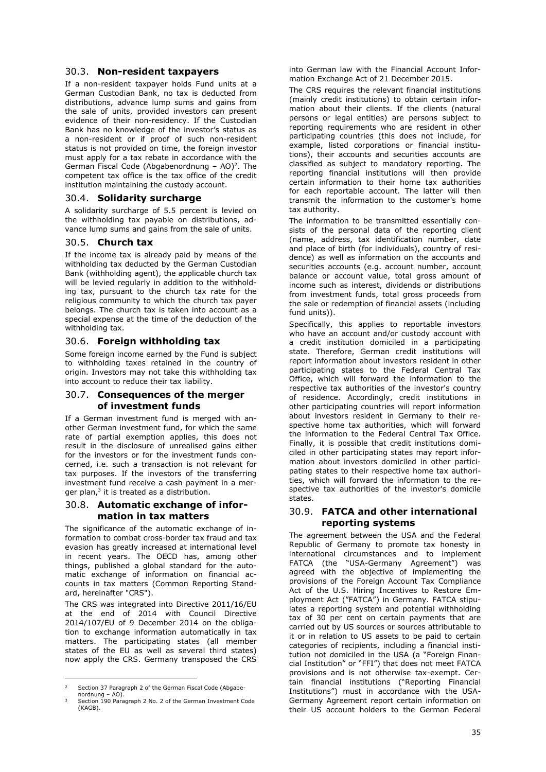### 30.3. **Non-resident taxpayers**

If a non-resident taxpayer holds Fund units at a German Custodian Bank, no tax is deducted from distributions, advance lump sums and gains from the sale of units, provided investors can present evidence of their non-residency. If the Custodian Bank has no knowledge of the investor's status as a non-resident or if proof of such non-resident status is not provided on time, the foreign investor must apply for a tax rebate in accordance with the German Fiscal Code (Abgabenordnung  $-$  AO)<sup>2</sup>. The competent tax office is the tax office of the credit institution maintaining the custody account.

### 30.4. **Solidarity surcharge**

A solidarity surcharge of 5.5 percent is levied on the withholding tax payable on distributions, advance lump sums and gains from the sale of units.

### 30.5. **Church tax**

If the income tax is already paid by means of the withholding tax deducted by the German Custodian Bank (withholding agent), the applicable church tax will be levied regularly in addition to the withholding tax, pursuant to the church tax rate for the religious community to which the church tax payer belongs. The church tax is taken into account as a special expense at the time of the deduction of the withholding tax.

### 30.6. **Foreign withholding tax**

Some foreign income earned by the Fund is subject to withholding taxes retained in the country of origin. Investors may not take this withholding tax into account to reduce their tax liability.

### 30.7. **Consequences of the merger of investment funds**

If a German investment fund is merged with another German investment fund, for which the same rate of partial exemption applies, this does not result in the disclosure of unrealised gains either for the investors or for the investment funds concerned, i.e. such a transaction is not relevant for tax purposes. If the investors of the transferring investment fund receive a cash payment in a merger plan,<sup>3</sup> it is treated as a distribution.

### 30.8. **Automatic exchange of information in tax matters**

The significance of the automatic exchange of information to combat cross-border tax fraud and tax evasion has greatly increased at international level in recent years. The OECD has, among other things, published a global standard for the automatic exchange of information on financial accounts in tax matters (Common Reporting Standard, hereinafter "CRS").

The CRS was integrated into Directive 2011/16/EU at the end of 2014 with Council Directive 2014/107/EU of 9 December 2014 on the obligation to exchange information automatically in tax matters. The participating states (all member states of the EU as well as several third states) now apply the CRS. Germany transposed the CRS

into German law with the Financial Account Information Exchange Act of 21 December 2015.

The CRS requires the relevant financial institutions (mainly credit institutions) to obtain certain information about their clients. If the clients (natural persons or legal entities) are persons subject to reporting requirements who are resident in other participating countries (this does not include, for example, listed corporations or financial institutions), their accounts and securities accounts are classified as subject to mandatory reporting. The reporting financial institutions will then provide certain information to their home tax authorities for each reportable account. The latter will then transmit the information to the customer's home tax authority.

The information to be transmitted essentially consists of the personal data of the reporting client (name, address, tax identification number, date and place of birth (for individuals), country of residence) as well as information on the accounts and securities accounts (e.g. account number, account balance or account value, total gross amount of income such as interest, dividends or distributions from investment funds, total gross proceeds from the sale or redemption of financial assets (including fund units)).

Specifically, this applies to reportable investors who have an account and/or custody account with a credit institution domiciled in a participating state. Therefore, German credit institutions will report information about investors resident in other participating states to the Federal Central Tax Office, which will forward the information to the respective tax authorities of the investor's country of residence. Accordingly, credit institutions in other participating countries will report information about investors resident in Germany to their respective home tax authorities, which will forward the information to the Federal Central Tax Office. Finally, it is possible that credit institutions domiciled in other participating states may report information about investors domiciled in other participating states to their respective home tax authorities, which will forward the information to the respective tax authorities of the investor's domicile states.

### <span id="page-35-0"></span>30.9. **FATCA and other international reporting systems**

The agreement between the USA and the Federal Republic of Germany to promote tax honesty in international circumstances and to implement FATCA (the "USA-Germany Agreement") was agreed with the objective of implementing the provisions of the Foreign Account Tax Compliance Act of the U.S. Hiring Incentives to Restore Employment Act ("FATCA") in Germany. FATCA stipulates a reporting system and potential withholding tax of 30 per cent on certain payments that are carried out by US sources or sources attributable to it or in relation to US assets to be paid to certain categories of recipients, including a financial institution not domiciled in the USA (a "Foreign Financial Institution" or "FFI") that does not meet FATCA provisions and is not otherwise tax-exempt. Certain financial institutions ("Reporting Financial Institutions") must in accordance with the USA-Germany Agreement report certain information on their US account holders to the German Federal

<sup>2</sup> Section 37 Paragraph 2 of the German Fiscal Code (Abgabe-

nordnung – AO). <sup>3</sup> Section 190 Paragraph 2 No. 2 of the German Investment Code (KAGB).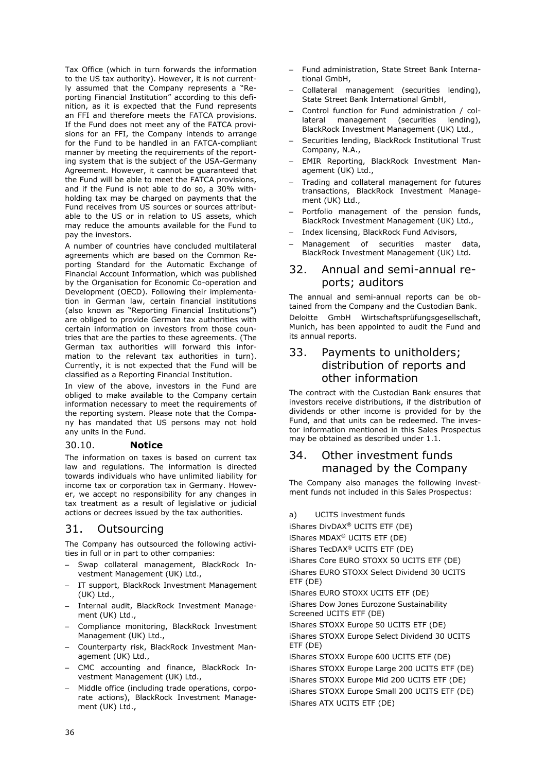Tax Office (which in turn forwards the information to the US tax authority). However, it is not currently assumed that the Company represents a "Reporting Financial Institution" according to this definition, as it is expected that the Fund represents an FFI and therefore meets the FATCA provisions. If the Fund does not meet any of the FATCA provisions for an FFI, the Company intends to arrange for the Fund to be handled in an FATCA-compliant manner by meeting the requirements of the reporting system that is the subject of the USA-Germany Agreement. However, it cannot be guaranteed that the Fund will be able to meet the FATCA provisions, and if the Fund is not able to do so, a 30% withholding tax may be charged on payments that the Fund receives from US sources or sources attributable to the US or in relation to US assets, which may reduce the amounts available for the Fund to pay the investors.

A number of countries have concluded multilateral agreements which are based on the Common Reporting Standard for the Automatic Exchange of Financial Account Information, which was published by the Organisation for Economic Co-operation and Development (OECD). Following their implementation in German law, certain financial institutions (also known as "Reporting Financial Institutions") are obliged to provide German tax authorities with certain information on investors from those countries that are the parties to these agreements. (The German tax authorities will forward this information to the relevant tax authorities in turn). Currently, it is not expected that the Fund will be classified as a Reporting Financial Institution.

In view of the above, investors in the Fund are obliged to make available to the Company certain information necessary to meet the requirements of the reporting system. Please note that the Company has mandated that US persons may not hold any units in the Fund.

### 30.10. **Notice**

The information on taxes is based on current tax law and regulations. The information is directed towards individuals who have unlimited liability for income tax or corporation tax in Germany. However, we accept no responsibility for any changes in tax treatment as a result of legislative or judicial actions or decrees issued by the tax authorities.

# 31. Outsourcing

The Company has outsourced the following activities in full or in part to other companies:

- Swap collateral management, BlackRock Investment Management (UK) Ltd.,
- IT support, BlackRock Investment Management (UK) Ltd.,
- Internal audit, BlackRock Investment Management (UK) Ltd.,
- Compliance monitoring, BlackRock Investment Management (UK) Ltd.,
- Counterparty risk, BlackRock Investment Management (UK) Ltd.,
- CMC accounting and finance, BlackRock Investment Management (UK) Ltd.,
- Middle office (including trade operations, corporate actions), BlackRock Investment Management (UK) Ltd.,
- Fund administration, State Street Bank International GmbH,
- Collateral management (securities lending), State Street Bank International GmbH,
- Control function for Fund administration / collateral management (securities lending), BlackRock Investment Management (UK) Ltd.,
- Securities lending, BlackRock Institutional Trust Company, N.A.,
- EMIR Reporting, BlackRock Investment Management (UK) Ltd.,
- Trading and collateral management for futures transactions, BlackRock Investment Management (UK) Ltd.,
- Portfolio management of the pension funds, BlackRock Investment Management (UK) Ltd.,
- Index licensing, BlackRock Fund Advisors,
- Management of securities master data, BlackRock Investment Management (UK) Ltd.

### 32. Annual and semi-annual reports; auditors

The annual and semi-annual reports can be obtained from the Company and the Custodian Bank. Deloitte GmbH Wirtschaftsprüfungsgesellschaft, Munich, has been appointed to audit the Fund and its annual reports.

# 33. Payments to unitholders; distribution of reports and other information

The contract with the Custodian Bank ensures that investors receive distributions, if the distribution of dividends or other income is provided for by the Fund, and that units can be redeemed. The investor information mentioned in this Sales Prospectus may be obtained as described under [1.1.](#page-7-0)

# 34. Other investment funds managed by the Company

The Company also manages the following investment funds not included in this Sales Prospectus:

- a) UCITS investment funds
- iShares DivDAX® UCITS ETF (DE)

iShares MDAX® UCITS ETF (DE)

iShares TecDAX® UCITS ETF (DE)

iShares Core EURO STOXX 50 UCITS ETF (DE) iShares EURO STOXX Select Dividend 30 UCITS ETF (DE)

iShares EURO STOXX UCITS ETF (DE)

iShares Dow Jones Eurozone Sustainability Screened UCITS ETF (DE)

iShares STOXX Europe 50 UCITS ETF (DE) iShares STOXX Europe Select Dividend 30 UCITS ETF (DE)

iShares STOXX Europe 600 UCITS ETF (DE) iShares STOXX Europe Large 200 UCITS ETF (DE) iShares STOXX Europe Mid 200 UCITS ETF (DE) iShares STOXX Europe Small 200 UCITS ETF (DE) iShares ATX UCITS ETF (DE)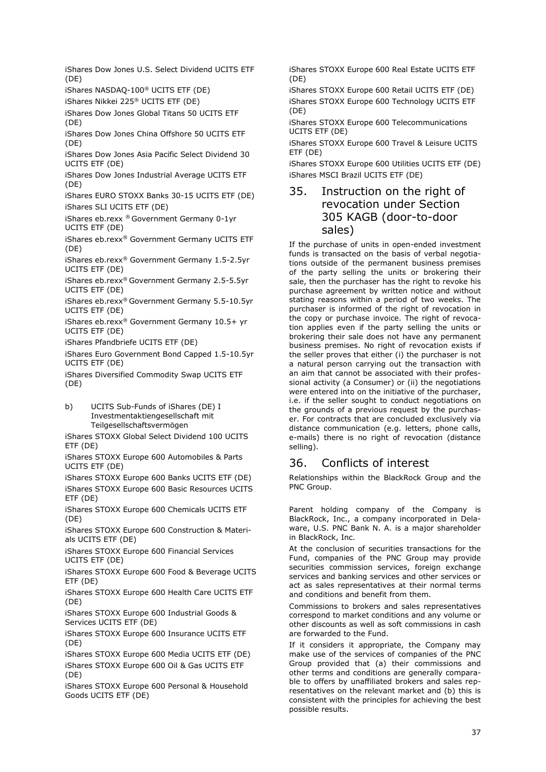iShares Dow Jones U.S. Select Dividend UCITS ETF (DE)

iShares NASDAQ-100® UCITS ETF (DE)

iShares Nikkei 225® UCITS ETF (DE)

iShares Dow Jones Global Titans 50 UCITS ETF (DE)

iShares Dow Jones China Offshore 50 UCITS ETF (DE)

iShares Dow Jones Asia Pacific Select Dividend 30 UCITS ETF (DE)

iShares Dow Jones Industrial Average UCITS ETF (DE)

iShares EURO STOXX Banks 30-15 UCITS ETF (DE) iShares SLI UCITS ETF (DE)

iShares eb.rexx ® Government Germany 0-1yr UCITS ETF (DE)

iShares eb.rexx® Government Germany UCITS ETF (DE)

iShares eb.rexx® Government Germany 1.5-2.5yr UCITS ETF (DE)

iShares eb.rexx ® Government Germany 2.5-5.5yr UCITS ETF (DE)

iShares eb.rexx® Government Germany 5.5-10.5yr UCITS ETF (DE)

iShares eb.rexx® Government Germany 10.5+ yr UCITS ETF (DE)

iShares Pfandbriefe UCITS ETF (DE)

iShares Euro Government Bond Capped 1.5-10.5yr UCITS ETF (DE)

iShares Diversified Commodity Swap UCITS ETF (DE)

b) UCITS Sub-Funds of iShares (DE) I Investmentaktiengesellschaft mit Teilgesellschaftsvermögen

iShares STOXX Global Select Dividend 100 UCITS ETF (DE)

iShares STOXX Europe 600 Automobiles & Parts UCITS ETF (DE)

iShares STOXX Europe 600 Banks UCITS ETF (DE) iShares STOXX Europe 600 Basic Resources UCITS ETF (DE)

iShares STOXX Europe 600 Chemicals UCITS ETF (DE)

iShares STOXX Europe 600 Construction & Materials UCITS ETF (DE)

iShares STOXX Europe 600 Financial Services UCITS ETF (DE)

iShares STOXX Europe 600 Food & Beverage UCITS ETF (DE)

iShares STOXX Europe 600 Health Care UCITS ETF (DE)

iShares STOXX Europe 600 Industrial Goods & Services UCITS ETF (DE)

iShares STOXX Europe 600 Insurance UCITS ETF (DE)

iShares STOXX Europe 600 Media UCITS ETF (DE) iShares STOXX Europe 600 Oil & Gas UCITS ETF (DE)

iShares STOXX Europe 600 Personal & Household Goods UCITS ETF (DE)

iShares STOXX Europe 600 Real Estate UCITS ETF (DE)

iShares STOXX Europe 600 Retail UCITS ETF (DE) iShares STOXX Europe 600 Technology UCITS ETF (DE)

iShares STOXX Europe 600 Telecommunications UCITS ETF (DE)

iShares STOXX Europe 600 Travel & Leisure UCITS ETF (DE)

iShares STOXX Europe 600 Utilities UCITS ETF (DE) iShares MSCI Brazil UCITS ETF (DE)

# 35. Instruction on the right of revocation under Section 305 KAGB (door-to-door sales)

If the purchase of units in open-ended investment funds is transacted on the basis of verbal negotiations outside of the permanent business premises of the party selling the units or brokering their sale, then the purchaser has the right to revoke his purchase agreement by written notice and without stating reasons within a period of two weeks. The purchaser is informed of the right of revocation in the copy or purchase invoice. The right of revocation applies even if the party selling the units or brokering their sale does not have any permanent business premises. No right of revocation exists if the seller proves that either (i) the purchaser is not a natural person carrying out the transaction with an aim that cannot be associated with their professional activity (a Consumer) or (ii) the negotiations were entered into on the initiative of the purchaser, i.e. if the seller sought to conduct negotiations on the grounds of a previous request by the purchaser. For contracts that are concluded exclusively via distance communication (e.g. letters, phone calls, e-mails) there is no right of revocation (distance selling).

# 36. Conflicts of interest

Relationships within the BlackRock Group and the PNC Group.

Parent holding company of the Company is BlackRock, Inc., a company incorporated in Delaware, U.S. PNC Bank N. A. is a major shareholder in BlackRock, Inc.

At the conclusion of securities transactions for the Fund, companies of the PNC Group may provide securities commission services, foreign exchange services and banking services and other services or act as sales representatives at their normal terms and conditions and benefit from them.

Commissions to brokers and sales representatives correspond to market conditions and any volume or other discounts as well as soft commissions in cash are forwarded to the Fund.

If it considers it appropriate, the Company may make use of the services of companies of the PNC Group provided that (a) their commissions and other terms and conditions are generally comparable to offers by unaffiliated brokers and sales representatives on the relevant market and (b) this is consistent with the principles for achieving the best possible results.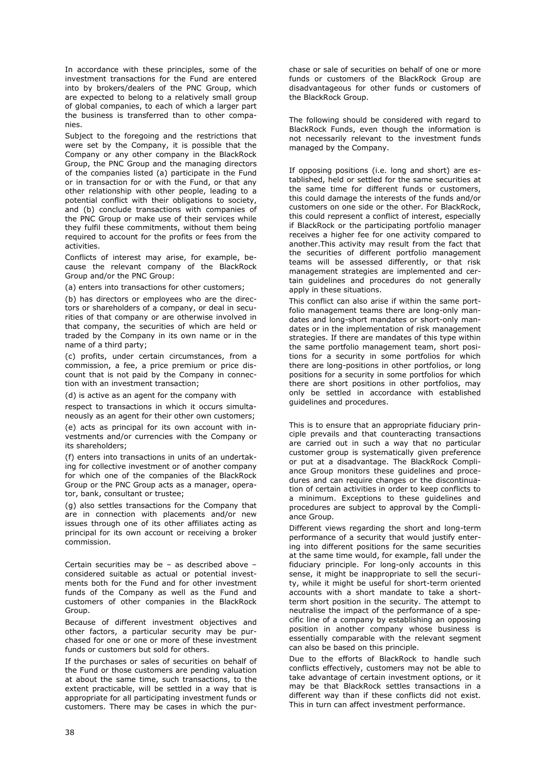In accordance with these principles, some of the investment transactions for the Fund are entered into by brokers/dealers of the PNC Group, which are expected to belong to a relatively small group of global companies, to each of which a larger part the business is transferred than to other companies.

Subject to the foregoing and the restrictions that were set by the Company, it is possible that the Company or any other company in the BlackRock Group, the PNC Group and the managing directors of the companies listed (a) participate in the Fund or in transaction for or with the Fund, or that any other relationship with other people, leading to a potential conflict with their obligations to society, and (b) conclude transactions with companies of the PNC Group or make use of their services while they fulfil these commitments, without them being required to account for the profits or fees from the activities.

Conflicts of interest may arise, for example, because the relevant company of the BlackRock Group and/or the PNC Group:

(a) enters into transactions for other customers;

(b) has directors or employees who are the directors or shareholders of a company, or deal in securities of that company or are otherwise involved in that company, the securities of which are held or traded by the Company in its own name or in the name of a third party;

(c) profits, under certain circumstances, from a commission, a fee, a price premium or price discount that is not paid by the Company in connection with an investment transaction;

(d) is active as an agent for the company with

respect to transactions in which it occurs simultaneously as an agent for their other own customers;

(e) acts as principal for its own account with investments and/or currencies with the Company or its shareholders;

(f) enters into transactions in units of an undertaking for collective investment or of another company for which one of the companies of the BlackRock Group or the PNC Group acts as a manager, operator, bank, consultant or trustee;

(g) also settles transactions for the Company that are in connection with placements and/or new issues through one of its other affiliates acting as principal for its own account or receiving a broker commission.

Certain securities may be – as described above – considered suitable as actual or potential investments both for the Fund and for other investment funds of the Company as well as the Fund and customers of other companies in the BlackRock Group.

Because of different investment objectives and other factors, a particular security may be purchased for one or one or more of these investment funds or customers but sold for others.

If the purchases or sales of securities on behalf of the Fund or those customers are pending valuation at about the same time, such transactions, to the extent practicable, will be settled in a way that is appropriate for all participating investment funds or customers. There may be cases in which the purchase or sale of securities on behalf of one or more funds or customers of the BlackRock Group are disadvantageous for other funds or customers of the BlackRock Group.

The following should be considered with regard to BlackRock Funds, even though the information is not necessarily relevant to the investment funds managed by the Company.

If opposing positions (i.e. long and short) are established, held or settled for the same securities at the same time for different funds or customers, this could damage the interests of the funds and/or customers on one side or the other. For BlackRock, this could represent a conflict of interest, especially if BlackRock or the participating portfolio manager receives a higher fee for one activity compared to another.This activity may result from the fact that the securities of different portfolio management teams will be assessed differently, or that risk management strategies are implemented and certain guidelines and procedures do not generally apply in these situations.

This conflict can also arise if within the same portfolio management teams there are long-only mandates and long-short mandates or short-only mandates or in the implementation of risk management strategies. If there are mandates of this type within the same portfolio management team, short positions for a security in some portfolios for which there are long-positions in other portfolios, or long positions for a security in some portfolios for which there are short positions in other portfolios, may only be settled in accordance with established guidelines and procedures.

This is to ensure that an appropriate fiduciary principle prevails and that counteracting transactions are carried out in such a way that no particular customer group is systematically given preference or put at a disadvantage. The BlackRock Compliance Group monitors these guidelines and procedures and can require changes or the discontinuation of certain activities in order to keep conflicts to a minimum. Exceptions to these guidelines and procedures are subject to approval by the Compliance Group.

Different views regarding the short and long-term performance of a security that would justify entering into different positions for the same securities at the same time would, for example, fall under the fiduciary principle. For long-only accounts in this sense, it might be inappropriate to sell the security, while it might be useful for short-term oriented accounts with a short mandate to take a shortterm short position in the security. The attempt to neutralise the impact of the performance of a specific line of a company by establishing an opposing position in another company whose business is essentially comparable with the relevant segment can also be based on this principle.

Due to the efforts of BlackRock to handle such conflicts effectively, customers may not be able to take advantage of certain investment options, or it may be that BlackRock settles transactions in a different way than if these conflicts did not exist. This in turn can affect investment performance.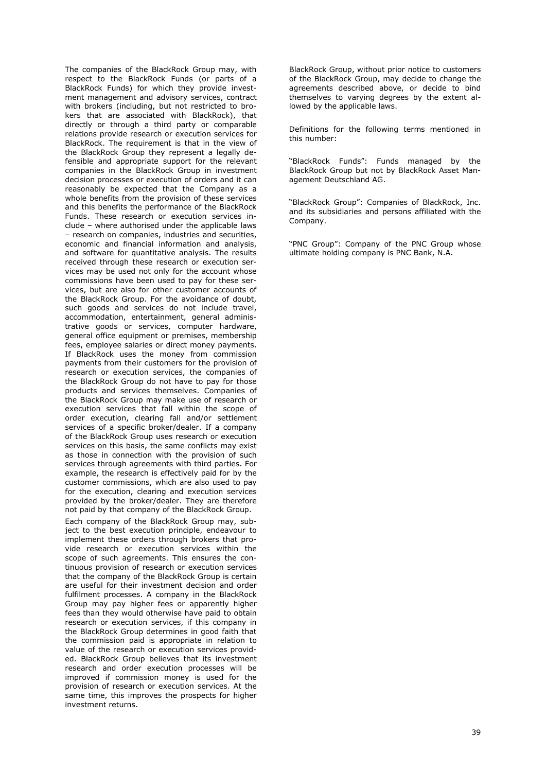The companies of the BlackRock Group may, with respect to the BlackRock Funds (or parts of a BlackRock Funds) for which they provide investment management and advisory services, contract with brokers (including, but not restricted to brokers that are associated with BlackRock), that directly or through a third party or comparable relations provide research or execution services for BlackRock. The requirement is that in the view of the BlackRock Group they represent a legally defensible and appropriate support for the relevant companies in the BlackRock Group in investment decision processes or execution of orders and it can reasonably be expected that the Company as a whole benefits from the provision of these services and this benefits the performance of the BlackRock Funds. These research or execution services include – where authorised under the applicable laws – research on companies, industries and securities, economic and financial information and analysis, and software for quantitative analysis. The results received through these research or execution services may be used not only for the account whose commissions have been used to pay for these services, but are also for other customer accounts of the BlackRock Group. For the avoidance of doubt, such goods and services do not include travel, accommodation, entertainment, general administrative goods or services, computer hardware, general office equipment or premises, membership fees, employee salaries or direct money payments. If BlackRock uses the money from commission payments from their customers for the provision of research or execution services, the companies of the BlackRock Group do not have to pay for those products and services themselves. Companies of the BlackRock Group may make use of research or execution services that fall within the scope of order execution, clearing fall and/or settlement services of a specific broker/dealer. If a company of the BlackRock Group uses research or execution services on this basis, the same conflicts may exist as those in connection with the provision of such services through agreements with third parties. For example, the research is effectively paid for by the customer commissions, which are also used to pay for the execution, clearing and execution services provided by the broker/dealer. They are therefore not paid by that company of the BlackRock Group. Each company of the BlackRock Group may, subject to the best execution principle, endeavour to

implement these orders through brokers that provide research or execution services within the scope of such agreements. This ensures the continuous provision of research or execution services that the company of the BlackRock Group is certain are useful for their investment decision and order fulfilment processes. A company in the BlackRock Group may pay higher fees or apparently higher fees than they would otherwise have paid to obtain research or execution services, if this company in the BlackRock Group determines in good faith that the commission paid is appropriate in relation to value of the research or execution services provided. BlackRock Group believes that its investment research and order execution processes will be improved if commission money is used for the provision of research or execution services. At the same time, this improves the prospects for higher investment returns.

BlackRock Group, without prior notice to customers of the BlackRock Group, may decide to change the agreements described above, or decide to bind themselves to varying degrees by the extent allowed by the applicable laws.

Definitions for the following terms mentioned in this number:

"BlackRock Funds": Funds managed by the BlackRock Group but not by BlackRock Asset Management Deutschland AG.

"BlackRock Group": Companies of BlackRock, Inc. and its subsidiaries and persons affiliated with the Company.

"PNC Group": Company of the PNC Group whose ultimate holding company is PNC Bank, N.A.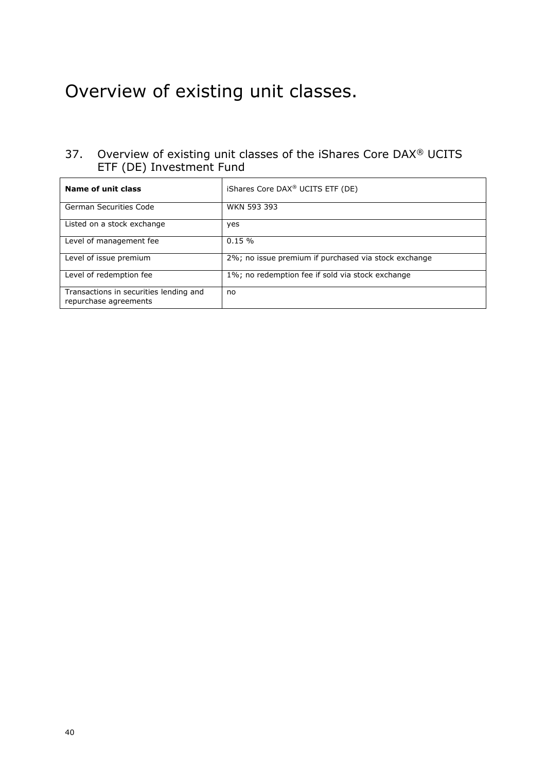# Overview of existing unit classes.

# 37. Overview of existing unit classes of the iShares Core DAX® UCITS ETF (DE) Investment Fund

| Name of unit class                                              | iShares Core DAX <sup>®</sup> UCITS ETF (DE)         |
|-----------------------------------------------------------------|------------------------------------------------------|
| <b>German Securities Code</b>                                   | <b>WKN 593 393</b>                                   |
| Listed on a stock exchange                                      | yes                                                  |
| Level of management fee                                         | 0.15%                                                |
| Level of issue premium                                          | 2%; no issue premium if purchased via stock exchange |
| Level of redemption fee                                         | 1%; no redemption fee if sold via stock exchange     |
| Transactions in securities lending and<br>repurchase agreements | no                                                   |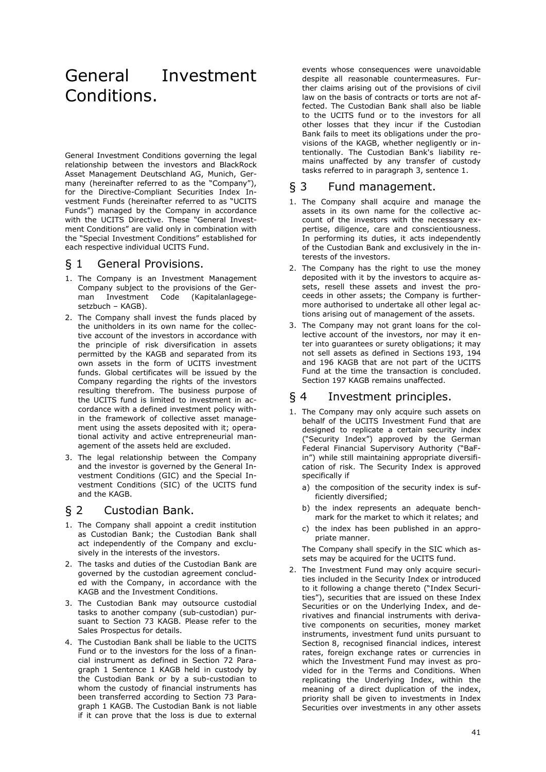# General Investment Conditions.

General Investment Conditions governing the legal relationship between the investors and BlackRock Asset Management Deutschland AG, Munich, Germany (hereinafter referred to as the "Company"), for the Directive-Compliant Securities Index Investment Funds (hereinafter referred to as "UCITS Funds") managed by the Company in accordance with the UCITS Directive. These "General Investment Conditions" are valid only in combination with the "Special Investment Conditions" established for each respective individual UCITS Fund.

### § 1 General Provisions.

- 1. The Company is an Investment Management Company subject to the provisions of the German Investment Code (Kapitalanlagegesetzbuch – KAGB).
- 2. The Company shall invest the funds placed by the unitholders in its own name for the collective account of the investors in accordance with the principle of risk diversification in assets permitted by the KAGB and separated from its own assets in the form of UCITS investment funds. Global certificates will be issued by the Company regarding the rights of the investors resulting therefrom. The business purpose of the UCITS fund is limited to investment in accordance with a defined investment policy within the framework of collective asset management using the assets deposited with it; operational activity and active entrepreneurial management of the assets held are excluded.
- 3. The legal relationship between the Company and the investor is governed by the General Investment Conditions (GIC) and the Special Investment Conditions (SIC) of the UCITS fund and the KAGB.

# § 2 Custodian Bank.

- 1. The Company shall appoint a credit institution as Custodian Bank; the Custodian Bank shall act independently of the Company and exclusively in the interests of the investors.
- 2. The tasks and duties of the Custodian Bank are governed by the custodian agreement concluded with the Company, in accordance with the KAGB and the Investment Conditions.
- 3. The Custodian Bank may outsource custodial tasks to another company (sub-custodian) pursuant to Section 73 KAGB. Please refer to the Sales Prospectus for details.
- 4. The Custodian Bank shall be liable to the UCITS Fund or to the investors for the loss of a financial instrument as defined in Section 72 Paragraph 1 Sentence 1 KAGB held in custody by the Custodian Bank or by a sub-custodian to whom the custody of financial instruments has been transferred according to Section 73 Paragraph 1 KAGB. The Custodian Bank is not liable if it can prove that the loss is due to external

events whose consequences were unavoidable despite all reasonable countermeasures. Further claims arising out of the provisions of civil law on the basis of contracts or torts are not affected. The Custodian Bank shall also be liable to the UCITS fund or to the investors for all other losses that they incur if the Custodian Bank fails to meet its obligations under the provisions of the KAGB, whether negligently or intentionally. The Custodian Bank's liability remains unaffected by any transfer of custody tasks referred to in paragraph 3, sentence 1.

### § 3 Fund management.

- 1. The Company shall acquire and manage the assets in its own name for the collective account of the investors with the necessary expertise, diligence, care and conscientiousness. In performing its duties, it acts independently of the Custodian Bank and exclusively in the interests of the investors.
- 2. The Company has the right to use the money deposited with it by the investors to acquire assets, resell these assets and invest the proceeds in other assets; the Company is furthermore authorised to undertake all other legal actions arising out of management of the assets.
- 3. The Company may not grant loans for the collective account of the investors, nor may it enter into guarantees or surety obligations; it may not sell assets as defined in Sections 193, 194 and 196 KAGB that are not part of the UCITS Fund at the time the transaction is concluded. Section 197 KAGB remains unaffected.

### § 4 Investment principles.

- 1. The Company may only acquire such assets on behalf of the UCITS Investment Fund that are designed to replicate a certain security index ("Security Index") approved by the German Federal Financial Supervisory Authority ("BaFin") while still maintaining appropriate diversification of risk. The Security Index is approved specifically if
	- a) the composition of the security index is sufficiently diversified;
	- b) the index represents an adequate benchmark for the market to which it relates; and
	- c) the index has been published in an appropriate manner.

The Company shall specify in the SIC which assets may be acquired for the UCITS fund.

2. The Investment Fund may only acquire securities included in the Security Index or introduced to it following a change thereto ("Index Securities"), securities that are issued on these Index Securities or on the Underlying Index, and derivatives and financial instruments with derivative components on securities, money market instruments, investment fund units pursuant to Section 8, recognised financial indices, interest rates, foreign exchange rates or currencies in which the Investment Fund may invest as provided for in the Terms and Conditions. When replicating the Underlying Index, within the meaning of a direct duplication of the index, priority shall be given to investments in Index Securities over investments in any other assets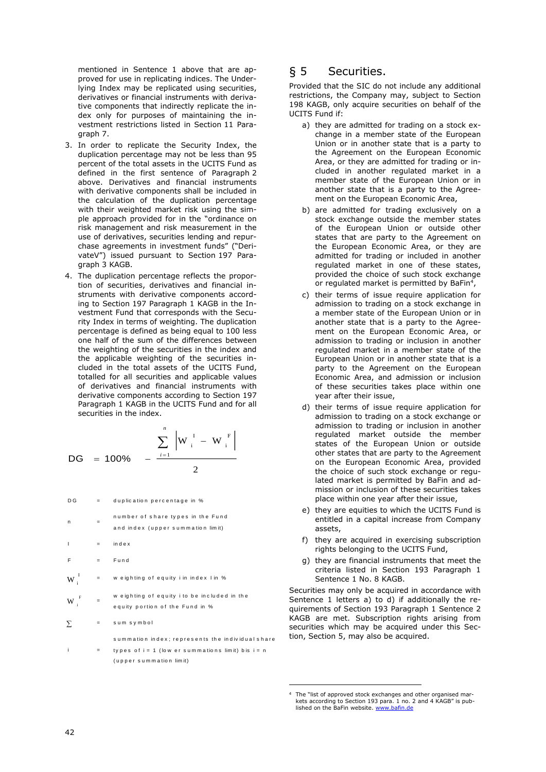mentioned in Sentence 1 above that are approved for use in replicating indices. The Underlying Index may be replicated using securities, derivatives or financial instruments with derivative components that indirectly replicate the index only for purposes of maintaining the investment restrictions listed in Section 11 Paragraph 7.

- 3. In order to replicate the Security Index, the duplication percentage may not be less than 95 percent of the total assets in the UCITS Fund as defined in the first sentence of Paragraph 2 above. Derivatives and financial instruments with derivative components shall be included in the calculation of the duplication percentage with their weighted market risk using the simple approach provided for in the "ordinance on risk management and risk measurement in the use of derivatives, securities lending and repurchase agreements in investment funds" ("DerivateV") issued pursuant to Section 197 Paragraph 3 KAGB.
- 4. The duplication percentage reflects the proportion of securities, derivatives and financial instruments with derivative components according to Section 197 Paragraph 1 KAGB in the Investment Fund that corresponds with the Security Index in terms of weighting. The duplication percentage is defined as being equal to 100 less one half of the sum of the differences between the weighting of the securities in the index and the applicable weighting of the securities included in the total assets of the UCITS Fund, totalled for all securities and applicable values of derivatives and financial instruments with derivative components according to Section 197 Paragraph 1 KAGB in the UCITS Fund and for all securities in the index.

DG = 100% 
$$
-\frac{\sum_{i=1}^{n} |W_{i}^{I} - W_{i}^{F}|}{2}
$$

lished on the BaFin website. [www.bafin.de](http://www.bafin.de/) D G <sup>=</sup> d u p lic a tio n p e r c e n ta g e in % n <sup>=</sup> n u m b e r o f s h a r e ty p e s in th e F u n d a n d in d e x ( u p p e r s u m m a tio n lim it) I <sup>=</sup> in d e x F <sup>=</sup> F u n d w e ig h tin g o f e q u ity i in in d e x I in % =w e ig h tin g o f e q u ity i to b e in c lu d e d in th e e q u ity p o r tio n o f th e F u n d in % s u m s y m b o l <sup>W</sup> <sup>i</sup> <sup>F</sup> <sup>W</sup> <sup>i</sup> 

i <sup>=</sup> ty p e s o f  $i = 1$  (low e r summations limit) bis  $i = n$ ( u p p e r s u m m a tio n lim it)

id u a l s h a r e

# § 5 Securities.

Provided that the SIC do not include any additional restrictions, the Company may, subject to Section 198 KAGB, only acquire securities on behalf of the UCITS Fund if:

- a) they are admitted for trading on a stock exchange in a member state of the European Union or in another state that is a party to the Agreement on the European Economic Area, or they are admitted for trading or included in another regulated market in a member state of the European Union or in another state that is a party to the Agreement on the European Economic Area,
- b) are admitted for trading exclusively on a stock exchange outside the member states of the European Union or outside other states that are party to the Agreement on the European Economic Area, or they are admitted for trading or included in another regulated market in one of these states, provided the choice of such stock exchange or regulated market is permitted by BaFin<sup>4</sup>,
- c) their terms of issue require application for admission to trading on a stock exchange in a member state of the European Union or in another state that is a party to the Agreement on the European Economic Area, or admission to trading or inclusion in another regulated market in a member state of the European Union or in another state that is a party to the Agreement on the European Economic Area, and admission or inclusion of these securities takes place within one year after their issue,
- d) their terms of issue require application for admission to trading on a stock exchange or admission to trading or inclusion in another regulated market outside the member states of the European Union or outside other states that are party to the Agreement on the European Economic Area, provided the choice of such stock exchange or regulated market is permitted by BaFin and admission or inclusion of these securities takes place within one year after their issue,
- e) they are equities to which the UCITS Fund is entitled in a capital increase from Company assets,
- f) they are acquired in exercising subscription rights belonging to the UCITS Fund,
- g) they are financial instruments that meet the criteria listed in Section 193 Paragraph 1 Sentence 1 No. 8 KAGB.

Securities may only be acquired in accordance with Sentence 1 letters a) to d) if additionally the requirements of Section 193 Paragraph 1 Sentence 2 KAGB are met. Subscription rights arising from securities which may be acquired under this Section, Section 5, may also be acquired.

The "list of approved stock exchanges and other organised markets according to Section 193 para. 1 no. 2 and 4 KAGB" is pub-<br>lished on the BaFin website. www.bafin.de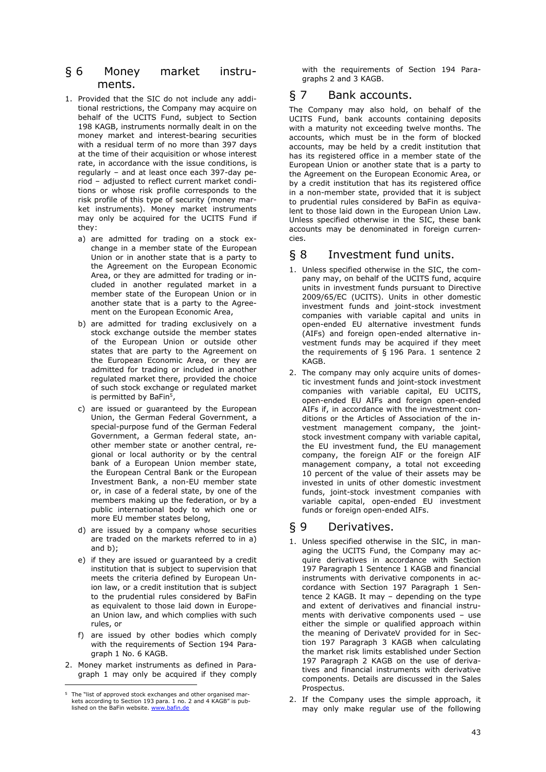### § 6 Money market instruments.

- 1. Provided that the SIC do not include any additional restrictions, the Company may acquire on behalf of the UCITS Fund, subject to Section 198 KAGB, instruments normally dealt in on the money market and interest-bearing securities with a residual term of no more than 397 days at the time of their acquisition or whose interest rate, in accordance with the issue conditions, is regularly – and at least once each 397-day period – adjusted to reflect current market conditions or whose risk profile corresponds to the risk profile of this type of security (money market instruments). Money market instruments may only be acquired for the UCITS Fund if they:
	- a) are admitted for trading on a stock exchange in a member state of the European Union or in another state that is a party to the Agreement on the European Economic Area, or they are admitted for trading or included in another regulated market in a member state of the European Union or in another state that is a party to the Agreement on the European Economic Area,
	- b) are admitted for trading exclusively on a stock exchange outside the member states of the European Union or outside other states that are party to the Agreement on the European Economic Area, or they are admitted for trading or included in another regulated market there, provided the choice of such stock exchange or regulated market is permitted by BaFin<sup>5</sup>,
	- c) are issued or guaranteed by the European Union, the German Federal Government, a special-purpose fund of the German Federal Government, a German federal state, another member state or another central, regional or local authority or by the central bank of a European Union member state, the European Central Bank or the European Investment Bank, a non-EU member state or, in case of a federal state, by one of the members making up the federation, or by a public international body to which one or more EU member states belong,
	- d) are issued by a company whose securities are traded on the markets referred to in a) and b);
	- e) if they are issued or guaranteed by a credit institution that is subject to supervision that meets the criteria defined by European Union law, or a credit institution that is subject to the prudential rules considered by BaFin as equivalent to those laid down in European Union law, and which complies with such rules, or
	- f) are issued by other bodies which comply with the requirements of Section 194 Paragraph 1 No. 6 KAGB.
- 2. Money market instruments as defined in Paragraph 1 may only be acquired if they comply

with the requirements of Section 194 Paragraphs 2 and 3 KAGB.

## § 7 Bank accounts.

The Company may also hold, on behalf of the UCITS Fund, bank accounts containing deposits with a maturity not exceeding twelve months. The accounts, which must be in the form of blocked accounts, may be held by a credit institution that has its registered office in a member state of the European Union or another state that is a party to the Agreement on the European Economic Area, or by a credit institution that has its registered office in a non-member state, provided that it is subject to prudential rules considered by BaFin as equivalent to those laid down in the European Union Law. Unless specified otherwise in the SIC, these bank accounts may be denominated in foreign currencies.

### § 8 Investment fund units.

- 1. Unless specified otherwise in the SIC, the company may, on behalf of the UCITS fund, acquire units in investment funds pursuant to Directive 2009/65/EC (UCITS). Units in other domestic investment funds and joint-stock investment companies with variable capital and units in open-ended EU alternative investment funds (AIFs) and foreign open-ended alternative investment funds may be acquired if they meet the requirements of § 196 Para. 1 sentence 2 KAGB.
- 2. The company may only acquire units of domestic investment funds and joint-stock investment companies with variable capital, EU UCITS, open-ended EU AIFs and foreign open-ended AIFs if, in accordance with the investment conditions or the Articles of Association of the investment management company, the jointstock investment company with variable capital, the EU investment fund, the EU management company, the foreign AIF or the foreign AIF management company, a total not exceeding 10 percent of the value of their assets may be invested in units of other domestic investment funds, joint-stock investment companies with variable capital, open-ended EU investment funds or foreign open-ended AIFs.

### § 9 Derivatives.

- 1. Unless specified otherwise in the SIC, in managing the UCITS Fund, the Company may acquire derivatives in accordance with Section 197 Paragraph 1 Sentence 1 KAGB and financial instruments with derivative components in accordance with Section 197 Paragraph 1 Sentence 2 KAGB. It may – depending on the type and extent of derivatives and financial instruments with derivative components used – use either the simple or qualified approach within the meaning of DerivateV provided for in Section 197 Paragraph 3 KAGB when calculating the market risk limits established under Section 197 Paragraph 2 KAGB on the use of derivatives and financial instruments with derivative components. Details are discussed in the Sales Prospectus.
- 2. If the Company uses the simple approach, it may only make regular use of the following

<sup>5</sup> The "list of approved stock exchanges and other organised markets according to Section 193 para. 1 no. 2 and 4 KAGB" is pub-<br>lished on the BaFin website. <u>[www.bafin.de](http://www.bafin.de/)</u>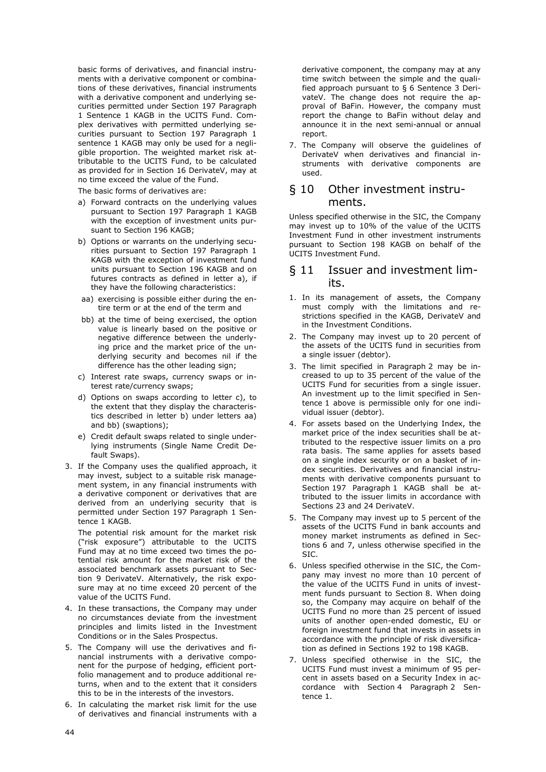basic forms of derivatives, and financial instruments with a derivative component or combinations of these derivatives, financial instruments with a derivative component and underlying securities permitted under Section 197 Paragraph 1 Sentence 1 KAGB in the UCITS Fund. Complex derivatives with permitted underlying securities pursuant to Section 197 Paragraph 1 sentence 1 KAGB may only be used for a negligible proportion. The weighted market risk attributable to the UCITS Fund, to be calculated as provided for in Section 16 DerivateV, may at no time exceed the value of the Fund.

The basic forms of derivatives are:

- a) Forward contracts on the underlying values pursuant to Section 197 Paragraph 1 KAGB with the exception of investment units pursuant to Section 196 KAGB;
- b) Options or warrants on the underlying securities pursuant to Section 197 Paragraph 1 KAGB with the exception of investment fund units pursuant to Section 196 KAGB and on futures contracts as defined in letter a), if they have the following characteristics:
- aa) exercising is possible either during the entire term or at the end of the term and
- bb) at the time of being exercised, the option value is linearly based on the positive or negative difference between the underlying price and the market price of the underlying security and becomes nil if the difference has the other leading sign;
- c) Interest rate swaps, currency swaps or interest rate/currency swaps;
- d) Options on swaps according to letter c), to the extent that they display the characteristics described in letter b) under letters aa) and bb) (swaptions);
- e) Credit default swaps related to single underlying instruments (Single Name Credit Default Swaps).
- 3. If the Company uses the qualified approach, it may invest, subject to a suitable risk management system, in any financial instruments with a derivative component or derivatives that are derived from an underlying security that is permitted under Section 197 Paragraph 1 Sentence 1 KAGB.

The potential risk amount for the market risk ("risk exposure") attributable to the UCITS Fund may at no time exceed two times the potential risk amount for the market risk of the associated benchmark assets pursuant to Section 9 DerivateV. Alternatively, the risk exposure may at no time exceed 20 percent of the value of the UCITS Fund.

- 4. In these transactions, the Company may under no circumstances deviate from the investment principles and limits listed in the Investment Conditions or in the Sales Prospectus.
- 5. The Company will use the derivatives and financial instruments with a derivative component for the purpose of hedging, efficient portfolio management and to produce additional returns, when and to the extent that it considers this to be in the interests of the investors.
- 6. In calculating the market risk limit for the use of derivatives and financial instruments with a

derivative component, the company may at any time switch between the simple and the qualified approach pursuant to § 6 Sentence 3 DerivateV. The change does not require the approval of BaFin. However, the company must report the change to BaFin without delay and announce it in the next semi-annual or annual report.

7. The Company will observe the guidelines of DerivateV when derivatives and financial instruments with derivative components are used.

### § 10 Other investment instruments.

Unless specified otherwise in the SIC, the Company may invest up to 10% of the value of the UCITS Investment Fund in other investment instruments pursuant to Section 198 KAGB on behalf of the UCITS Investment Fund.

### § 11 Issuer and investment limits.

- 1. In its management of assets, the Company must comply with the limitations and restrictions specified in the KAGB, DerivateV and in the Investment Conditions.
- 2. The Company may invest up to 20 percent of the assets of the UCITS fund in securities from a single issuer (debtor).
- 3. The limit specified in Paragraph 2 may be increased to up to 35 percent of the value of the UCITS Fund for securities from a single issuer. An investment up to the limit specified in Sentence 1 above is permissible only for one individual issuer (debtor).
- 4. For assets based on the Underlying Index, the market price of the index securities shall be attributed to the respective issuer limits on a pro rata basis. The same applies for assets based on a single index security or on a basket of index securities. Derivatives and financial instruments with derivative components pursuant to Section 197 Paragraph 1 KAGB shall be attributed to the issuer limits in accordance with Sections 23 and 24 DerivateV.
- 5. The Company may invest up to 5 percent of the assets of the UCITS Fund in bank accounts and money market instruments as defined in Sections 6 and 7, unless otherwise specified in the SIC.
- 6. Unless specified otherwise in the SIC, the Company may invest no more than 10 percent of the value of the UCITS Fund in units of investment funds pursuant to Section 8. When doing so, the Company may acquire on behalf of the UCITS Fund no more than 25 percent of issued units of another open-ended domestic, EU or foreign investment fund that invests in assets in accordance with the principle of risk diversification as defined in Sections 192 to 198 KAGB.
- 7. Unless specified otherwise in the SIC, the UCITS Fund must invest a minimum of 95 percent in assets based on a Security Index in accordance with Section 4 Paragraph 2 Sentence 1.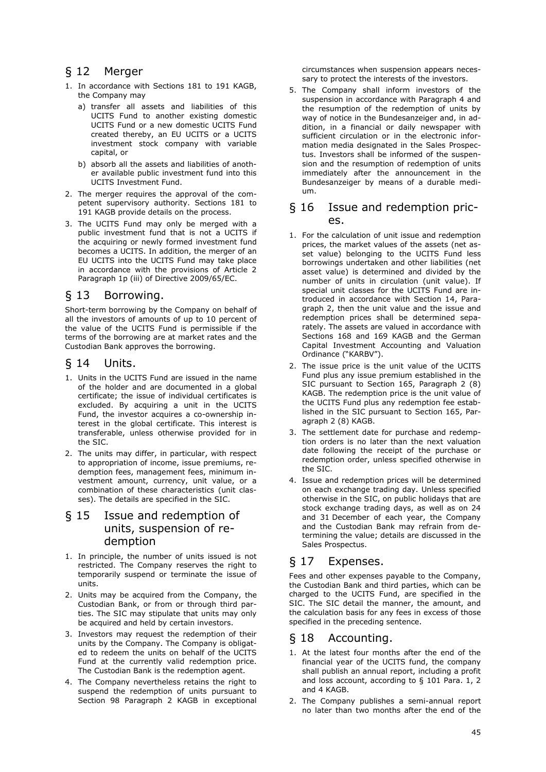# § 12 Merger

- 1. In accordance with Sections 181 to 191 KAGB, the Company may
	- a) transfer all assets and liabilities of this UCITS Fund to another existing domestic UCITS Fund or a new domestic UCITS Fund created thereby, an EU UCITS or a UCITS investment stock company with variable capital, or
	- b) absorb all the assets and liabilities of another available public investment fund into this UCITS Investment Fund.
- 2. The merger requires the approval of the competent supervisory authority. Sections 181 to 191 KAGB provide details on the process.
- 3. The UCITS Fund may only be merged with a public investment fund that is not a UCITS if the acquiring or newly formed investment fund becomes a UCITS. In addition, the merger of an EU UCITS into the UCITS Fund may take place in accordance with the provisions of Article 2 Paragraph 1p (iii) of Directive 2009/65/EC.

# § 13 Borrowing.

Short-term borrowing by the Company on behalf of all the investors of amounts of up to 10 percent of the value of the UCITS Fund is permissible if the terms of the borrowing are at market rates and the Custodian Bank approves the borrowing.

### § 14 Units.

- 1. Units in the UCITS Fund are issued in the name of the holder and are documented in a global certificate; the issue of individual certificates is excluded. By acquiring a unit in the UCITS Fund, the investor acquires a co-ownership interest in the global certificate. This interest is transferable, unless otherwise provided for in the SIC.
- 2. The units may differ, in particular, with respect to appropriation of income, issue premiums, redemption fees, management fees, minimum investment amount, currency, unit value, or a combination of these characteristics (unit classes). The details are specified in the SIC.

## § 15 Issue and redemption of units, suspension of redemption

- 1. In principle, the number of units issued is not restricted. The Company reserves the right to temporarily suspend or terminate the issue of units.
- 2. Units may be acquired from the Company, the Custodian Bank, or from or through third parties. The SIC may stipulate that units may only be acquired and held by certain investors.
- 3. Investors may request the redemption of their units by the Company. The Company is obligated to redeem the units on behalf of the UCITS Fund at the currently valid redemption price. The Custodian Bank is the redemption agent.
- 4. The Company nevertheless retains the right to suspend the redemption of units pursuant to Section 98 Paragraph 2 KAGB in exceptional

circumstances when suspension appears necessary to protect the interests of the investors.

5. The Company shall inform investors of the suspension in accordance with Paragraph 4 and the resumption of the redemption of units by way of notice in the Bundesanzeiger and, in addition, in a financial or daily newspaper with sufficient circulation or in the electronic information media designated in the Sales Prospectus. Investors shall be informed of the suspension and the resumption of redemption of units immediately after the announcement in the Bundesanzeiger by means of a durable medium.

### § 16 Issue and redemption pric- $AC$

- 1. For the calculation of unit issue and redemption prices, the market values of the assets (net asset value) belonging to the UCITS Fund less borrowings undertaken and other liabilities (net asset value) is determined and divided by the number of units in circulation (unit value). If special unit classes for the UCITS Fund are introduced in accordance with Section 14, Paragraph 2, then the unit value and the issue and redemption prices shall be determined separately. The assets are valued in accordance with Sections 168 and 169 KAGB and the German Capital Investment Accounting and Valuation Ordinance ("KARBV").
- 2. The issue price is the unit value of the UCITS Fund plus any issue premium established in the SIC pursuant to Section 165, Paragraph 2 (8) KAGB. The redemption price is the unit value of the UCITS Fund plus any redemption fee established in the SIC pursuant to Section 165, Paragraph 2 (8) KAGB.
- 3. The settlement date for purchase and redemption orders is no later than the next valuation date following the receipt of the purchase or redemption order, unless specified otherwise in the SIC.
- 4. Issue and redemption prices will be determined on each exchange trading day. Unless specified otherwise in the SIC, on public holidays that are stock exchange trading days, as well as on 24 and 31 December of each year, the Company and the Custodian Bank may refrain from determining the value; details are discussed in the Sales Prospectus.

# § 17 Expenses.

Fees and other expenses payable to the Company, the Custodian Bank and third parties, which can be charged to the UCITS Fund, are specified in the SIC. The SIC detail the manner, the amount, and the calculation basis for any fees in excess of those specified in the preceding sentence.

# § 18 Accounting.

- 1. At the latest four months after the end of the financial year of the UCITS fund, the company shall publish an annual report, including a profit and loss account, according to § 101 Para. 1, 2 and 4 KAGB.
- 2. The Company publishes a semi-annual report no later than two months after the end of the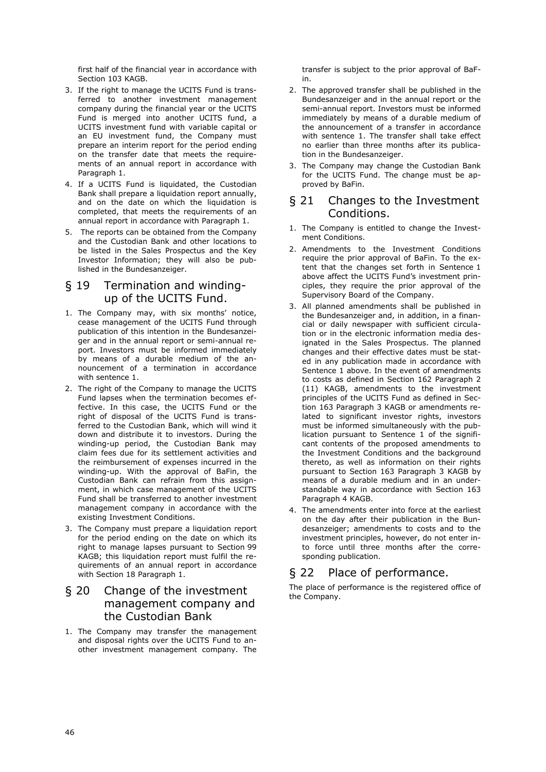first half of the financial year in accordance with Section 103 KAGB.

- 3. If the right to manage the UCITS Fund is transferred to another investment management company during the financial year or the UCITS Fund is merged into another UCITS fund, a UCITS investment fund with variable capital or an EU investment fund, the Company must prepare an interim report for the period ending on the transfer date that meets the requirements of an annual report in accordance with Paragraph 1.
- 4. If a UCITS Fund is liquidated, the Custodian Bank shall prepare a liquidation report annually, and on the date on which the liquidation is completed, that meets the requirements of an annual report in accordance with Paragraph 1.
- 5. The reports can be obtained from the Company and the Custodian Bank and other locations to be listed in the Sales Prospectus and the Key Investor Information; they will also be published in the Bundesanzeiger.

# § 19 Termination and windingup of the UCITS Fund.

- 1. The Company may, with six months' notice, cease management of the UCITS Fund through publication of this intention in the Bundesanzeiger and in the annual report or semi-annual report. Investors must be informed immediately by means of a durable medium of the announcement of a termination in accordance with sentence 1.
- 2. The right of the Company to manage the UCITS Fund lapses when the termination becomes effective. In this case, the UCITS Fund or the right of disposal of the UCITS Fund is transferred to the Custodian Bank, which will wind it down and distribute it to investors. During the winding-up period, the Custodian Bank may claim fees due for its settlement activities and the reimbursement of expenses incurred in the winding-up. With the approval of BaFin, the Custodian Bank can refrain from this assignment, in which case management of the UCITS Fund shall be transferred to another investment management company in accordance with the existing Investment Conditions.
- 3. The Company must prepare a liquidation report for the period ending on the date on which its right to manage lapses pursuant to Section 99 KAGB; this liquidation report must fulfil the requirements of an annual report in accordance with Section 18 Paragraph 1.

# § 20 Change of the investment management company and the Custodian Bank

1. The Company may transfer the management and disposal rights over the UCITS Fund to another investment management company. The

transfer is subject to the prior approval of BaFin.

- 2. The approved transfer shall be published in the Bundesanzeiger and in the annual report or the semi-annual report. Investors must be informed immediately by means of a durable medium of the announcement of a transfer in accordance with sentence 1. The transfer shall take effect no earlier than three months after its publication in the Bundesanzeiger.
- 3. The Company may change the Custodian Bank for the UCITS Fund. The change must be approved by BaFin.

### § 21 Changes to the Investment Conditions.

- 1. The Company is entitled to change the Investment Conditions.
- 2. Amendments to the Investment Conditions require the prior approval of BaFin. To the extent that the changes set forth in Sentence 1 above affect the UCITS Fund's investment principles, they require the prior approval of the Supervisory Board of the Company.
- 3. All planned amendments shall be published in the Bundesanzeiger and, in addition, in a financial or daily newspaper with sufficient circulation or in the electronic information media designated in the Sales Prospectus. The planned changes and their effective dates must be stated in any publication made in accordance with Sentence 1 above. In the event of amendments to costs as defined in Section 162 Paragraph 2 (11) KAGB, amendments to the investment principles of the UCITS Fund as defined in Section 163 Paragraph 3 KAGB or amendments related to significant investor rights, investors must be informed simultaneously with the publication pursuant to Sentence 1 of the significant contents of the proposed amendments to the Investment Conditions and the background thereto, as well as information on their rights pursuant to Section 163 Paragraph 3 KAGB by means of a durable medium and in an understandable way in accordance with Section 163 Paragraph 4 KAGB.
- 4. The amendments enter into force at the earliest on the day after their publication in the Bundesanzeiger; amendments to costs and to the investment principles, however, do not enter into force until three months after the corresponding publication.

# § 22 Place of performance.

The place of performance is the registered office of the Company.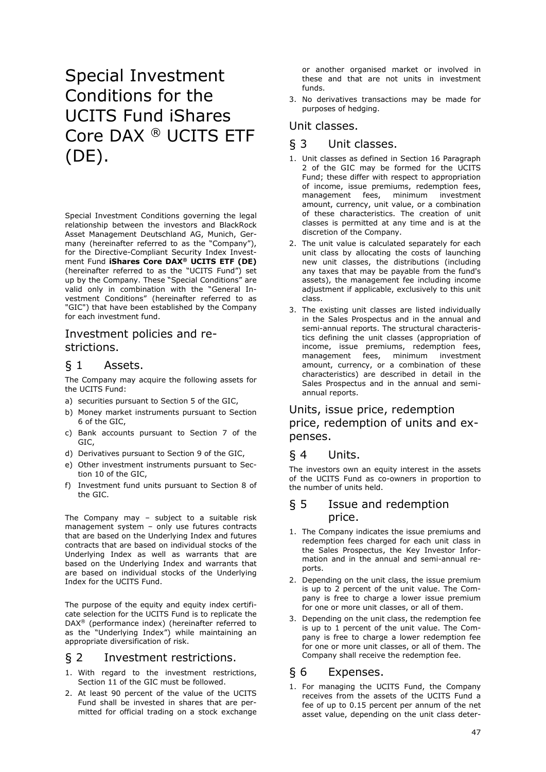# Special Investment Conditions for the UCITS Fund iShares Core DAX ® UCITS ETF (DE).

Special Investment Conditions governing the legal relationship between the investors and BlackRock Asset Management Deutschland AG, Munich, Germany (hereinafter referred to as the "Company"), for the Directive-Compliant Security Index Investment Fund **iShares Core DAX® UCITS ETF (DE)** (hereinafter referred to as the "UCITS Fund") set up by the Company. These "Special Conditions" are valid only in combination with the "General Investment Conditions" (hereinafter referred to as "GIC") that have been established by the Company for each investment fund.

# Investment policies and restrictions.

# § 1 Assets.

The Company may acquire the following assets for the UCITS Fund:

- a) securities pursuant to Section 5 of the GIC,
- b) Money market instruments pursuant to Section 6 of the GIC,
- c) Bank accounts pursuant to Section 7 of the GIC,
- d) Derivatives pursuant to Section 9 of the GIC,
- e) Other investment instruments pursuant to Section 10 of the GIC,
- f) Investment fund units pursuant to Section 8 of the GIC.

The Company may – subject to a suitable risk management system – only use futures contracts that are based on the Underlying Index and futures contracts that are based on individual stocks of the Underlying Index as well as warrants that are based on the Underlying Index and warrants that are based on individual stocks of the Underlying Index for the UCITS Fund.

The purpose of the equity and equity index certificate selection for the UCITS Fund is to replicate the DAX® (performance index) (hereinafter referred to as the "Underlying Index") while maintaining an appropriate diversification of risk.

### § 2 Investment restrictions.

- 1. With regard to the investment restrictions, Section 11 of the GIC must be followed.
- 2. At least 90 percent of the value of the UCITS Fund shall be invested in shares that are permitted for official trading on a stock exchange

or another organised market or involved in these and that are not units in investment funds.

3. No derivatives transactions may be made for purposes of hedging.

### Unit classes.

### § 3 Unit classes.

- 1. Unit classes as defined in Section 16 Paragraph 2 of the GIC may be formed for the UCITS Fund; these differ with respect to appropriation of income, issue premiums, redemption fees, management fees, minimum investment amount, currency, unit value, or a combination of these characteristics. The creation of unit classes is permitted at any time and is at the discretion of the Company.
- 2. The unit value is calculated separately for each unit class by allocating the costs of launching new unit classes, the distributions (including any taxes that may be payable from the fund's assets), the management fee including income adjustment if applicable, exclusively to this unit class.
- 3. The existing unit classes are listed individually in the Sales Prospectus and in the annual and semi-annual reports. The structural characteristics defining the unit classes (appropriation of income, issue premiums, redemption fees, management fees, minimum investment amount, currency, or a combination of these characteristics) are described in detail in the Sales Prospectus and in the annual and semiannual reports.

# Units, issue price, redemption price, redemption of units and expenses.

### § 4 Units.

The investors own an equity interest in the assets of the UCITS Fund as co-owners in proportion to the number of units held.

### § 5 Issue and redemption price.

- 1. The Company indicates the issue premiums and redemption fees charged for each unit class in the Sales Prospectus, the Key Investor Information and in the annual and semi-annual reports.
- 2. Depending on the unit class, the issue premium is up to 2 percent of the unit value. The Company is free to charge a lower issue premium for one or more unit classes, or all of them.
- 3. Depending on the unit class, the redemption fee is up to 1 percent of the unit value. The Company is free to charge a lower redemption fee for one or more unit classes, or all of them. The Company shall receive the redemption fee.

### § 6 Expenses.

1. For managing the UCITS Fund, the Company receives from the assets of the UCITS Fund a fee of up to 0.15 percent per annum of the net asset value, depending on the unit class deter-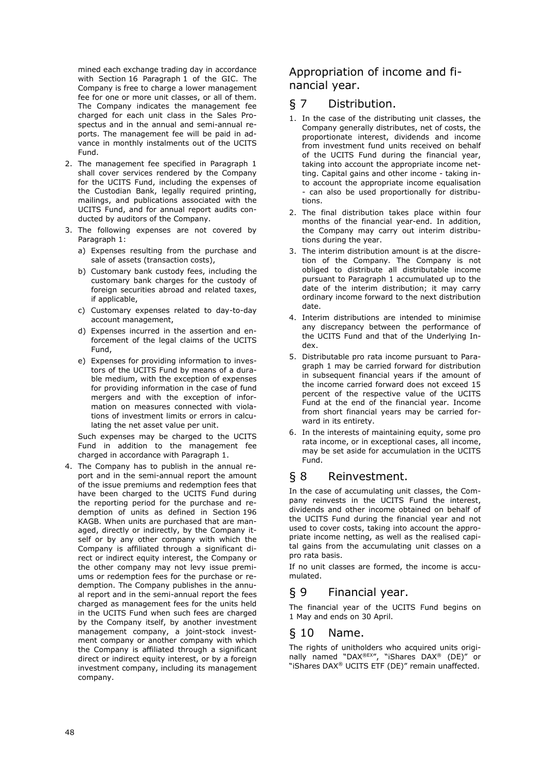mined each exchange trading day in accordance with Section 16 Paragraph 1 of the GIC. The Company is free to charge a lower management fee for one or more unit classes, or all of them. The Company indicates the management fee charged for each unit class in the Sales Prospectus and in the annual and semi-annual reports. The management fee will be paid in advance in monthly instalments out of the UCITS Fund.

- 2. The management fee specified in Paragraph 1 shall cover services rendered by the Company for the UCITS Fund, including the expenses of the Custodian Bank, legally required printing, mailings, and publications associated with the UCITS Fund, and for annual report audits conducted by auditors of the Company.
- 3. The following expenses are not covered by Paragraph 1:
	- a) Expenses resulting from the purchase and sale of assets (transaction costs),
	- b) Customary bank custody fees, including the customary bank charges for the custody of foreign securities abroad and related taxes, if applicable,
	- c) Customary expenses related to day-to-day account management,
	- d) Expenses incurred in the assertion and enforcement of the legal claims of the UCITS Fund,
	- e) Expenses for providing information to investors of the UCITS Fund by means of a durable medium, with the exception of expenses for providing information in the case of fund mergers and with the exception of information on measures connected with violations of investment limits or errors in calculating the net asset value per unit.

Such expenses may be charged to the UCITS Fund in addition to the management fee charged in accordance with Paragraph 1.

4. The Company has to publish in the annual report and in the semi-annual report the amount of the issue premiums and redemption fees that have been charged to the UCITS Fund during the reporting period for the purchase and redemption of units as defined in Section 196 KAGB. When units are purchased that are managed, directly or indirectly, by the Company itself or by any other company with which the Company is affiliated through a significant direct or indirect equity interest, the Company or the other company may not levy issue premiums or redemption fees for the purchase or redemption. The Company publishes in the annual report and in the semi-annual report the fees charged as management fees for the units held in the UCITS Fund when such fees are charged by the Company itself, by another investment management company, a joint-stock investment company or another company with which the Company is affiliated through a significant direct or indirect equity interest, or by a foreign investment company, including its management company.

# Appropriation of income and financial year.

# § 7 Distribution.

- 1. In the case of the distributing unit classes, the Company generally distributes, net of costs, the proportionate interest, dividends and income from investment fund units received on behalf of the UCITS Fund during the financial year, taking into account the appropriate income netting. Capital gains and other income - taking into account the appropriate income equalisation - can also be used proportionally for distributions.
- 2. The final distribution takes place within four months of the financial year-end. In addition, the Company may carry out interim distributions during the year.
- 3. The interim distribution amount is at the discretion of the Company. The Company is not obliged to distribute all distributable income pursuant to Paragraph 1 accumulated up to the date of the interim distribution; it may carry ordinary income forward to the next distribution date.
- 4. Interim distributions are intended to minimise any discrepancy between the performance of the UCITS Fund and that of the Underlying Index.
- 5. Distributable pro rata income pursuant to Paragraph 1 may be carried forward for distribution in subsequent financial years if the amount of the income carried forward does not exceed 15 percent of the respective value of the UCITS Fund at the end of the financial year. Income from short financial years may be carried forward in its entirety.
- 6. In the interests of maintaining equity, some pro rata income, or in exceptional cases, all income, may be set aside for accumulation in the UCITS Fund.

# § 8 Reinvestment.

In the case of accumulating unit classes, the Company reinvests in the UCITS Fund the interest, dividends and other income obtained on behalf of the UCITS Fund during the financial year and not used to cover costs, taking into account the appropriate income netting, as well as the realised capital gains from the accumulating unit classes on a pro rata basis.

If no unit classes are formed, the income is accumulated.

# § 9 Financial year.

The financial year of the UCITS Fund begins on 1 May and ends on 30 April.

# § 10 Name.

The rights of unitholders who acquired units originally named "DAX®EX", "iShares DAX® (DE)" or "iShares DAX® UCITS ETF (DE)" remain unaffected.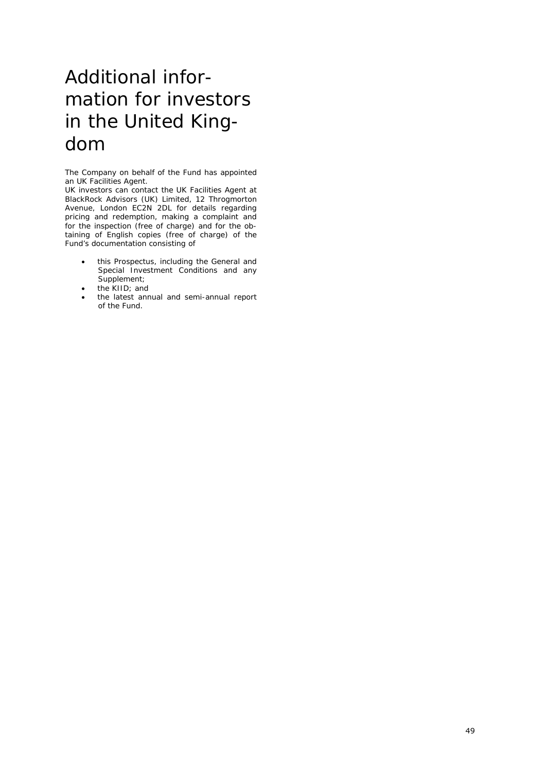# Additional information for investors in the United Kingdom

The Company on behalf of the Fund has appointed an UK Facilities Agent.

UK investors can contact the UK Facilities Agent at BlackRock Advisors (UK) Limited, 12 Throgmorton Avenue, London EC2N 2DL for details regarding pricing and redemption, making a complaint and for the inspection (free of charge) and for the obtaining of English copies (free of charge) of the Fund's documentation consisting of

- this Prospectus, including the General and Special Investment Conditions and any Supplement;
- the KIID; and
- the latest annual and semi-annual report of the Fund.